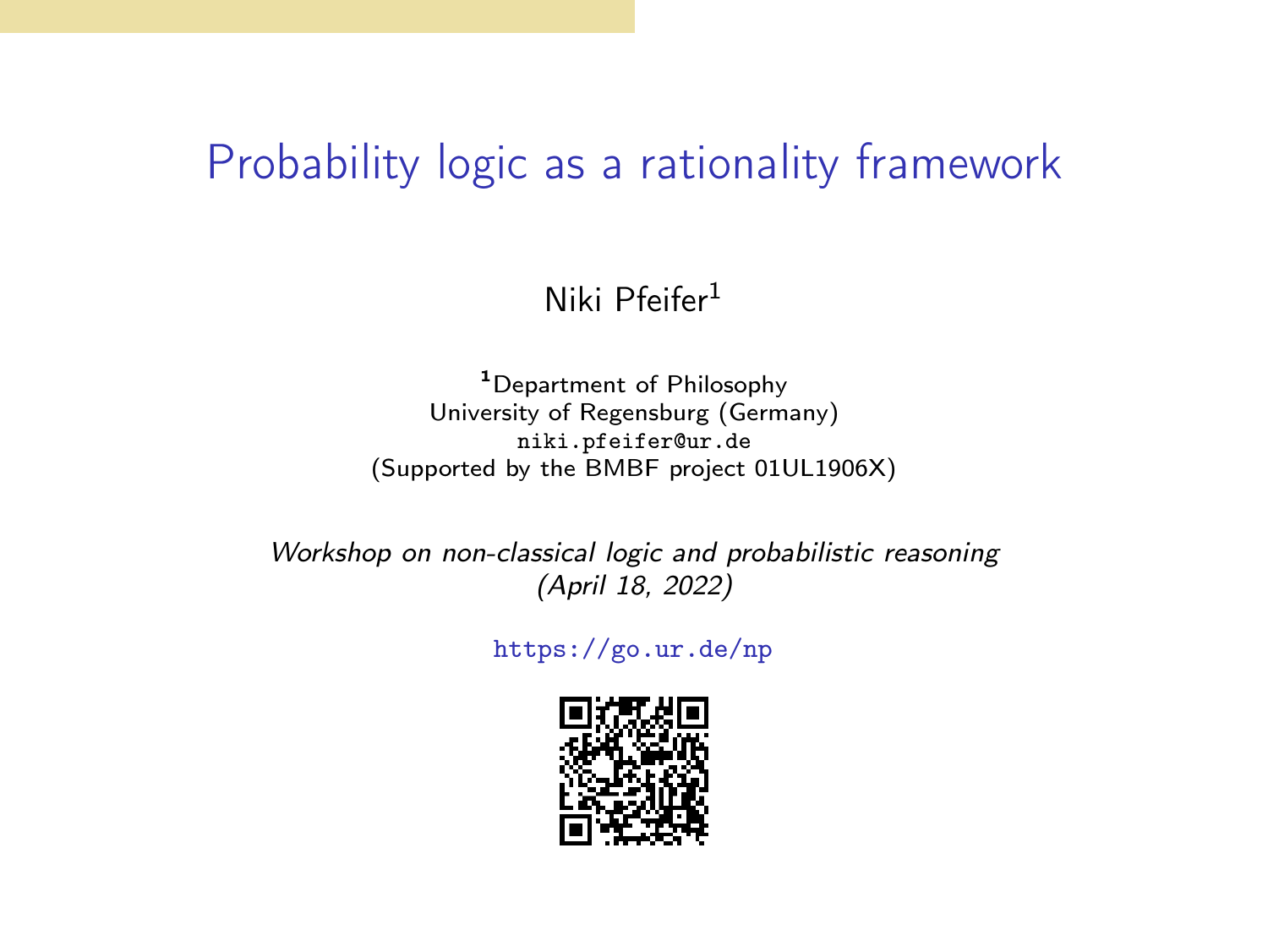#### Probability logic as a rationality framework

#### Niki Pfeifer<sup>1</sup>

<sup>1</sup>Department of Philosophy University of Regensburg (Germany) [niki.pfeifer@ur.de](mailto:niki.pfeifer@ur.de) (Supported by the BMBF project 01UL1906X)

Workshop on non-classical logic and probabilistic reasoning (April 18, 2022)

<https://go.ur.de/np>

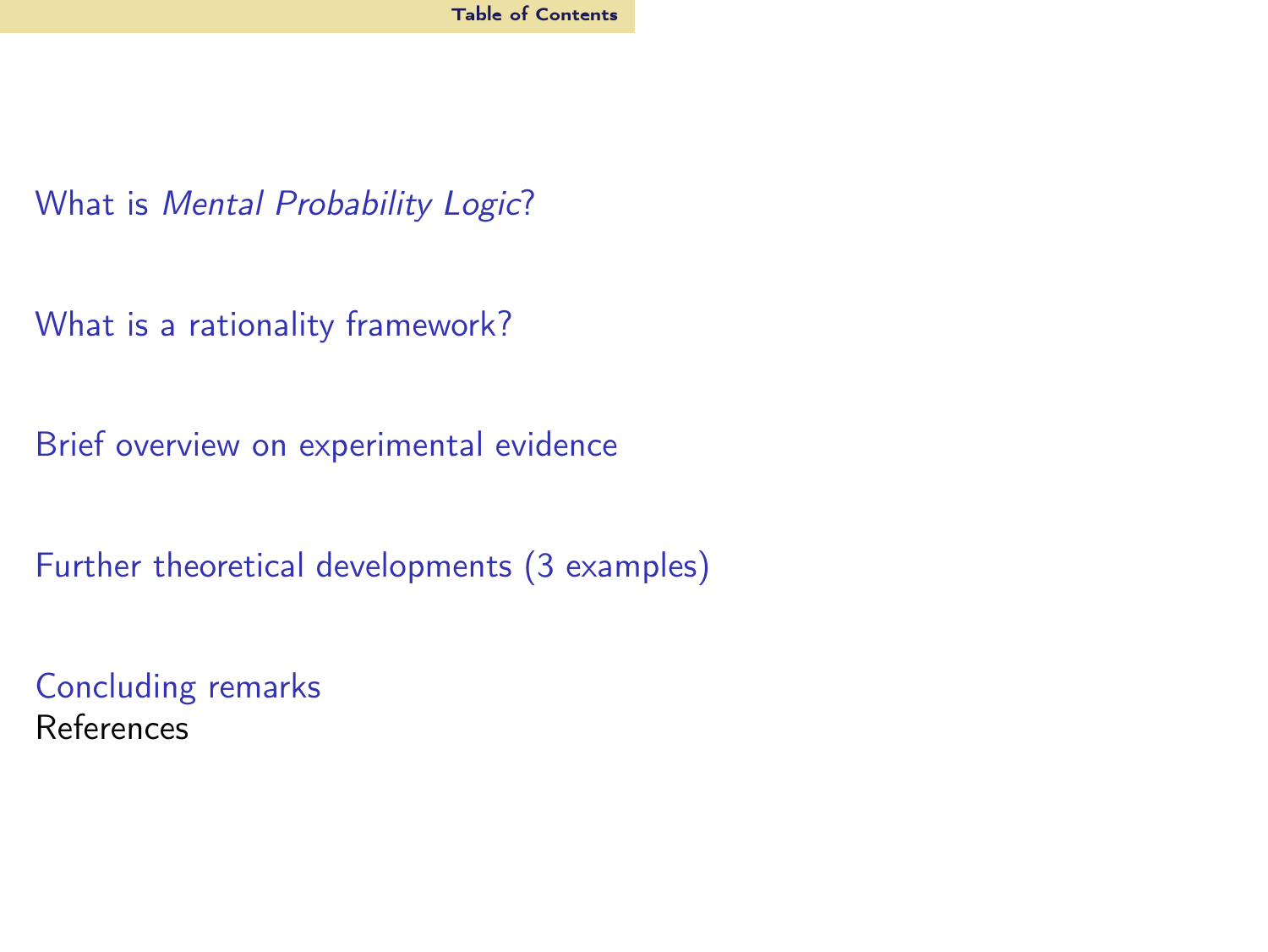<span id="page-1-0"></span>What is [Mental Probability Logic](#page-2-0)?

[What is a rationality framework?](#page-7-0)

[Brief overview on experimental evidence](#page-22-0)

[Further theoretical developments \(3 examples\)](#page-41-0)

[Concluding remarks](#page-61-0) References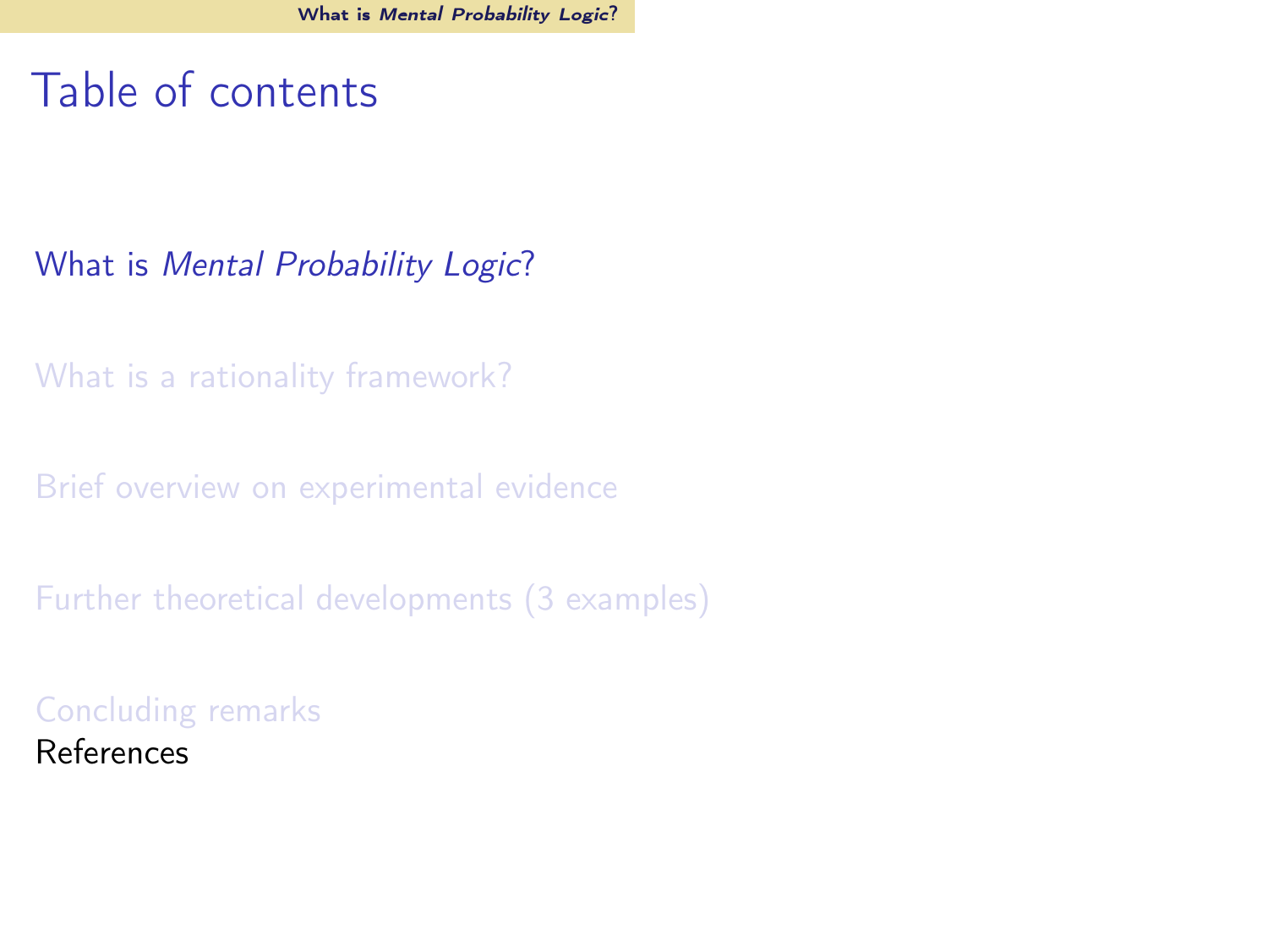## <span id="page-2-0"></span>Table of contents

#### What is [Mental Probability Logic](#page-2-0)?

[What is a rationality framework?](#page-7-0)

[Brief overview on experimental evidence](#page-22-0)

[Further theoretical developments \(3 examples\)](#page-41-0)

[Concluding remarks](#page-61-0) References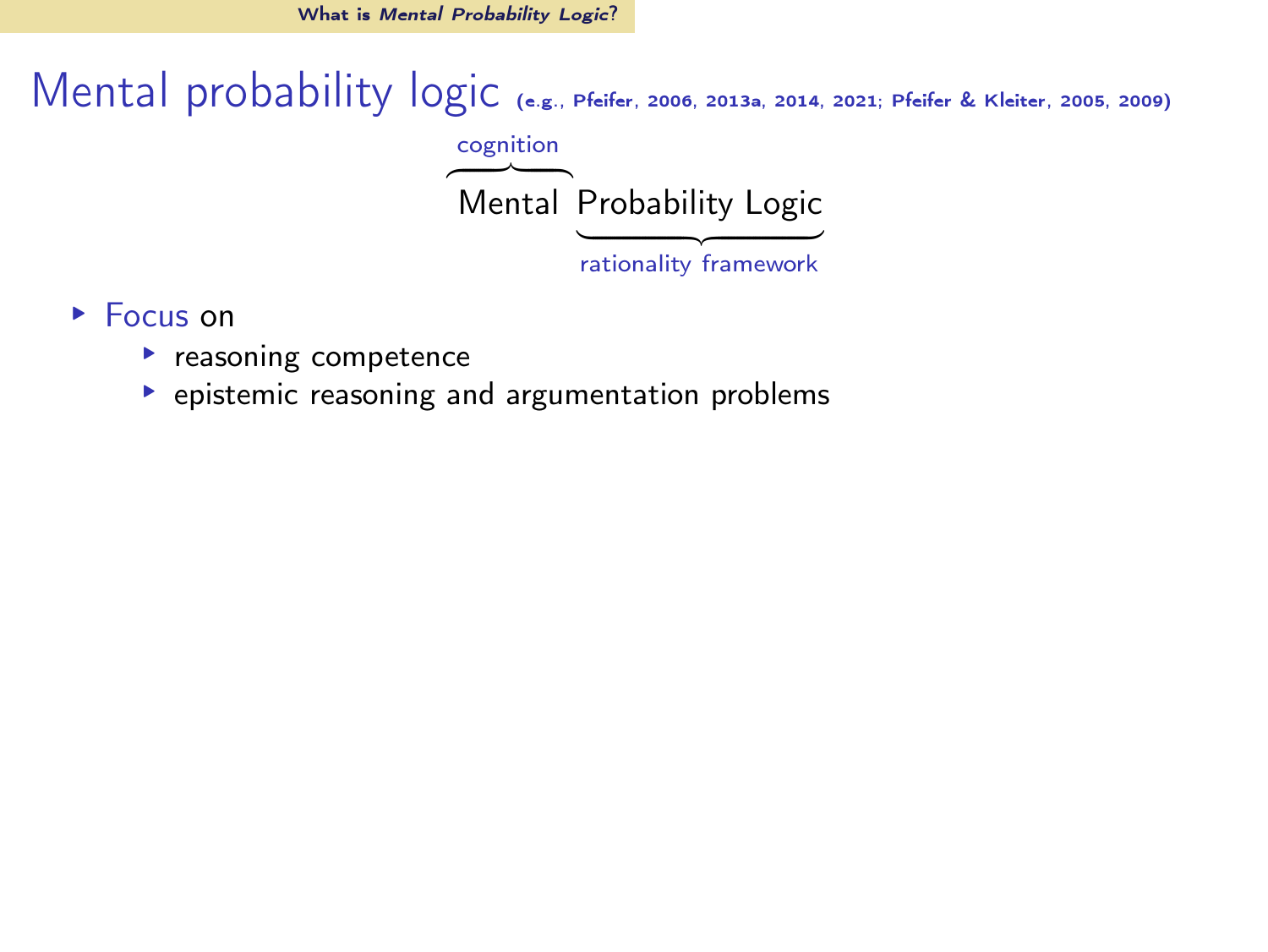What is *[Mental Probability Logic](#page-2-0)*?

Mental probability logic (e.g., [Pfeifer](#page-64-0), [2006,](#page-64-0) [2013a,](#page-64-1) [2014,](#page-64-2) [2021](#page-64-3); [Pfeifer & Kleiter](#page-64-4), [2005](#page-64-4), [2009\)](#page-64-5) cognition  $-$ Mental Probability Logic

- ▸ Focus on
	- ▶ reasoning competence
	- ▸ epistemic reasoning and argumentation problems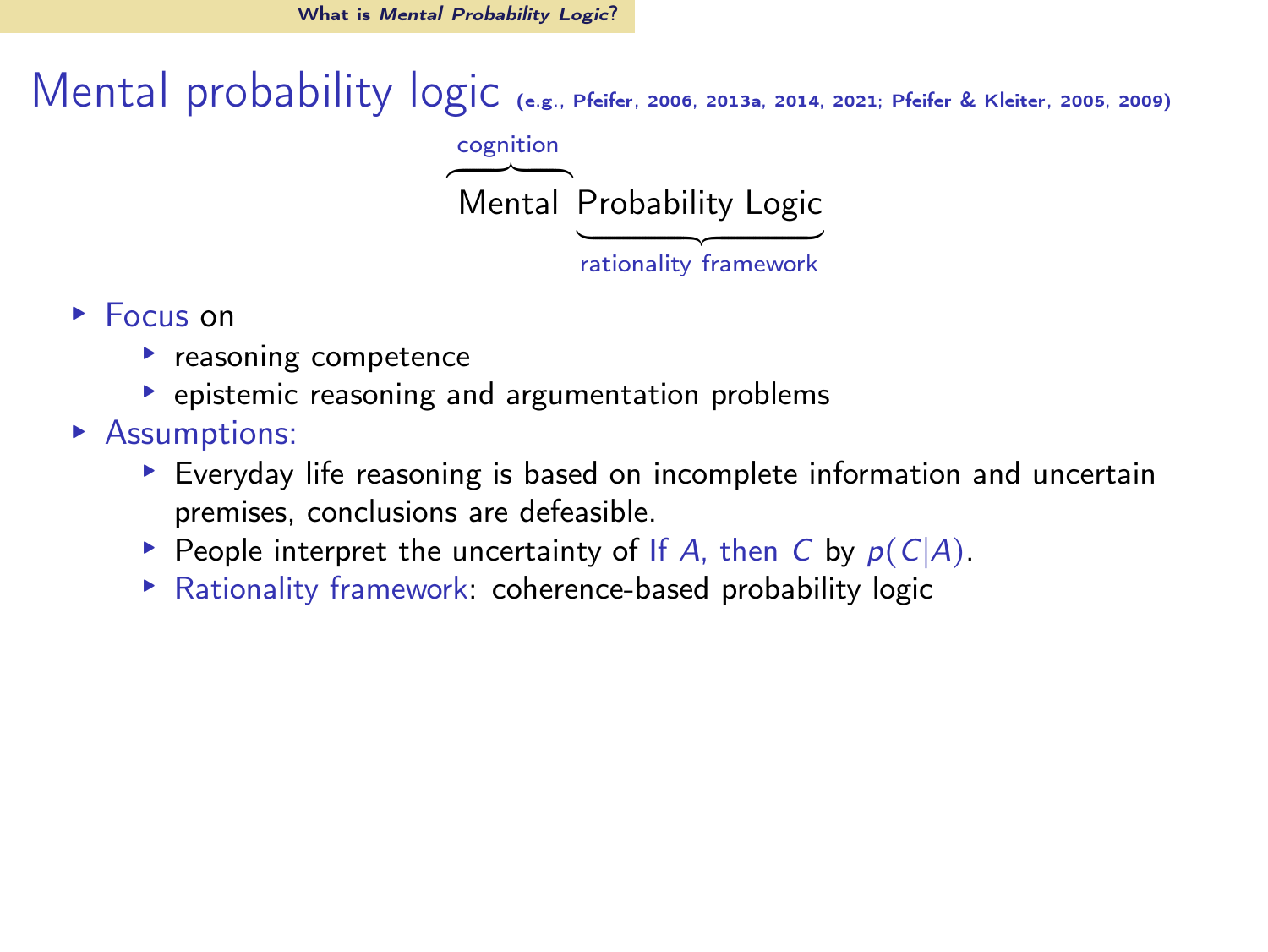What is *[Mental Probability Logic](#page-2-0)*?

Mental probability logic (e.g., [Pfeifer](#page-64-0), [2006,](#page-64-0) [2013a,](#page-64-1) [2014,](#page-64-2) [2021](#page-64-3); [Pfeifer & Kleiter](#page-64-4), [2005](#page-64-4), [2009\)](#page-64-5) cognition

> $-$ Mental Probability Logic

- ▸ Focus on
	- ▸ reasoning competence
	- ▸ epistemic reasoning and argumentation problems
- ▸ Assumptions:
	- ▸ Everyday life reasoning is based on incomplete information and uncertain premises, conclusions are defeasible.
	- **► People interpret the uncertainty of If A, then C by**  $p(C|A)$ **.**
	- ▸ Rationality framework: coherence-based probability logic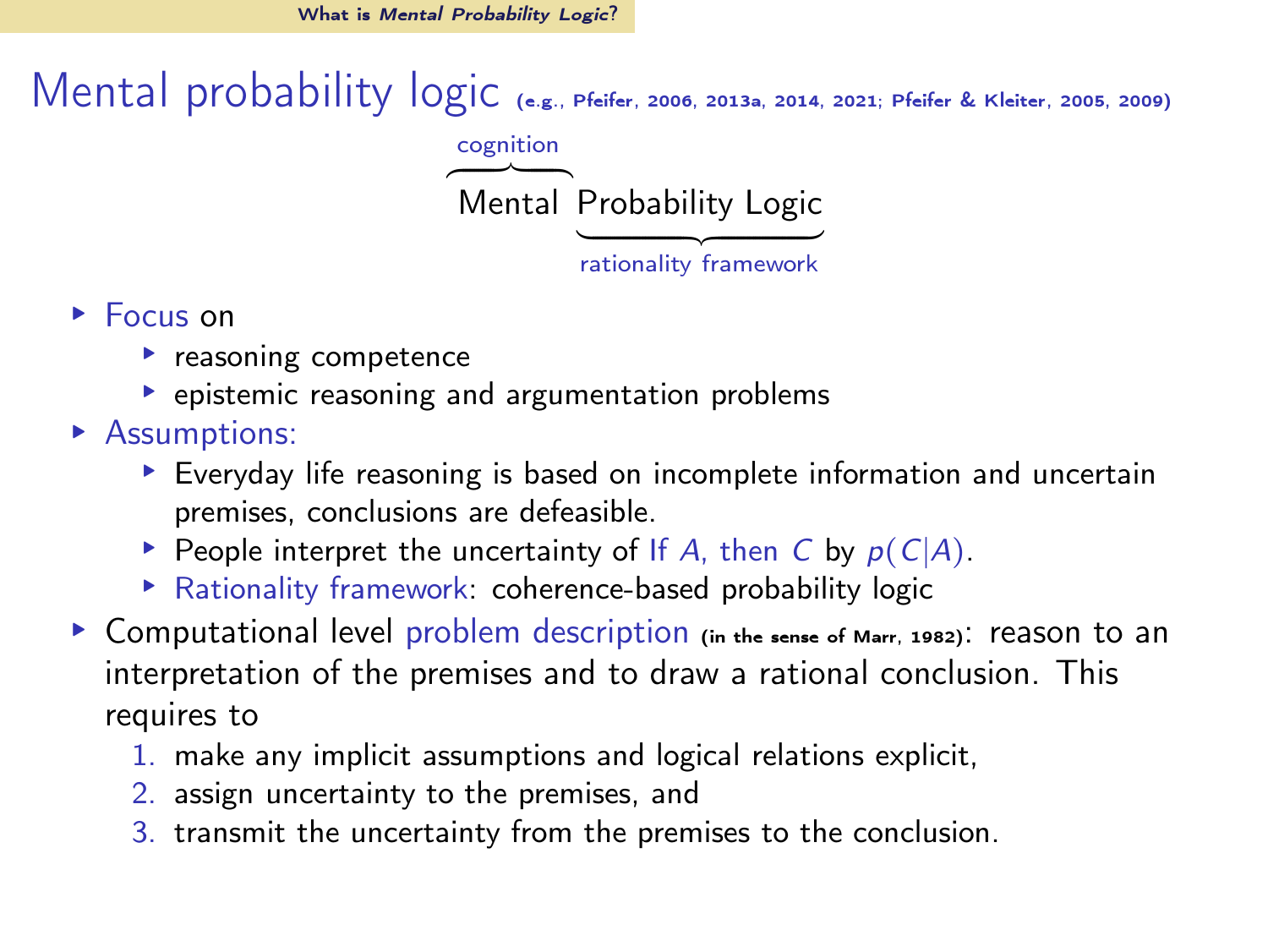What is *[Mental Probability Logic](#page-2-0)*?

Mental probability logic (e.g., [Pfeifer](#page-64-0), [2006,](#page-64-0) [2013a,](#page-64-1) [2014,](#page-64-2) [2021](#page-64-3); [Pfeifer & Kleiter](#page-64-4), [2005](#page-64-4), [2009\)](#page-64-5) cognition

> $-$ Mental Probability Logic

- ▸ Focus on
	- ▶ reasoning competence
	- ▸ epistemic reasoning and argumentation problems
- ▸ Assumptions:
	- ▸ Everyday life reasoning is based on incomplete information and uncertain premises, conclusions are defeasible.
	- **► People interpret the uncertainty of If A, then C by**  $p(C|A)$ **.**
	- ▸ Rationality framework: coherence-based probability logic
- ▶ Computational level problem description (in the sense of [Marr, 1982](#page-63-0)): reason to an interpretation of the premises and to draw a rational conclusion. This requires to
	- 1. make any implicit assumptions and logical relations explicit,
	- 2. assign uncertainty to the premises, and
	- 3. transmit the uncertainty from the premises to the conclusion.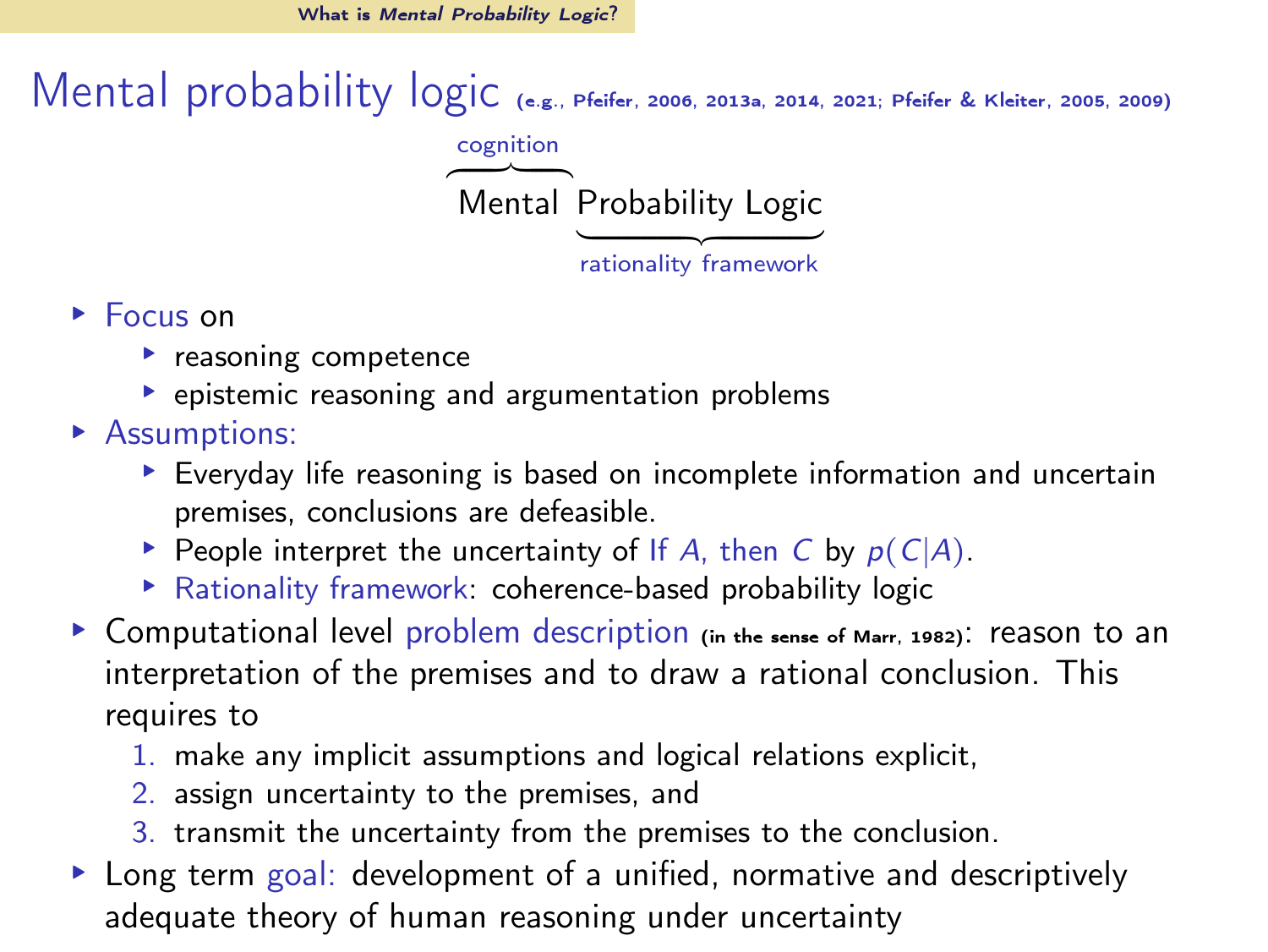Mental probability logic (e.g., [Pfeifer](#page-64-0), [2006,](#page-64-0) [2013a,](#page-64-1) [2014,](#page-64-2) [2021](#page-64-3); [Pfeifer & Kleiter](#page-64-4), [2005](#page-64-4), [2009\)](#page-64-5) cognition

> $-$ Mental Probability Logic

- ▸ Focus on
	- ▶ reasoning competence
	- ▸ epistemic reasoning and argumentation problems
- ▸ Assumptions:
	- ▸ Everyday life reasoning is based on incomplete information and uncertain premises, conclusions are defeasible.
	- **► People interpret the uncertainty of If A, then C by**  $p(C|A)$ **.**
	- ▸ Rationality framework: coherence-based probability logic
- ▶ Computational level problem description (in the sense of [Marr, 1982](#page-63-0)): reason to an interpretation of the premises and to draw a rational conclusion. This requires to
	- 1. make any implicit assumptions and logical relations explicit,
	- 2. assign uncertainty to the premises, and
	- 3. transmit the uncertainty from the premises to the conclusion.
- ▸ Long term goal: development of a unified, normative and descriptively adequate theory of human reasoning under uncertainty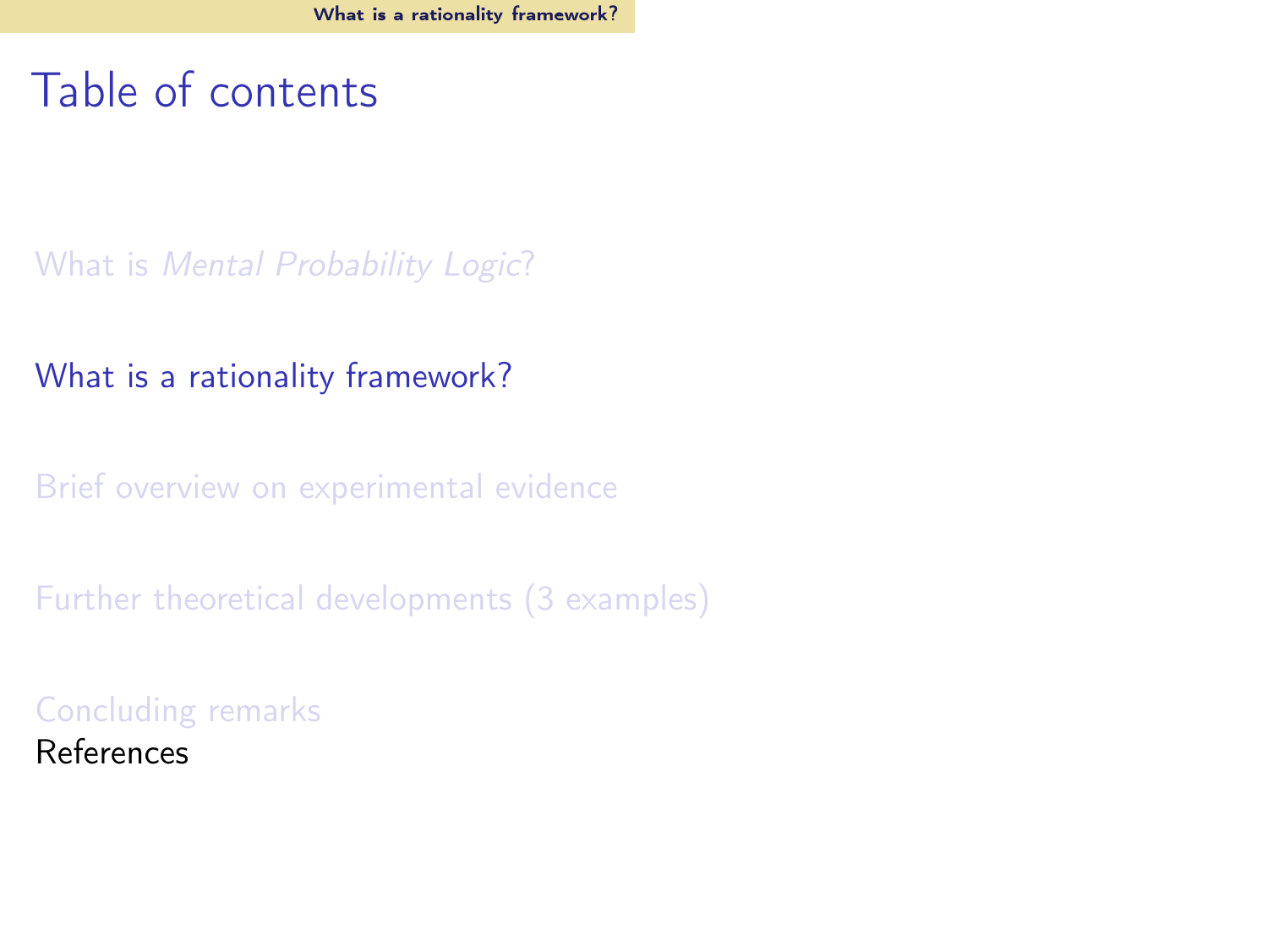#### <span id="page-7-0"></span>Table of contents

What is [Mental Probability Logic](#page-2-0)?

[What is a rationality framework?](#page-7-0)

[Brief overview on experimental evidence](#page-22-0)

[Further theoretical developments \(3 examples\)](#page-41-0)

[Concluding remarks](#page-61-0) References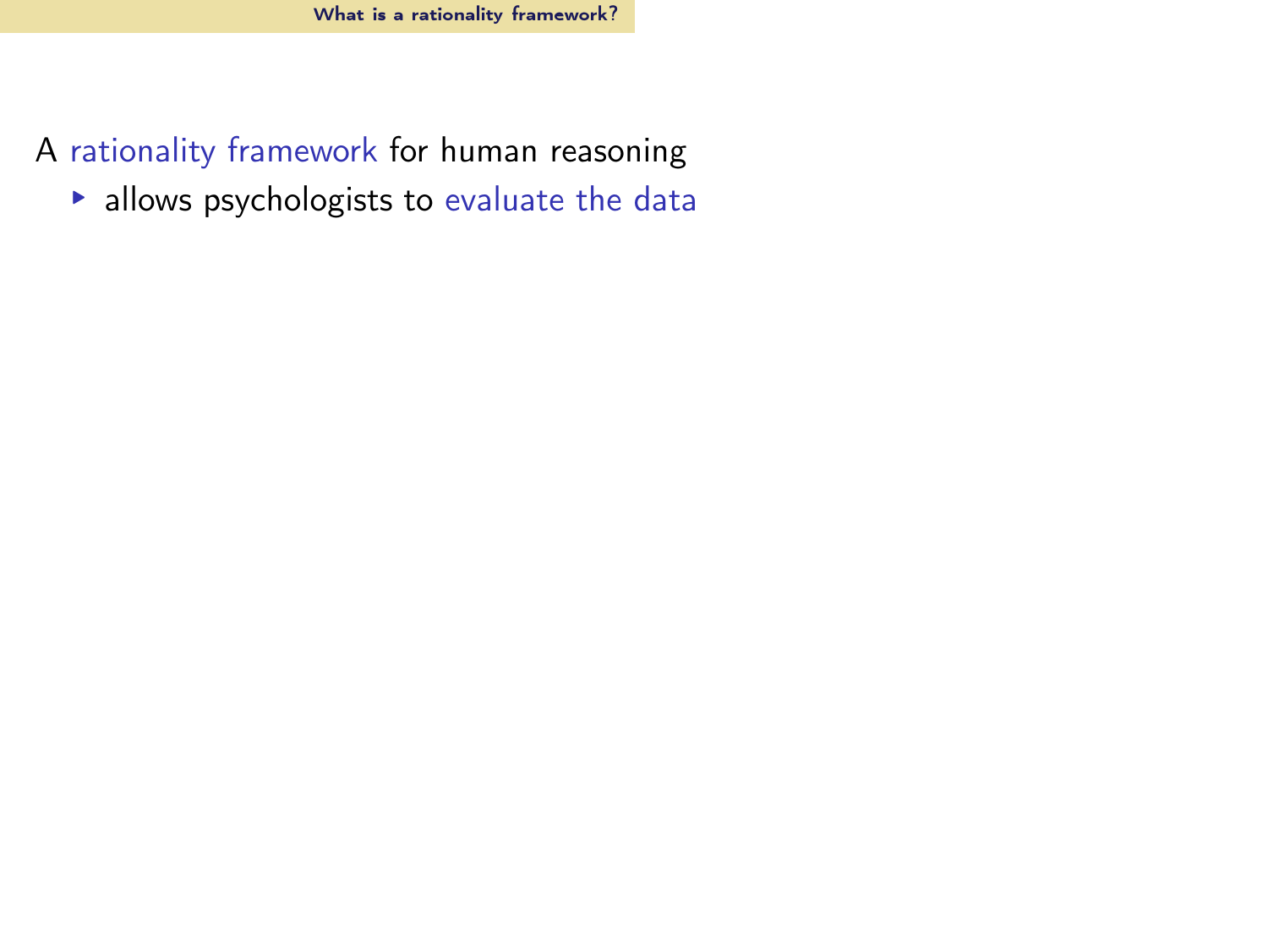- A rationality framework for human reasoning
	- ▸ allows psychologists to evaluate the data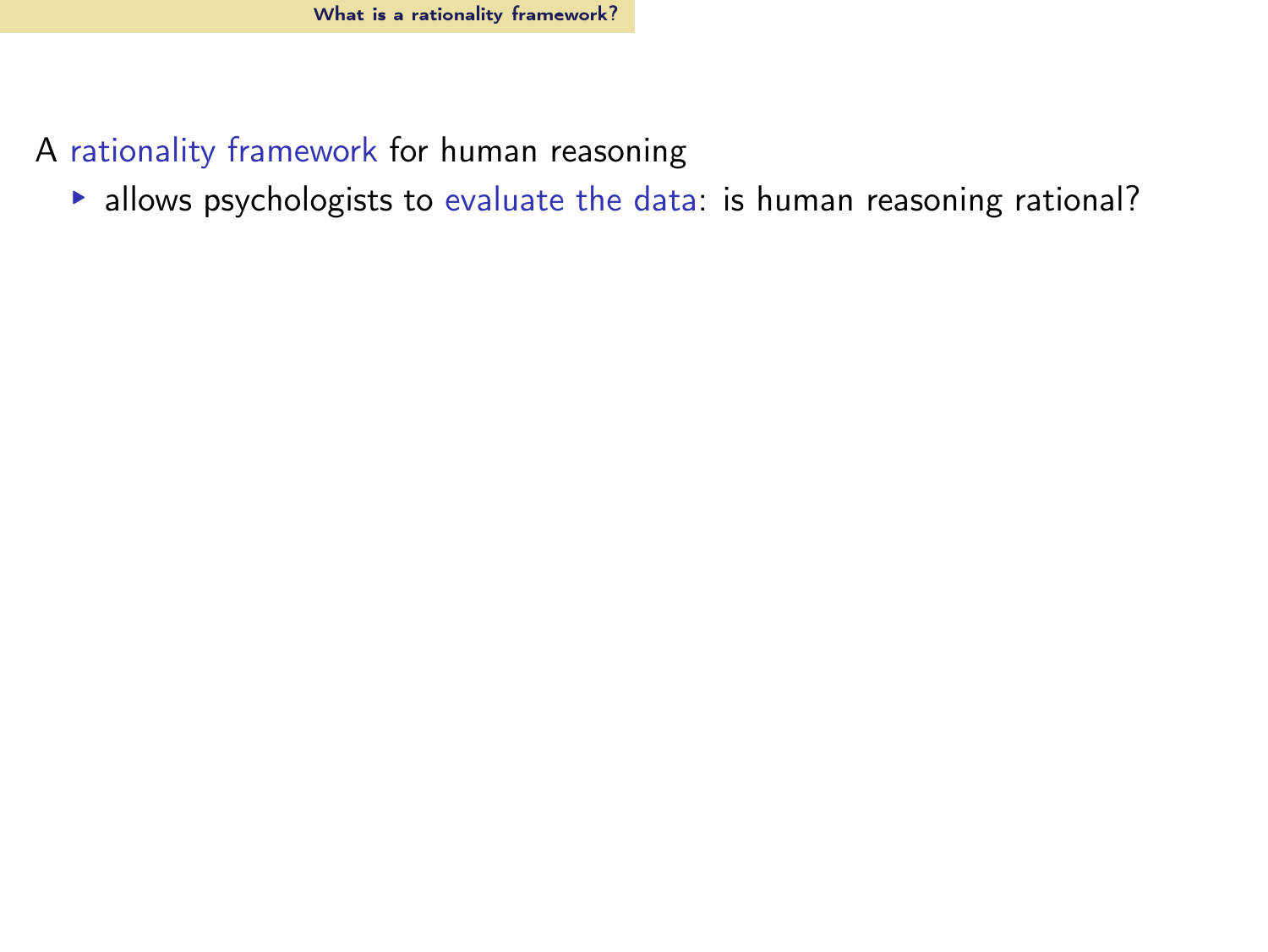- A rationality framework for human reasoning
	- ▸ allows psychologists to evaluate the data: is human reasoning rational?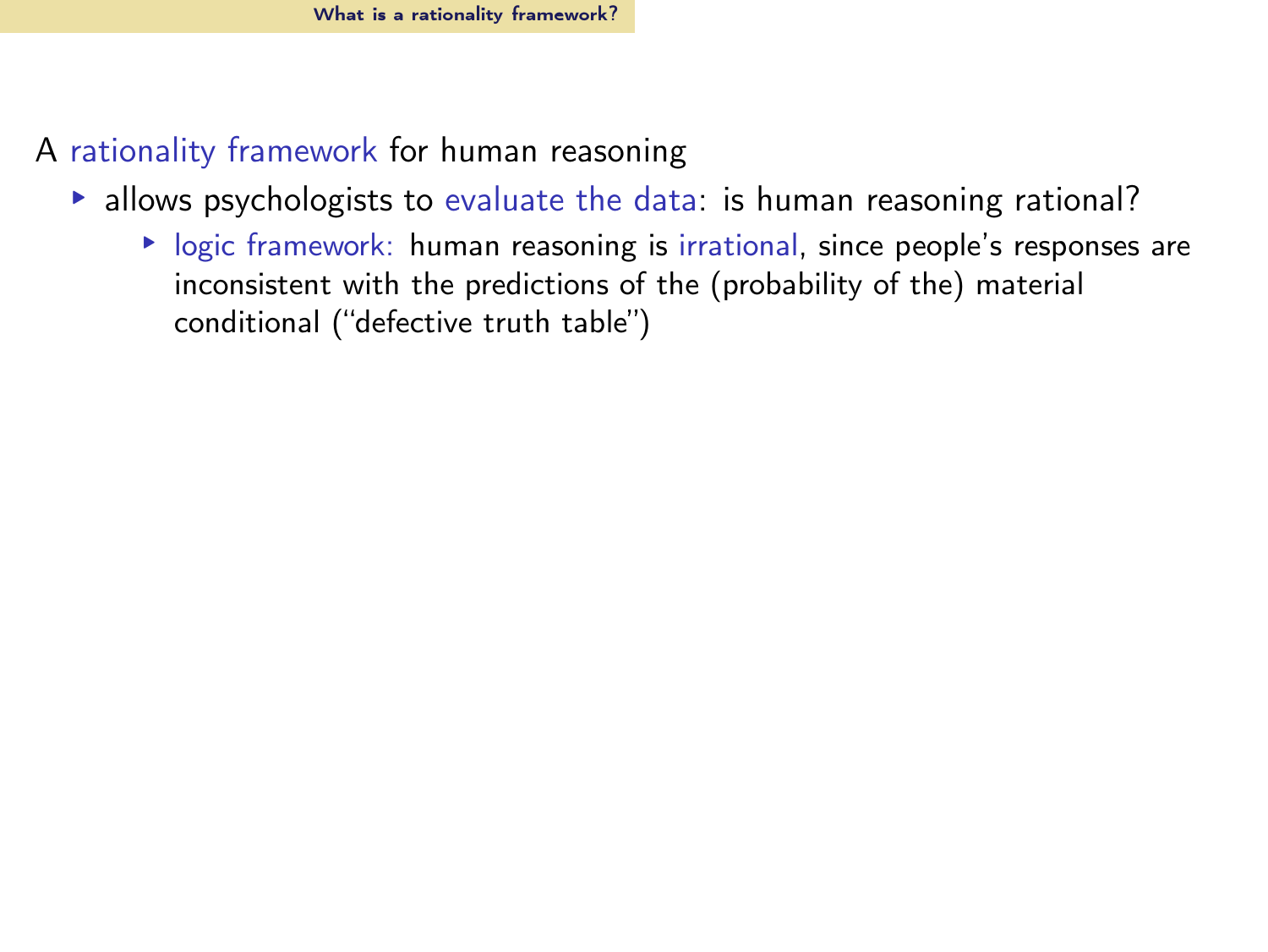- A rationality framework for human reasoning
	- ▸ allows psychologists to evaluate the data: is human reasoning rational?
		- ▸ logic framework: human reasoning is irrational, since people's responses are inconsistent with the predictions of the (probability of the) material conditional ("defective truth table")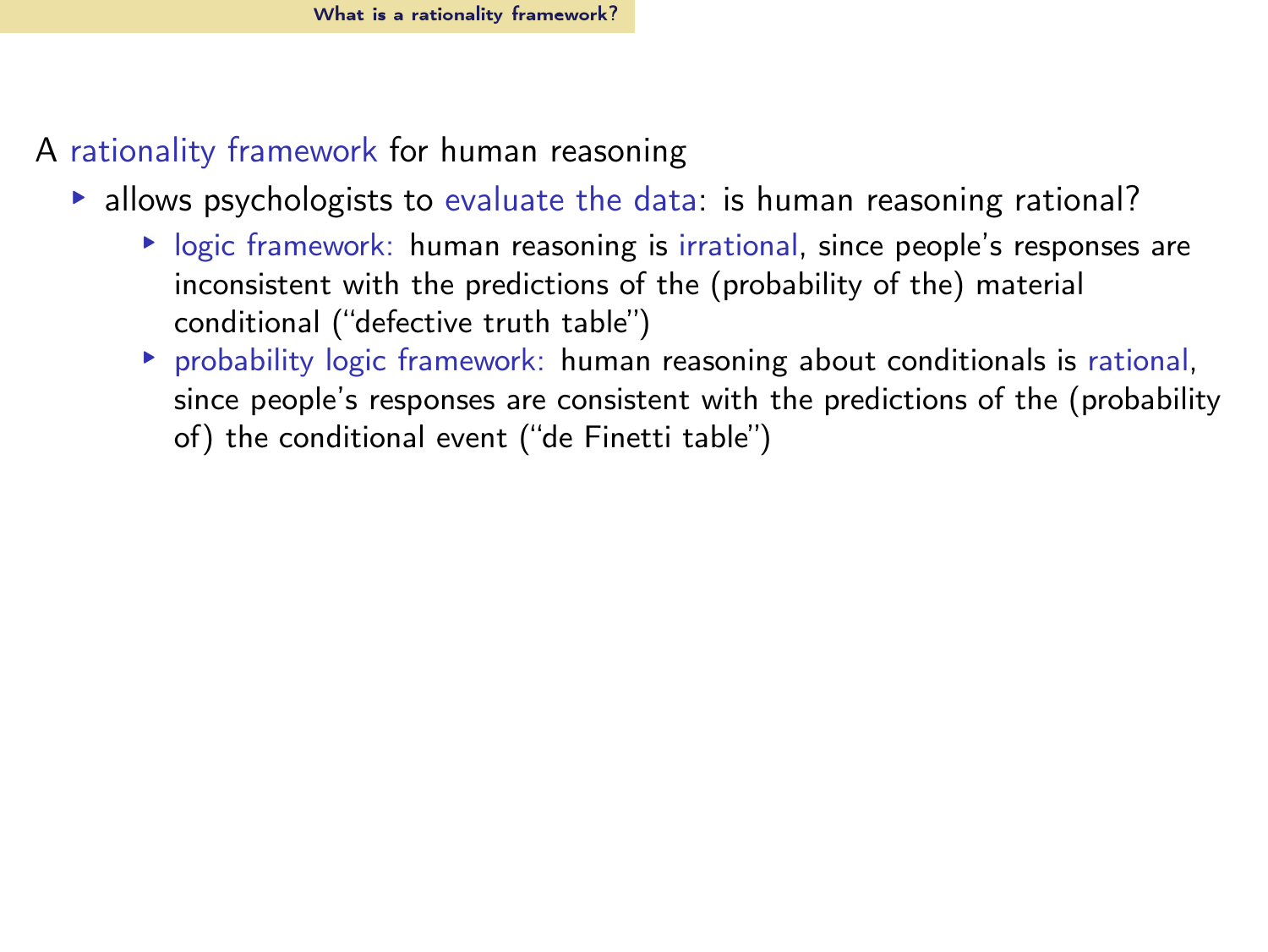- A rationality framework for human reasoning
	- $\triangleright$  allows psychologists to evaluate the data: is human reasoning rational?
		- ▸ logic framework: human reasoning is irrational, since people's responses are inconsistent with the predictions of the (probability of the) material conditional ("defective truth table")
		- ▸ probability logic framework: human reasoning about conditionals is rational, since people's responses are consistent with the predictions of the (probability of) the conditional event ("de Finetti table")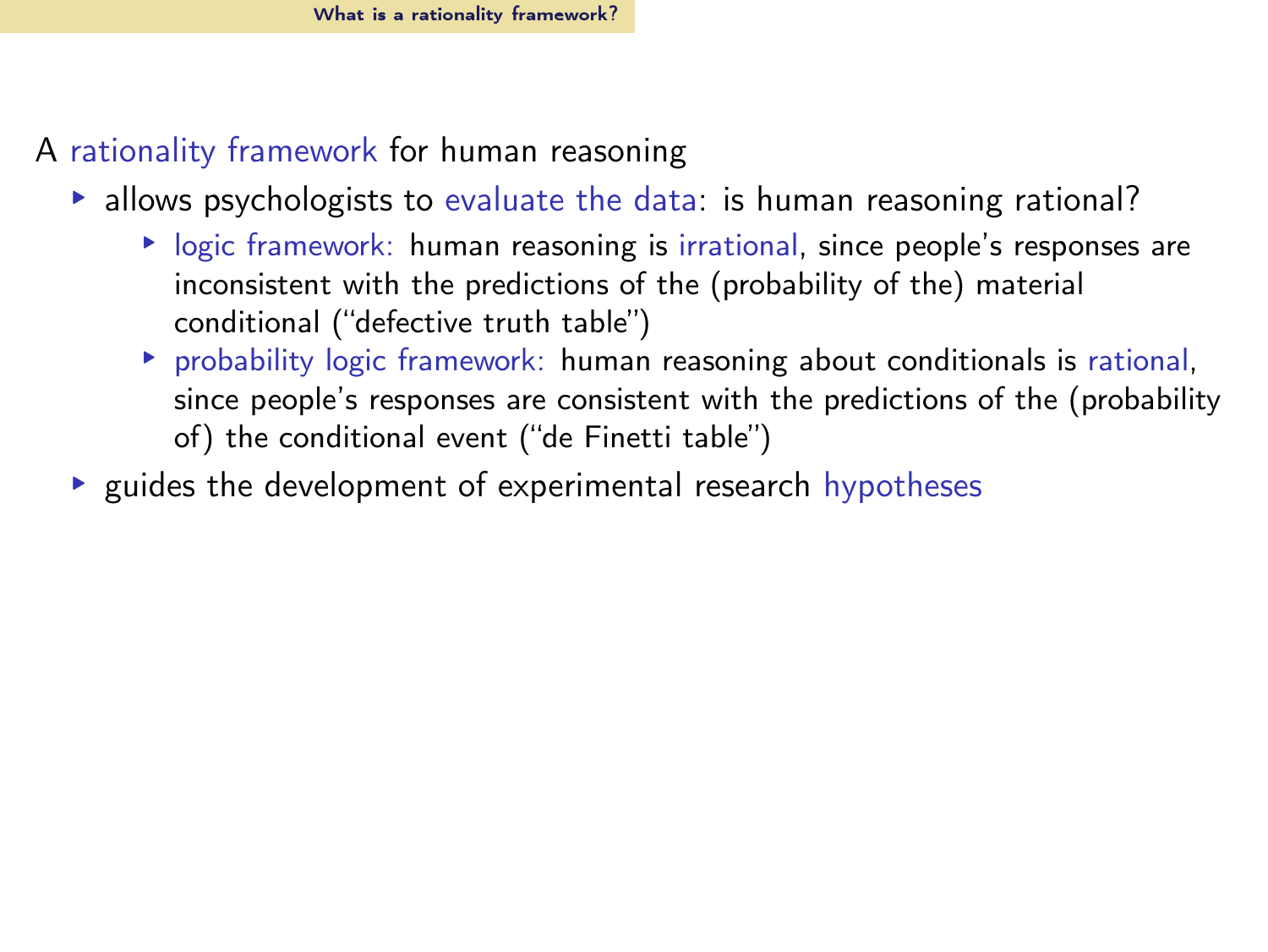- A rationality framework for human reasoning
	- $\triangleright$  allows psychologists to evaluate the data: is human reasoning rational?
		- ▸ logic framework: human reasoning is irrational, since people's responses are inconsistent with the predictions of the (probability of the) material conditional ("defective truth table")
		- ▸ probability logic framework: human reasoning about conditionals is rational, since people's responses are consistent with the predictions of the (probability of) the conditional event ("de Finetti table")
	- ▸ guides the development of experimental research hypotheses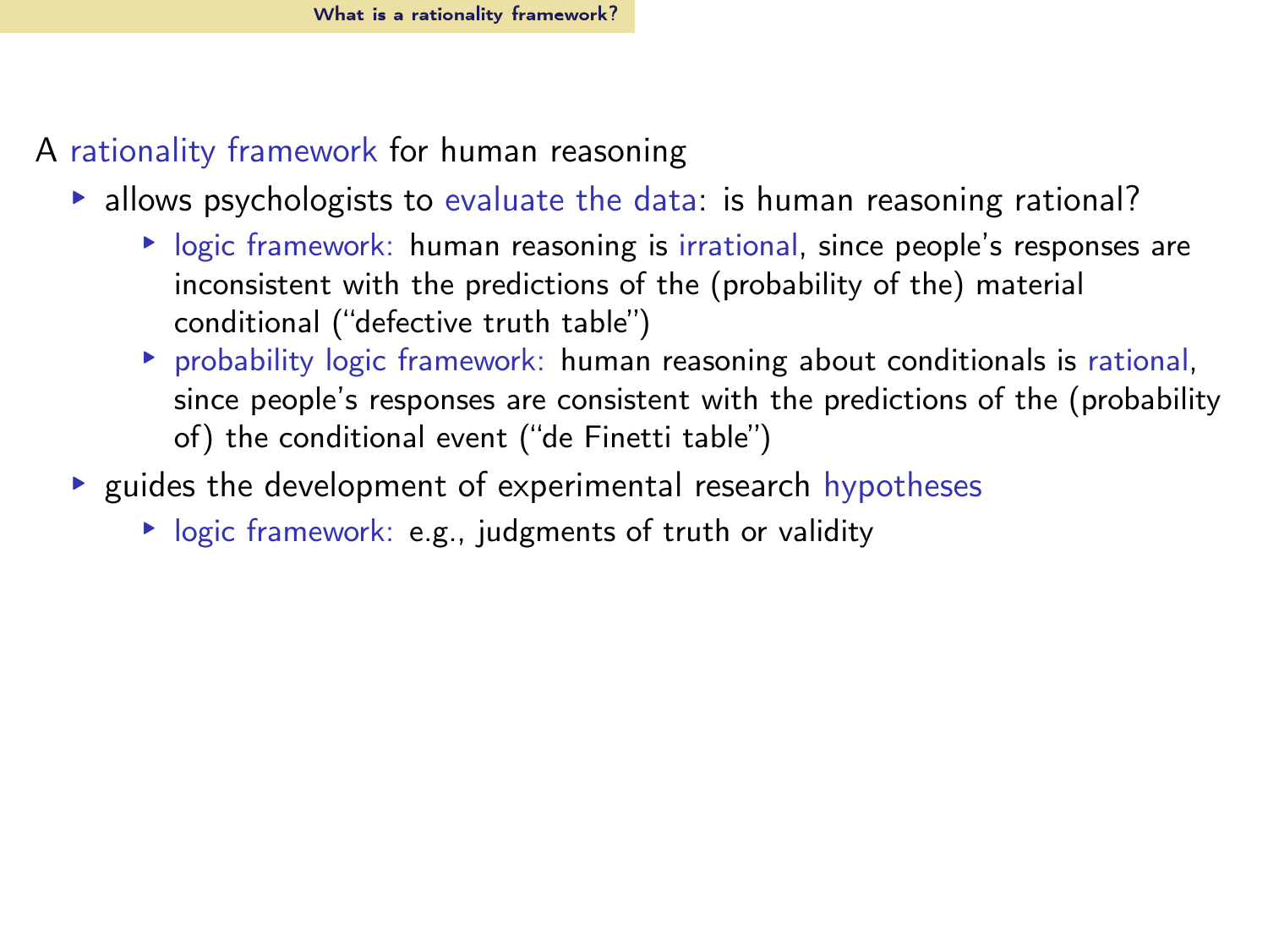- A rationality framework for human reasoning
	- $\triangleright$  allows psychologists to evaluate the data: is human reasoning rational?
		- ▸ logic framework: human reasoning is irrational, since people's responses are inconsistent with the predictions of the (probability of the) material conditional ("defective truth table")
		- ▸ probability logic framework: human reasoning about conditionals is rational, since people's responses are consistent with the predictions of the (probability of) the conditional event ("de Finetti table")
	- ▸ guides the development of experimental research hypotheses
		- ▸ logic framework: e.g., judgments of truth or validity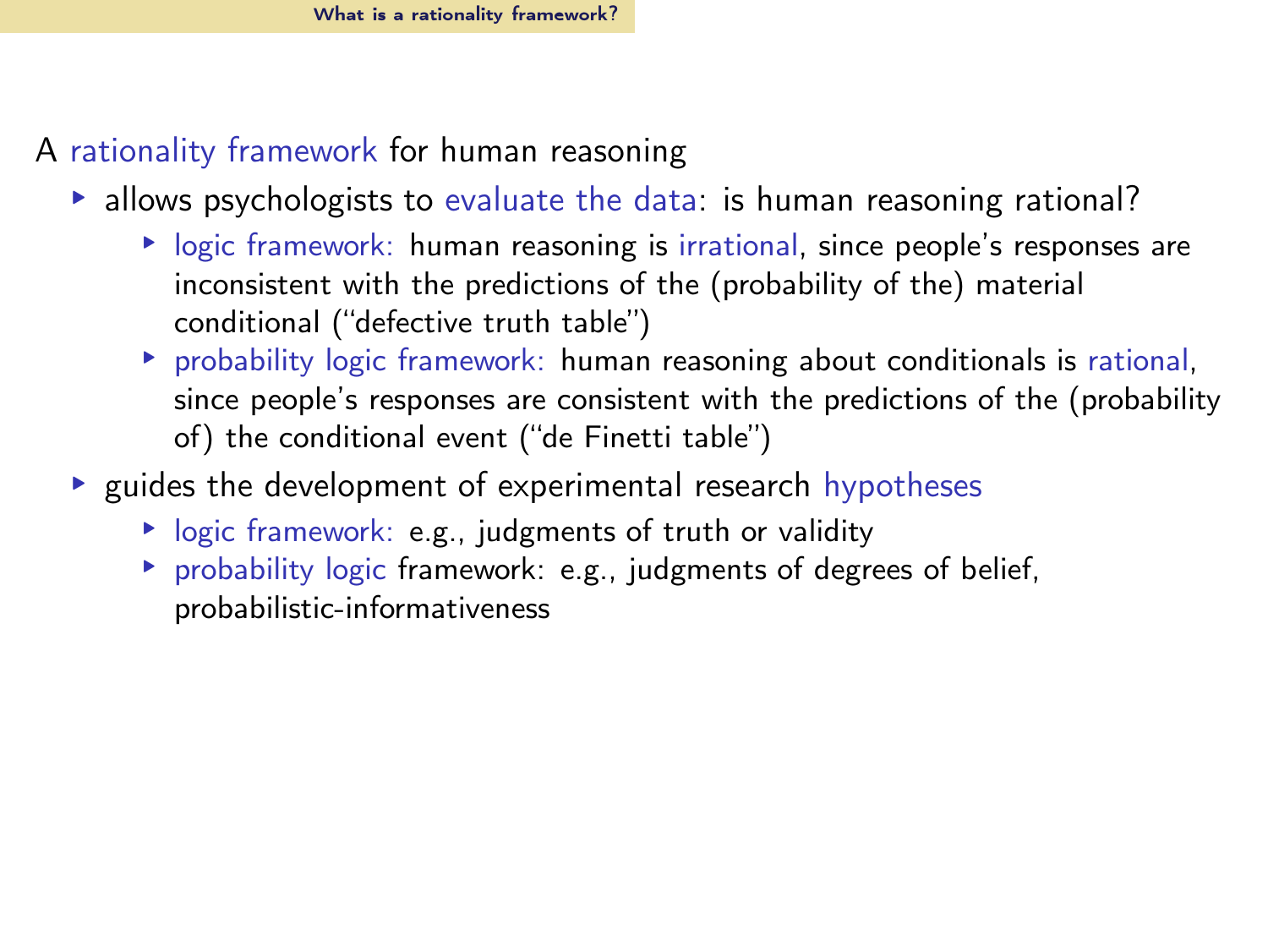- A rationality framework for human reasoning
	- $\triangleright$  allows psychologists to evaluate the data: is human reasoning rational?
		- ▸ logic framework: human reasoning is irrational, since people's responses are inconsistent with the predictions of the (probability of the) material conditional ("defective truth table")
		- ▸ probability logic framework: human reasoning about conditionals is rational, since people's responses are consistent with the predictions of the (probability of) the conditional event ("de Finetti table")
	- ▸ guides the development of experimental research hypotheses
		- ▸ logic framework: e.g., judgments of truth or validity
		- ▸ probability logic framework: e.g., judgments of degrees of belief, probabilistic-informativeness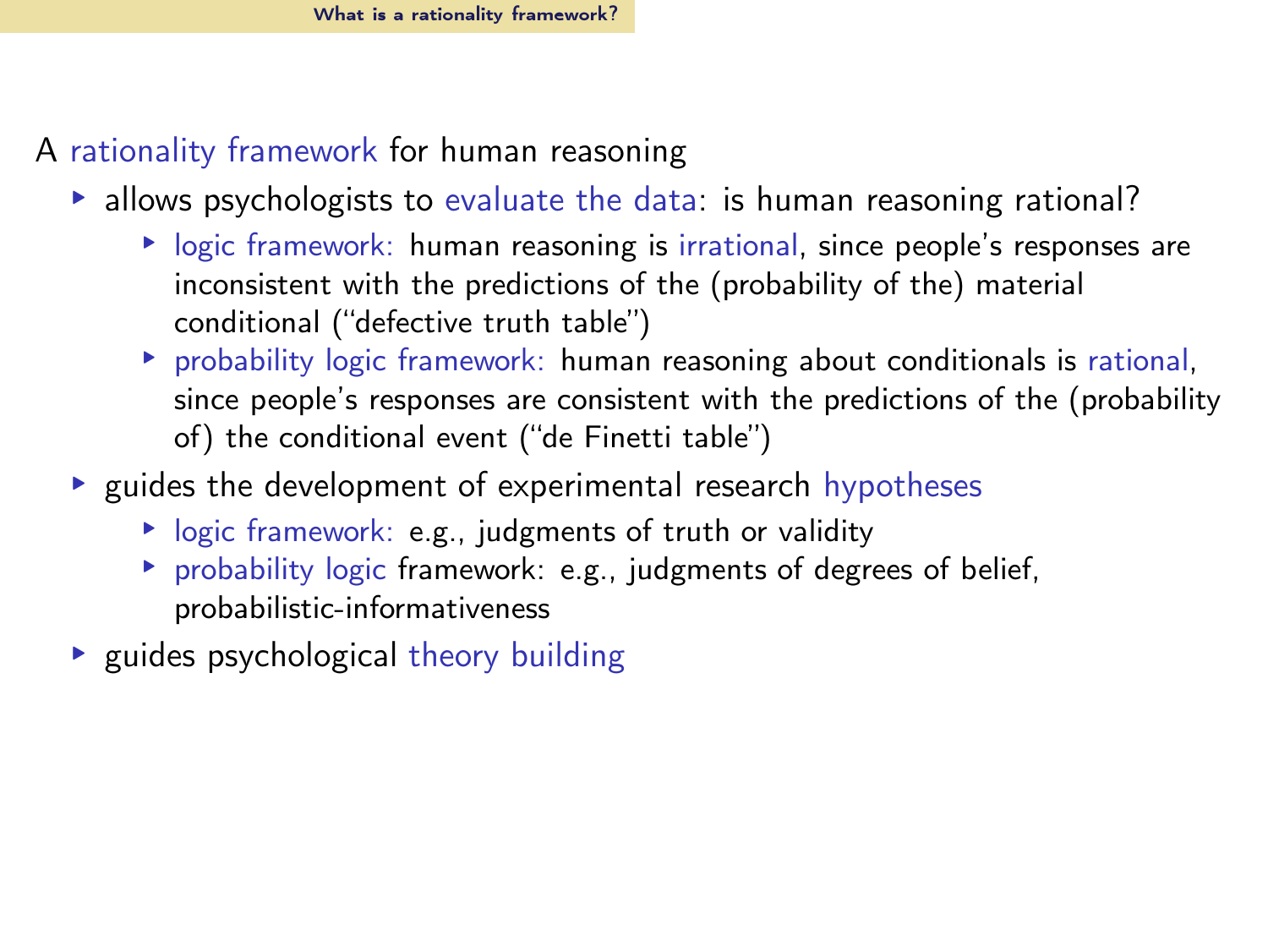- A rationality framework for human reasoning
	- $\triangleright$  allows psychologists to evaluate the data: is human reasoning rational?
		- ▸ logic framework: human reasoning is irrational, since people's responses are inconsistent with the predictions of the (probability of the) material conditional ("defective truth table")
		- ▸ probability logic framework: human reasoning about conditionals is rational, since people's responses are consistent with the predictions of the (probability of) the conditional event ("de Finetti table")
	- ▸ guides the development of experimental research hypotheses
		- ▸ logic framework: e.g., judgments of truth or validity
		- ▸ probability logic framework: e.g., judgments of degrees of belief, probabilistic-informativeness
	- ▸ guides psychological theory building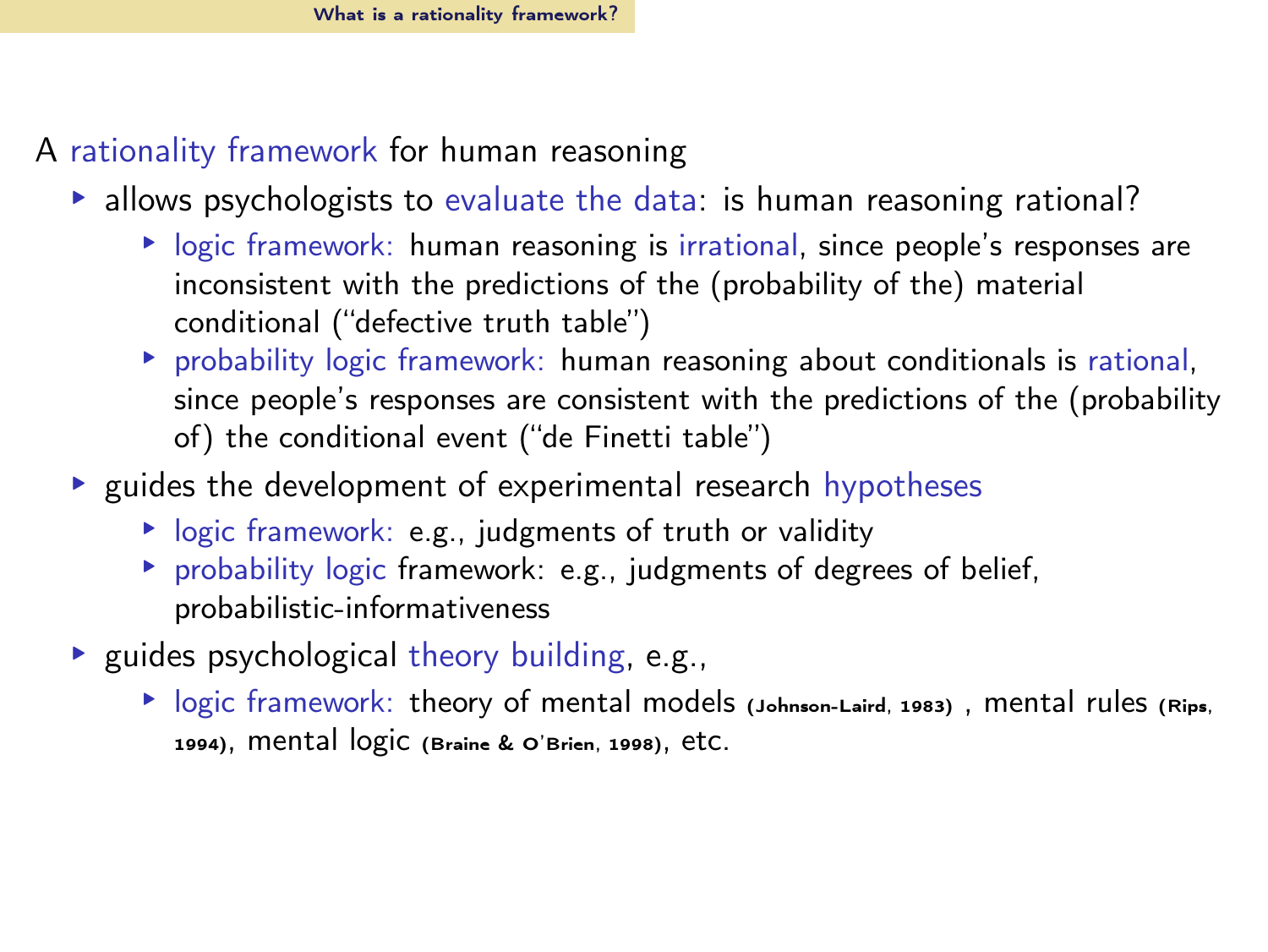- A rationality framework for human reasoning
	- $\triangleright$  allows psychologists to evaluate the data: is human reasoning rational?
		- ▸ logic framework: human reasoning is irrational, since people's responses are inconsistent with the predictions of the (probability of the) material conditional ("defective truth table")
		- ▸ probability logic framework: human reasoning about conditionals is rational, since people's responses are consistent with the predictions of the (probability of) the conditional event ("de Finetti table")
	- ▸ guides the development of experimental research hypotheses
		- ▸ logic framework: e.g., judgments of truth or validity
		- ▸ probability logic framework: e.g., judgments of degrees of belief, probabilistic-informativeness
	- ▸ guides psychological theory building, e.g.,
		- ▸ logic framework: theory of mental models [\(Johnson-Laird, 1983](#page-63-1)) , mental rules [\(Rips](#page-65-0), [1994\)](#page-65-0), mental logic [\(Braine & O'Brien](#page-63-2), [1998\)](#page-63-2), etc.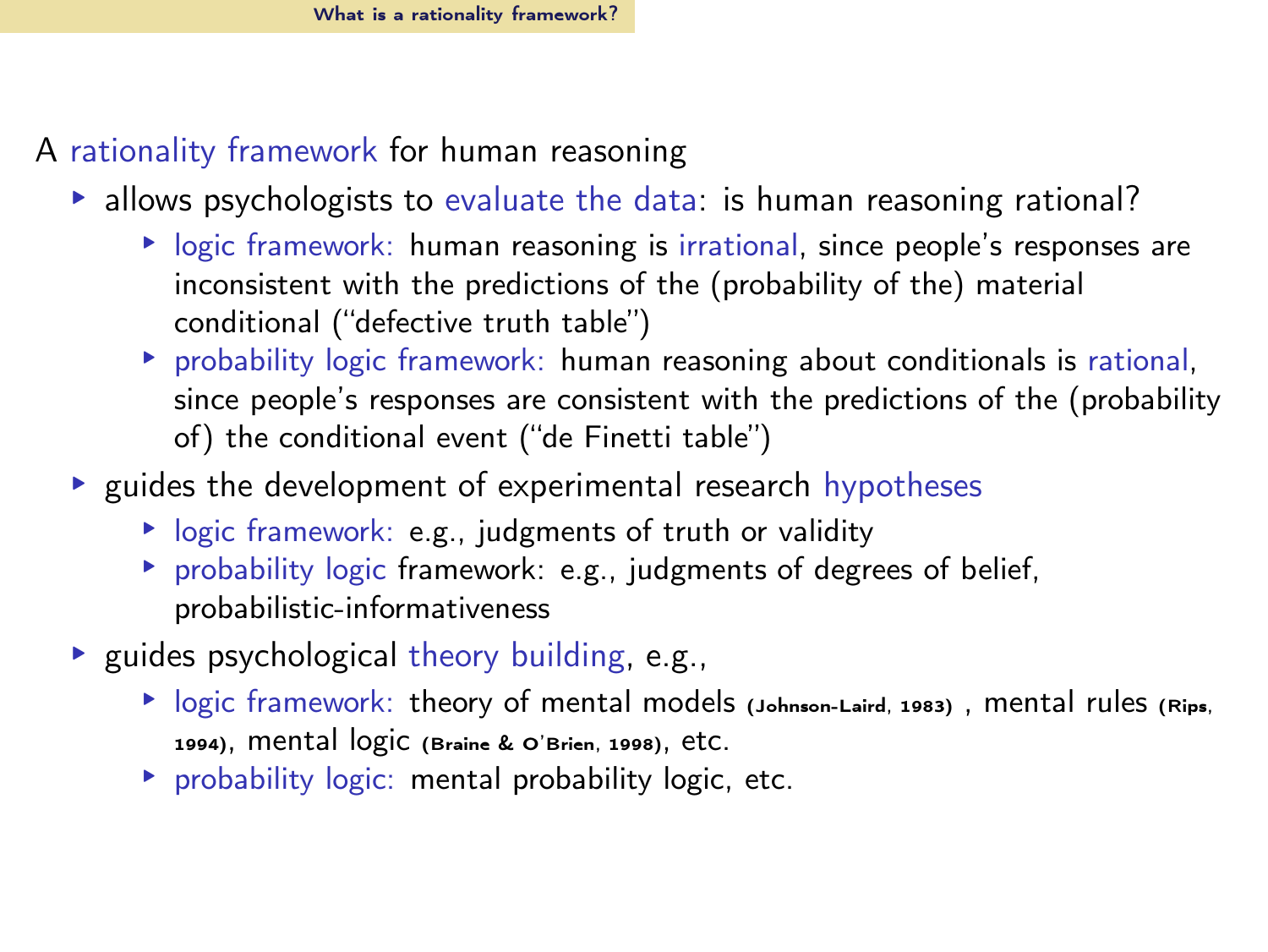- A rationality framework for human reasoning
	- $\triangleright$  allows psychologists to evaluate the data: is human reasoning rational?
		- ▸ logic framework: human reasoning is irrational, since people's responses are inconsistent with the predictions of the (probability of the) material conditional ("defective truth table")
		- ▸ probability logic framework: human reasoning about conditionals is rational, since people's responses are consistent with the predictions of the (probability of) the conditional event ("de Finetti table")
	- ▶ guides the development of experimental research hypotheses
		- ▸ logic framework: e.g., judgments of truth or validity
		- ▸ probability logic framework: e.g., judgments of degrees of belief, probabilistic-informativeness
	- ▸ guides psychological theory building, e.g.,
		- ▸ logic framework: theory of mental models [\(Johnson-Laird, 1983](#page-63-1)) , mental rules [\(Rips](#page-65-0), [1994\)](#page-65-0), mental logic [\(Braine & O'Brien](#page-63-2), [1998\)](#page-63-2), etc.
		- ▸ probability logic: mental probability logic, etc.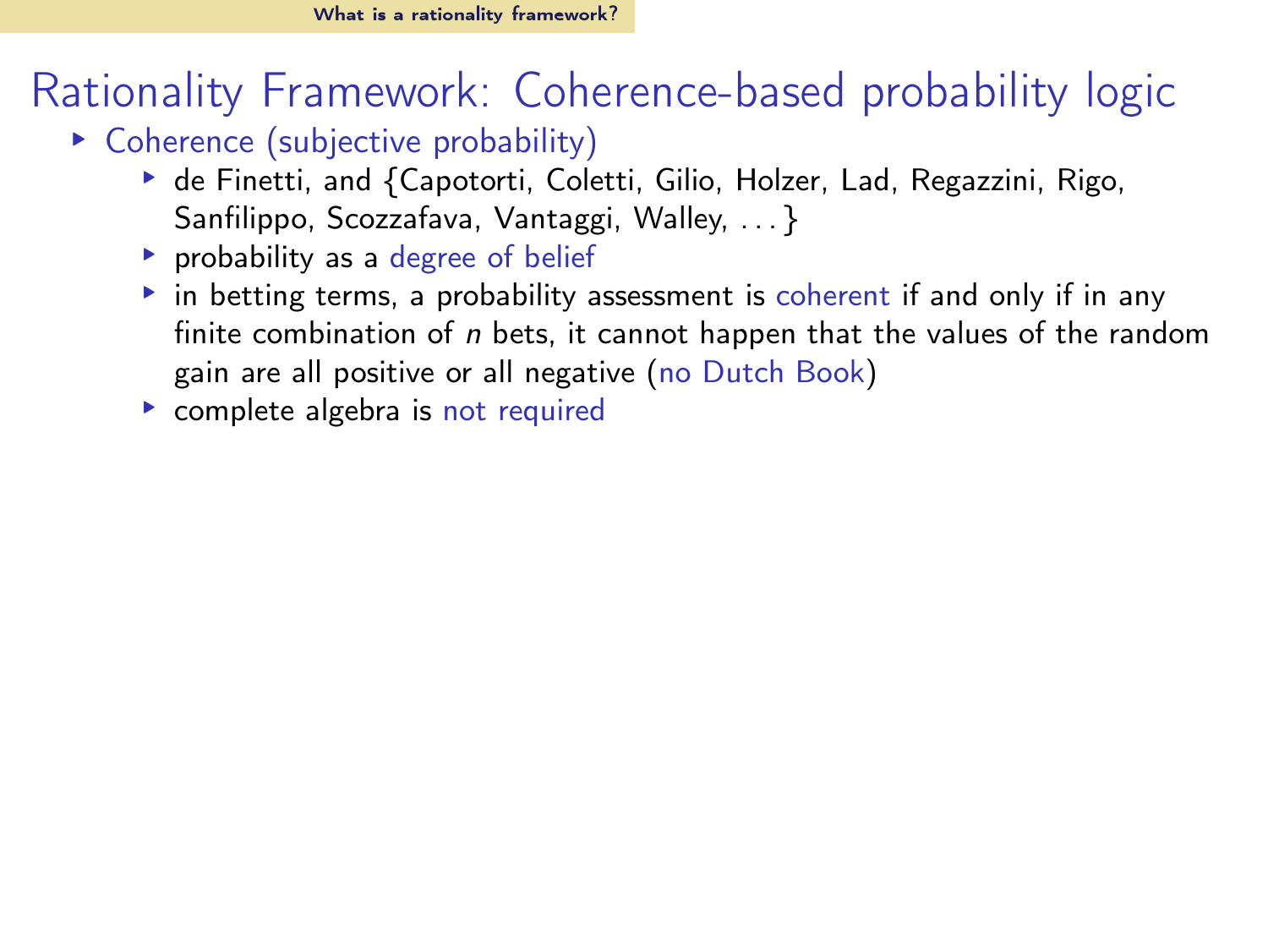- ▸ Coherence (subjective probability)
	- ▶ de Finetti, and {Capotorti, Coletti, Gilio, Holzer, Lad, Regazzini, Rigo, Sanfilippo, Scozzafava, Vantaggi, Walley, . . . }
	- ▸ probability as a degree of belief
	- ▸ in betting terms, a probability assessment is coherent if and only if in any finite combination of  $n$  bets, it cannot happen that the values of the random gain are all positive or all negative (no Dutch Book)
	- ▸ complete algebra is not required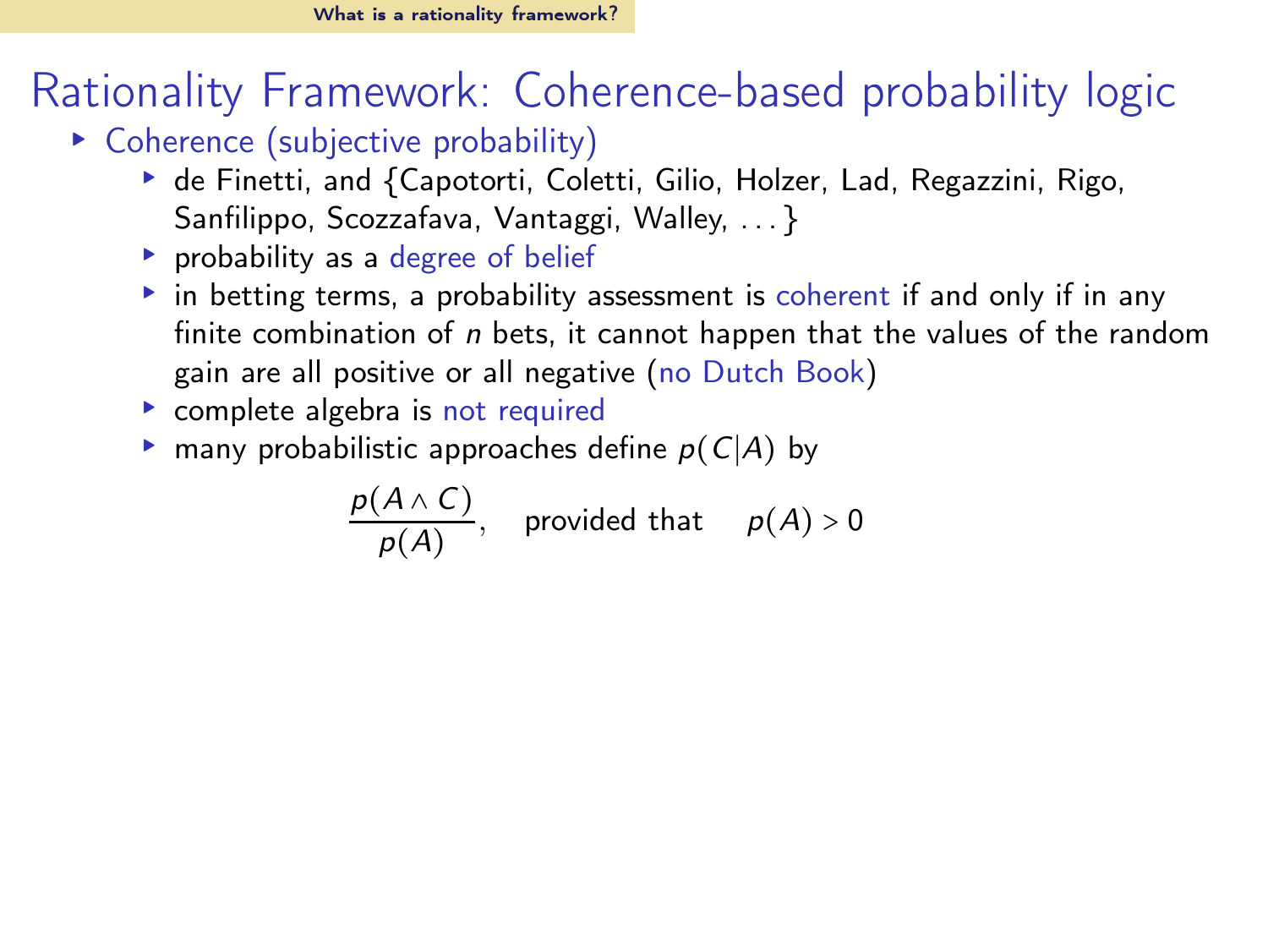- ▸ Coherence (subjective probability)
	- ▶ de Finetti, and {Capotorti, Coletti, Gilio, Holzer, Lad, Regazzini, Rigo, Sanfilippo, Scozzafava, Vantaggi, Walley, . . . }
	- ▸ probability as a degree of belief
	- ▸ in betting terms, a probability assessment is coherent if and only if in any finite combination of  $n$  bets, it cannot happen that the values of the random gain are all positive or all negative (no Dutch Book)
	- ▸ complete algebra is not required
	- $\triangleright$  many probabilistic approaches define  $p(C|A)$  by

$$
\frac{p(A \wedge C)}{p(A)}, \quad \text{provided that} \quad p(A) > 0
$$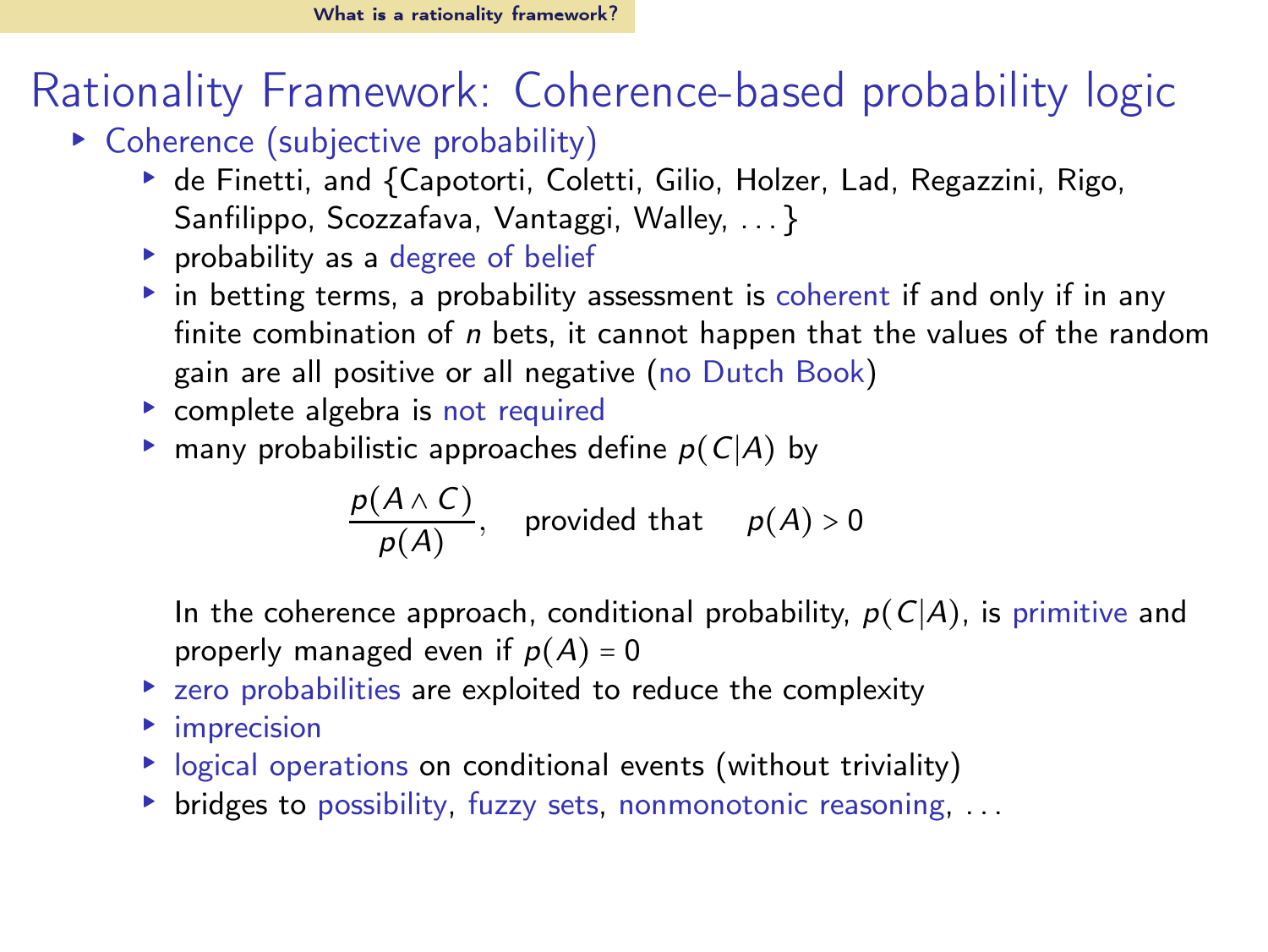- ▸ Coherence (subjective probability)
	- ▶ de Finetti, and {Capotorti, Coletti, Gilio, Holzer, Lad, Regazzini, Rigo, Sanfilippo, Scozzafava, Vantaggi, Walley, ... }
	- ▸ probability as a degree of belief
	- ▸ in betting terms, a probability assessment is coherent if and only if in any finite combination of  $n$  bets, it cannot happen that the values of the random gain are all positive or all negative (no Dutch Book)
	- ▸ complete algebra is not required
	- $\triangleright$  many probabilistic approaches define  $p(C|A)$  by

$$
\frac{p(A \wedge C)}{p(A)}, \quad \text{provided that} \quad p(A) > 0
$$

In the coherence approach, conditional probability,  $p(C|A)$ , is primitive and properly managed even if  $p(A) = 0$ 

- ▸ zero probabilities are exploited to reduce the complexity
- ▸ imprecision
- ▸ logical operations on conditional events (without triviality)
- ▶ bridges to possibility, fuzzy sets, nonmonotonic reasoning, ...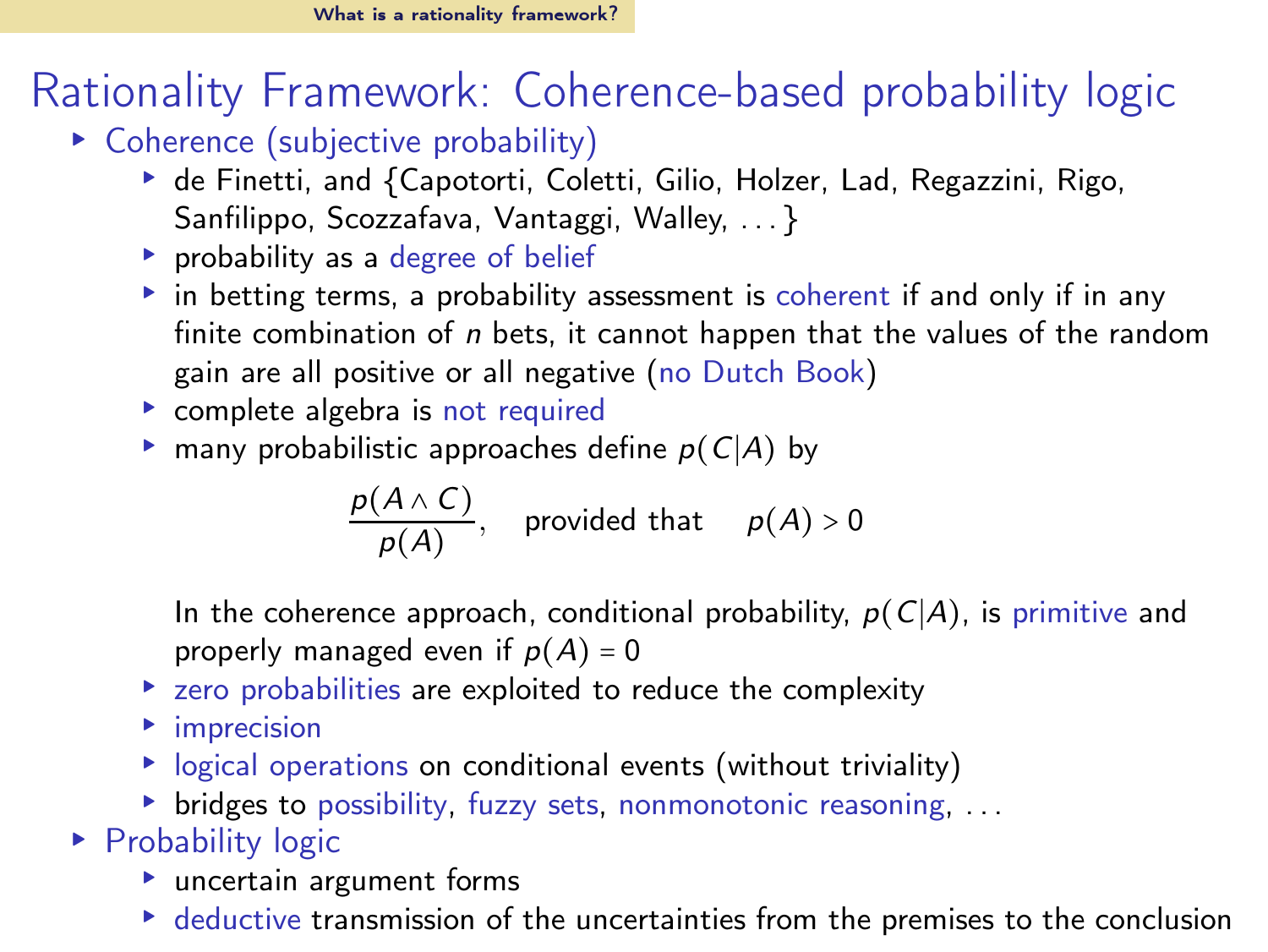- ▸ Coherence (subjective probability)
	- ▶ de Finetti, and {Capotorti, Coletti, Gilio, Holzer, Lad, Regazzini, Rigo, Sanfilippo, Scozzafava, Vantaggi, Walley, . . . }
	- ▸ probability as a degree of belief
	- ▸ in betting terms, a probability assessment is coherent if and only if in any finite combination of  $n$  bets, it cannot happen that the values of the random gain are all positive or all negative (no Dutch Book)
	- ▸ complete algebra is not required
	- $\triangleright$  many probabilistic approaches define  $p(C|A)$  by

$$
\frac{p(A \wedge C)}{p(A)}, \quad \text{provided that} \quad p(A) > 0
$$

In the coherence approach, conditional probability,  $p(C|A)$ , is primitive and properly managed even if  $p(A) = 0$ 

- ▸ zero probabilities are exploited to reduce the complexity
- ▸ imprecision
- ▸ logical operations on conditional events (without triviality)
- ▸ bridges to possibility, fuzzy sets, nonmonotonic reasoning, . . .

▶ Probability logic

- ▸ uncertain argument forms
- ▸ deductive transmission of the uncertainties from the premises to the conclusion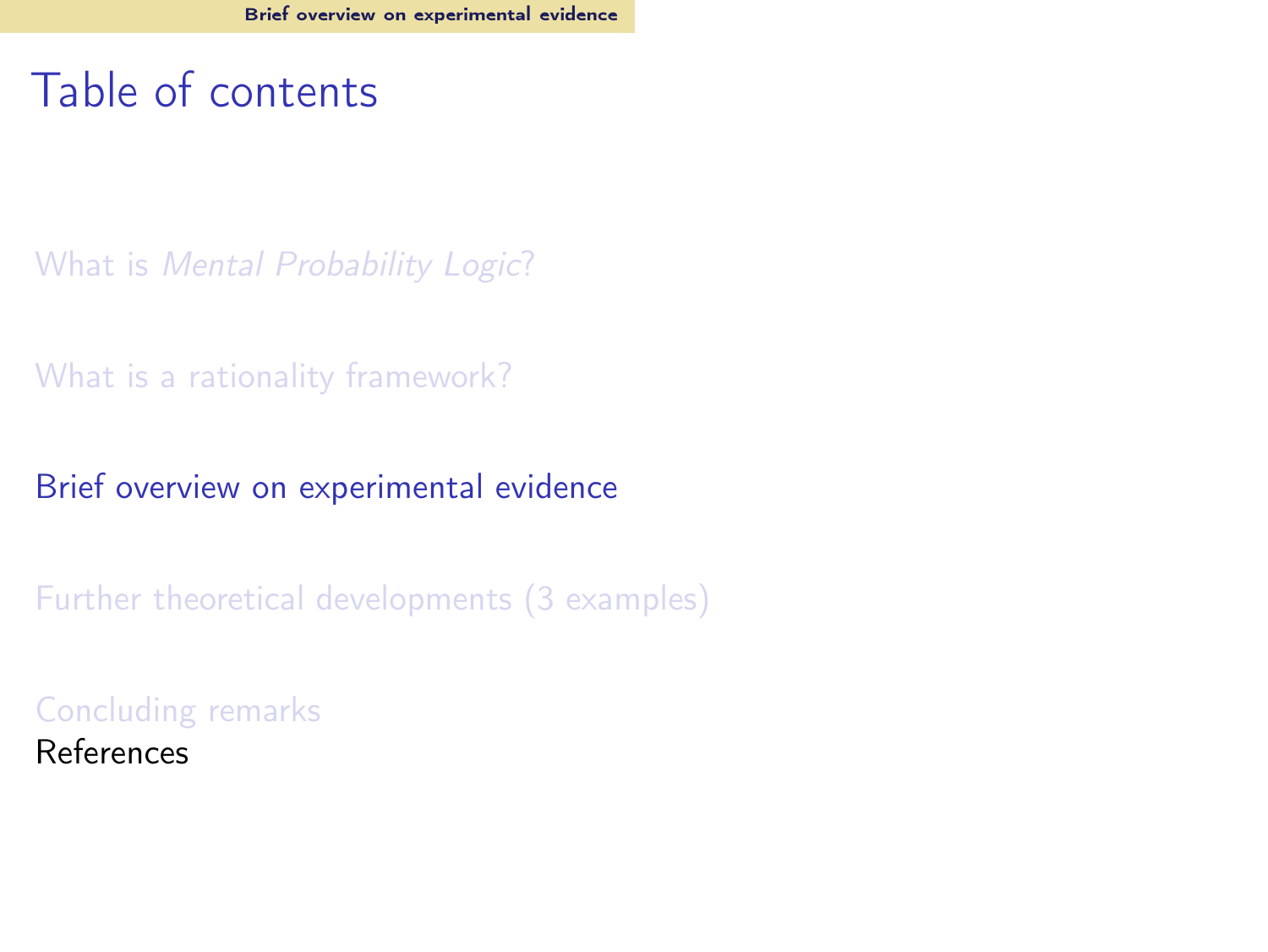#### <span id="page-22-0"></span>Table of contents

What is [Mental Probability Logic](#page-2-0)?

[What is a rationality framework?](#page-7-0)

[Brief overview on experimental evidence](#page-22-0)

[Further theoretical developments \(3 examples\)](#page-41-0)

[Concluding remarks](#page-61-0) References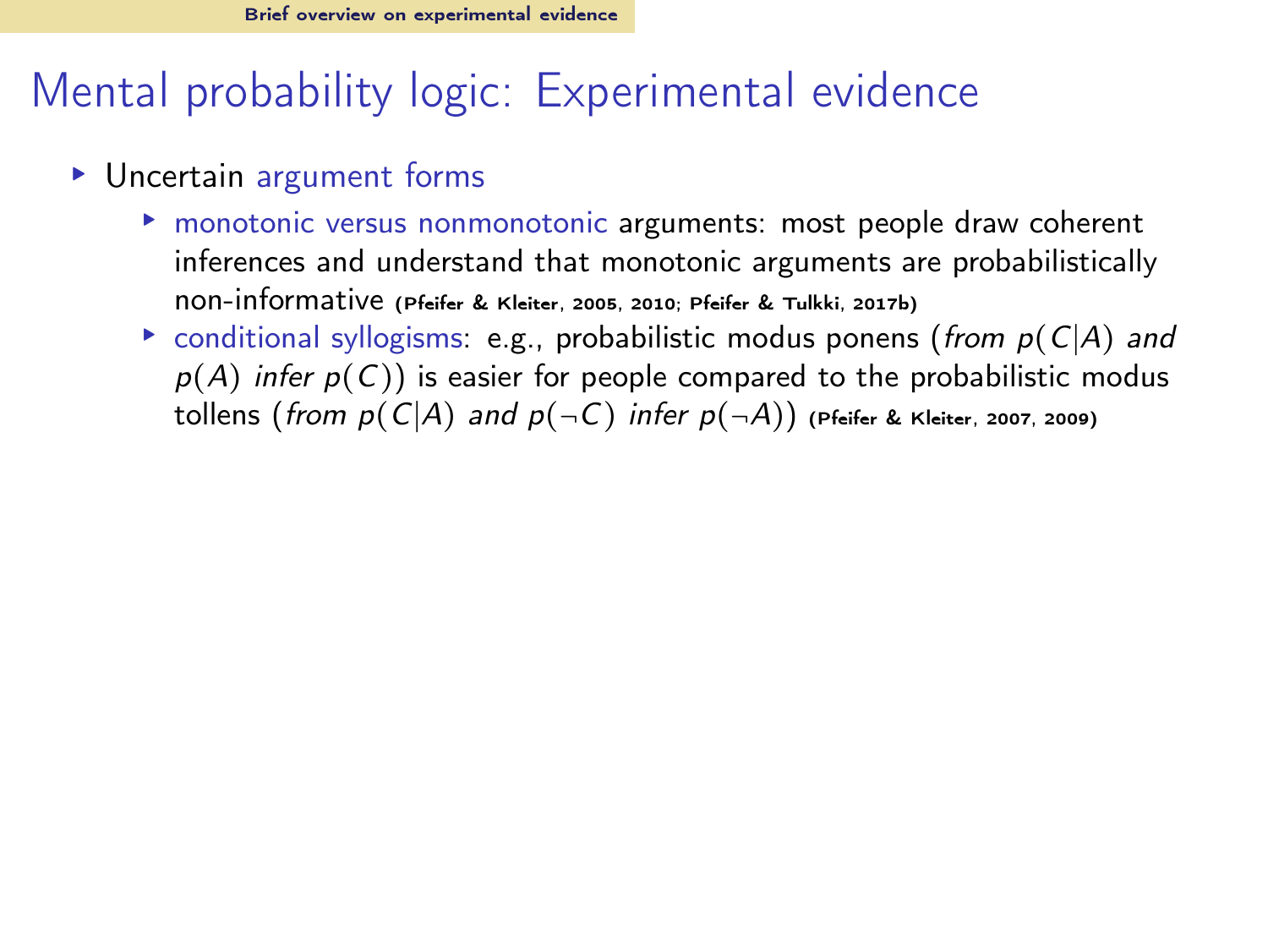## Mental probability logic: Experimental evidence

- ▸ Uncertain argument forms
	- ▸ monotonic versus nonmonotonic arguments: most people draw coherent inferences and understand that monotonic arguments are probabilistically non-informative [\(Pfeifer & Kleiter, 2005,](#page-64-4) [2010](#page-64-6); [Pfeifer & Tulkki](#page-65-1), [2017b](#page-65-1))
	- $\triangleright$  conditional syllogisms: e.g., probabilistic modus ponens (from  $p(C|A)$  and  $p(A)$  infer  $p(C)$ ) is easier for people compared to the probabilistic modus tollens (from  $p(C|A)$  and  $p(\neg C)$  infer  $p(\neg A)$ ) [\(Pfeifer & Kleiter](#page-64-7), [2007,](#page-64-7) [2009\)](#page-64-5)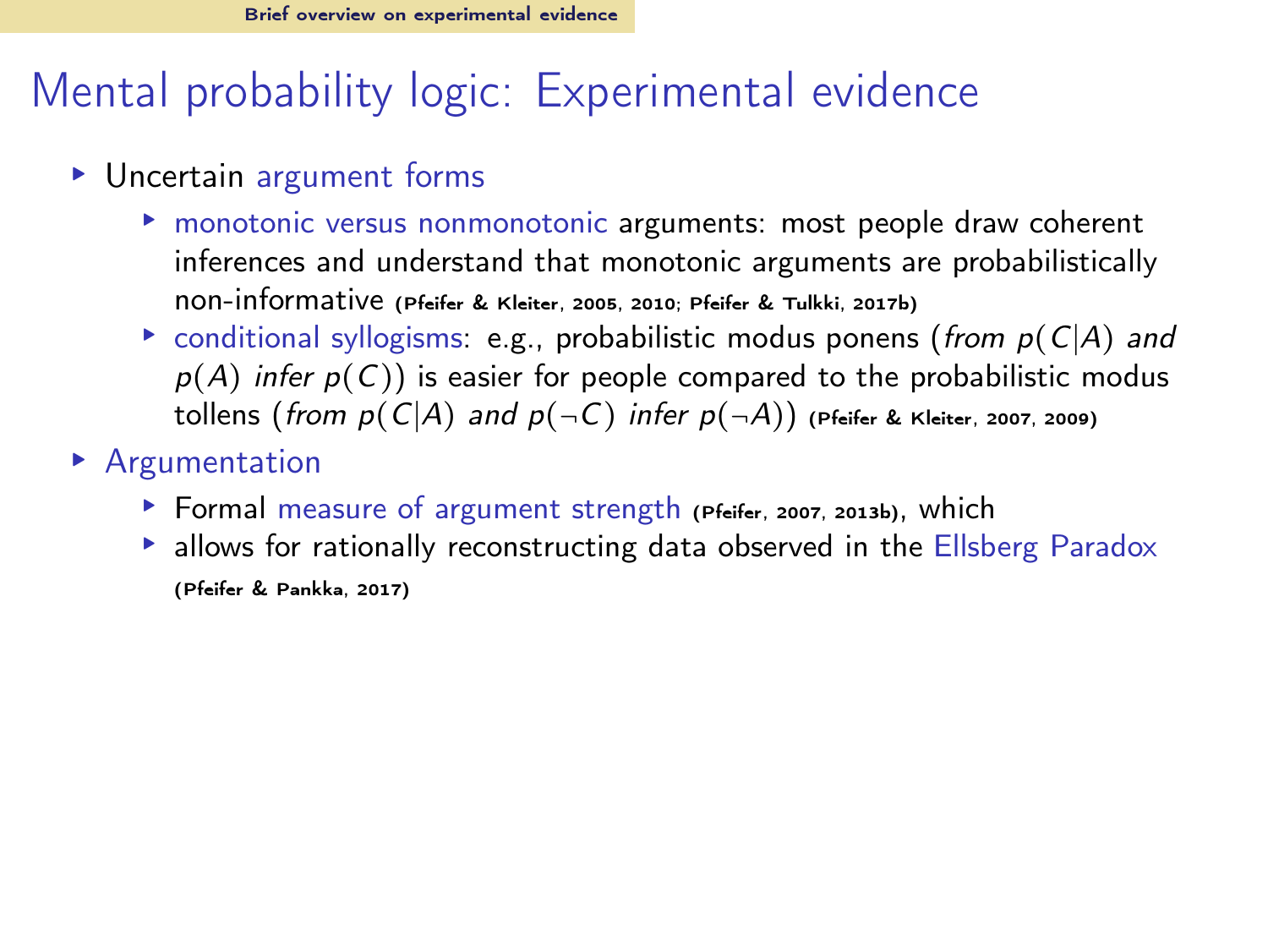## Mental probability logic: Experimental evidence

- ▸ Uncertain argument forms
	- ▸ monotonic versus nonmonotonic arguments: most people draw coherent inferences and understand that monotonic arguments are probabilistically non-informative [\(Pfeifer & Kleiter, 2005,](#page-64-4) [2010](#page-64-6); [Pfeifer & Tulkki](#page-65-1), [2017b](#page-65-1))
	- $\triangleright$  conditional syllogisms: e.g., probabilistic modus ponens (from  $p(C|A)$  and  $p(A)$  infer  $p(C)$ ) is easier for people compared to the probabilistic modus tollens (from  $p(C|A)$  and  $p(\neg C)$  infer  $p(\neg A)$ ) [\(Pfeifer & Kleiter](#page-64-7), [2007,](#page-64-7) [2009\)](#page-64-5)
- ▸ Argumentation
	- ▸ Formal measure of argument strength [\(Pfeifer](#page-64-8), [2007,](#page-64-8) [2013b\)](#page-64-9), which
	- ▶ allows for rationally reconstructing data observed in the Ellsberg Paradox [\(Pfeifer & Pankka](#page-64-10), [2017\)](#page-64-10)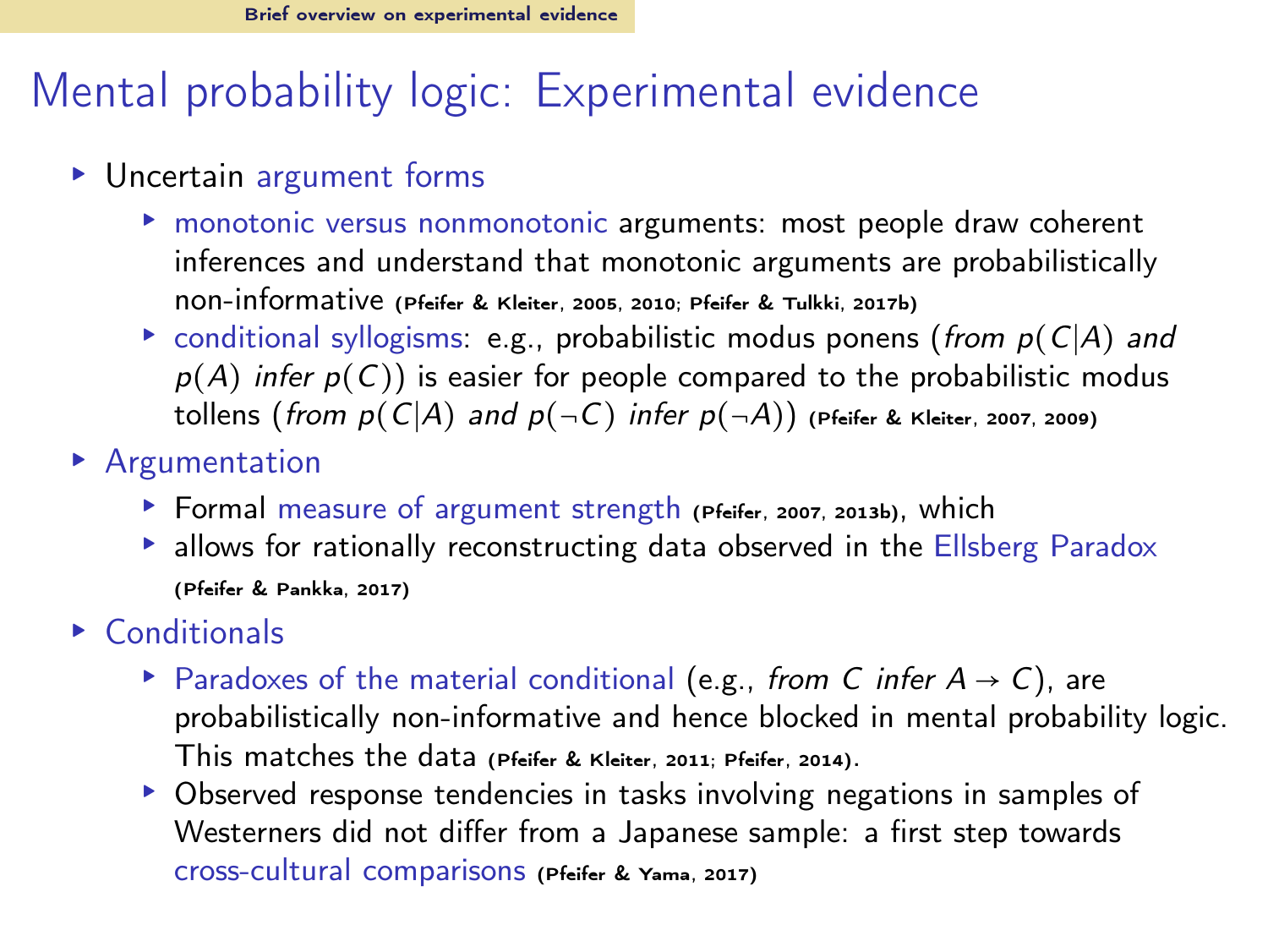## Mental probability logic: Experimental evidence

- ▸ Uncertain argument forms
	- ▸ monotonic versus nonmonotonic arguments: most people draw coherent inferences and understand that monotonic arguments are probabilistically non-informative [\(Pfeifer & Kleiter, 2005,](#page-64-4) [2010](#page-64-6); [Pfeifer & Tulkki](#page-65-1), [2017b](#page-65-1))
	- $\triangleright$  conditional syllogisms: e.g., probabilistic modus ponens (from  $p(C|A)$  and  $p(A)$  infer  $p(C)$ ) is easier for people compared to the probabilistic modus tollens (from  $p(C|A)$  and  $p(\neg C)$  infer  $p(\neg A)$ ) [\(Pfeifer & Kleiter](#page-64-7), [2007,](#page-64-7) [2009\)](#page-64-5)
- ▸ Argumentation
	- ▸ Formal measure of argument strength [\(Pfeifer](#page-64-8), [2007,](#page-64-8) [2013b\)](#page-64-9), which
	- ▸ allows for rationally reconstructing data observed in the Ellsberg Paradox [\(Pfeifer & Pankka](#page-64-10), [2017\)](#page-64-10)
- ▸ Conditionals
	- ▶ Paradoxes of the material conditional (e.g., from C infer  $A \rightarrow C$ ), are probabilistically non-informative and hence blocked in mental probability logic. This matches the data [\(Pfeifer & Kleiter](#page-64-11), [2011](#page-64-11); [Pfeifer](#page-64-2), [2014](#page-64-2)).
	- ▸ Observed response tendencies in tasks involving negations in samples of Westerners did not differ from a Japanese sample: a first step towards cross-cultural comparisons [\(Pfeifer & Yama, 2017](#page-65-2))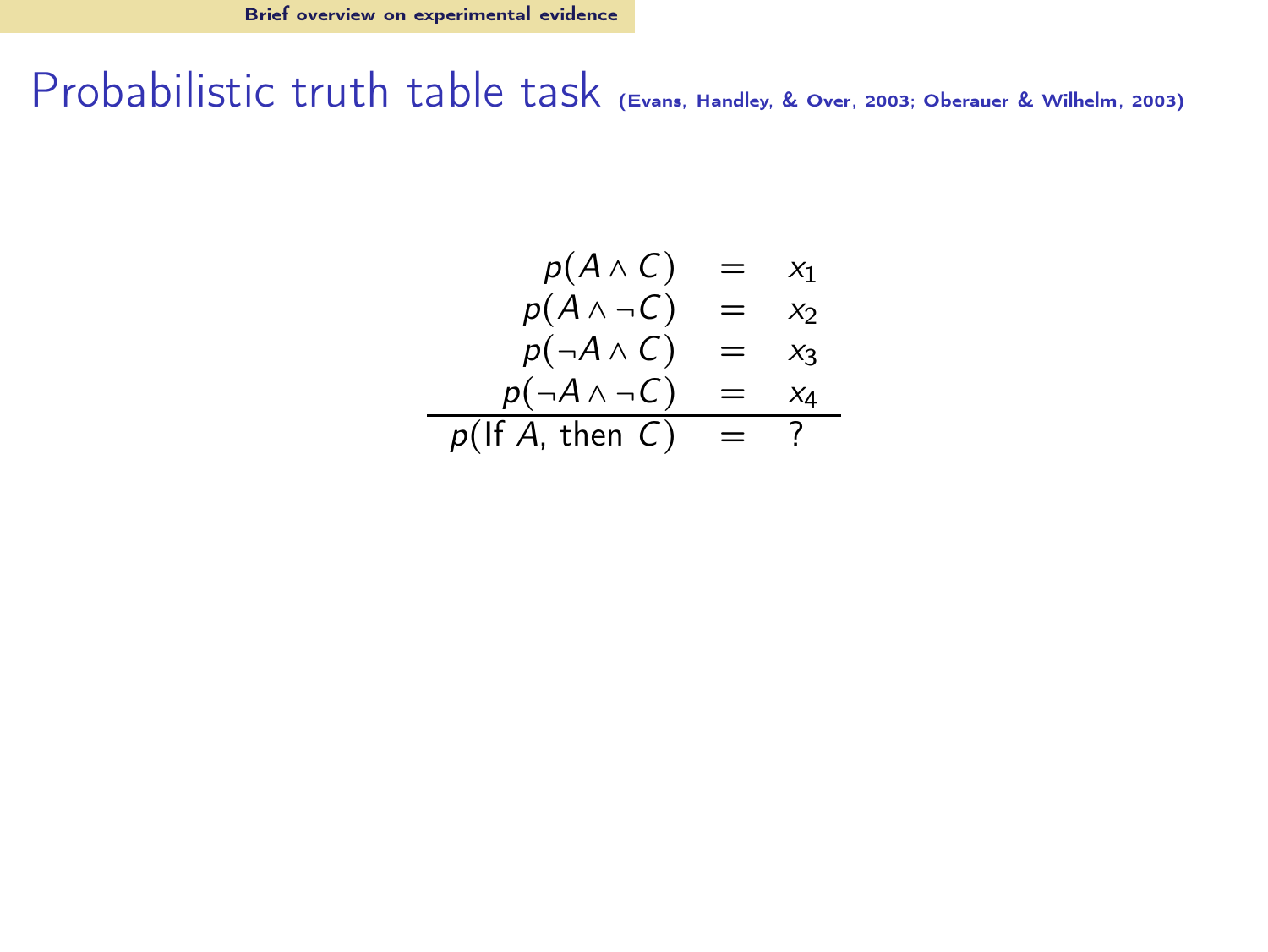$$
p(A \land C) = x_1
$$
  
\n
$$
p(A \land \neg C) = x_2
$$
  
\n
$$
p(\neg A \land C) = x_3
$$
  
\n
$$
p(\neg A \land \neg C) = x_4
$$
  
\n
$$
p(\text{If } A, \text{ then } C) = ?
$$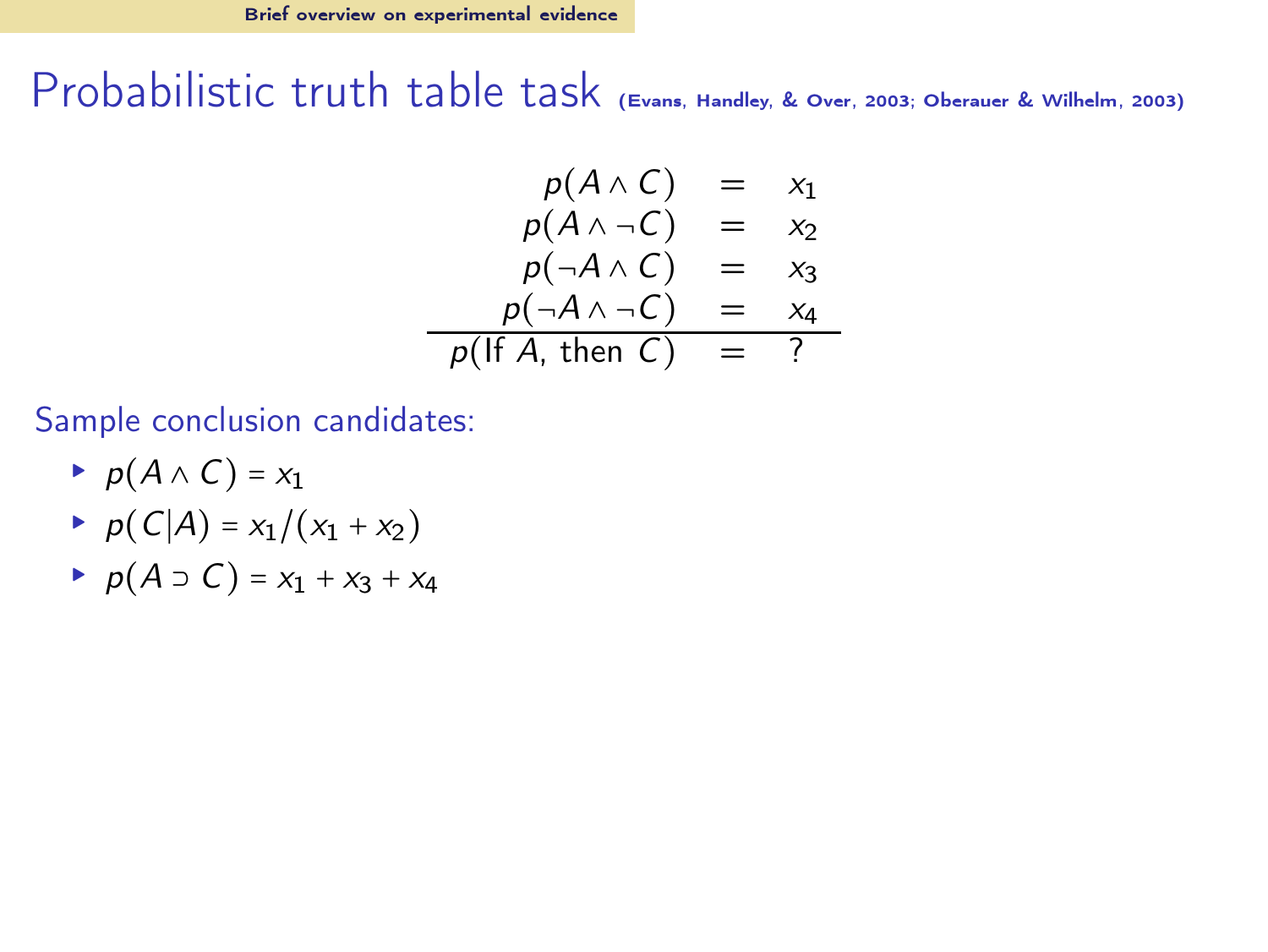$$
p(A \land C) = x_1
$$
  
\n
$$
p(A \land \neg C) = x_2
$$
  
\n
$$
p(\neg A \land C) = x_3
$$
  
\n
$$
p(\neg A \land \neg C) = x_4
$$
  
\n
$$
p(\text{If } A, \text{ then } C) = ?
$$

Sample conclusion candidates:

- $\rightarrow p(A \wedge C) = x_1$
- ►  $p(C|A) = x_1/(x_1 + x_2)$
- $\rightarrow p(A \supset C) = x_1 + x_3 + x_4$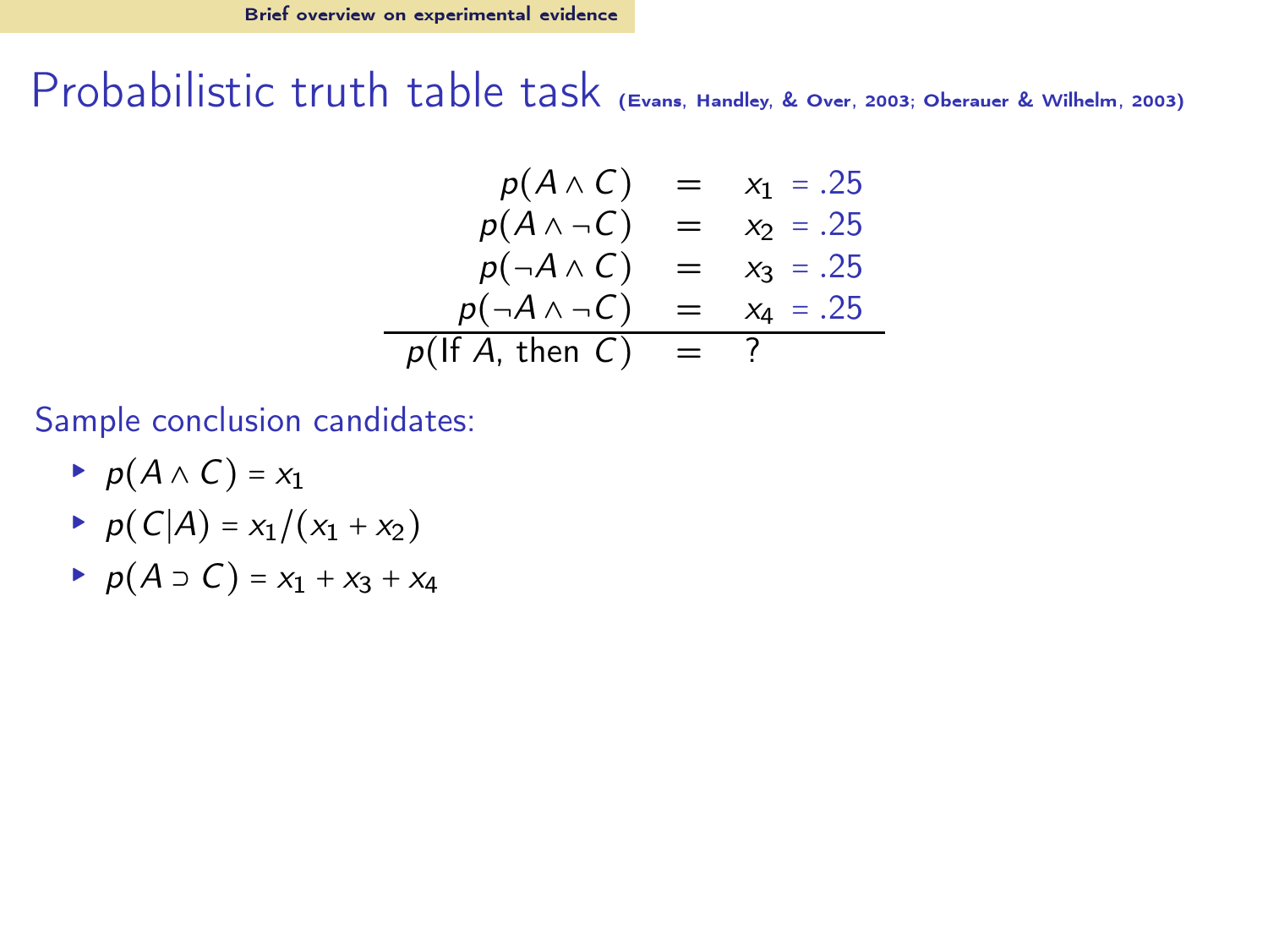$$
p(A \land C) = x_1 = .25p(A \land \neg C) = x_2 = .25p(\neg A \land C) = x_3 = .25p(\neg A \land \neg C) = x_4 = .25p(H A, then C) = ?
$$

Sample conclusion candidates:

- $\rightarrow p(A \wedge C) = x_1$
- ►  $p(C|A) = x_1/(x_1 + x_2)$
- $\rightarrow p(A \supset C) = x_1 + x_3 + x_4$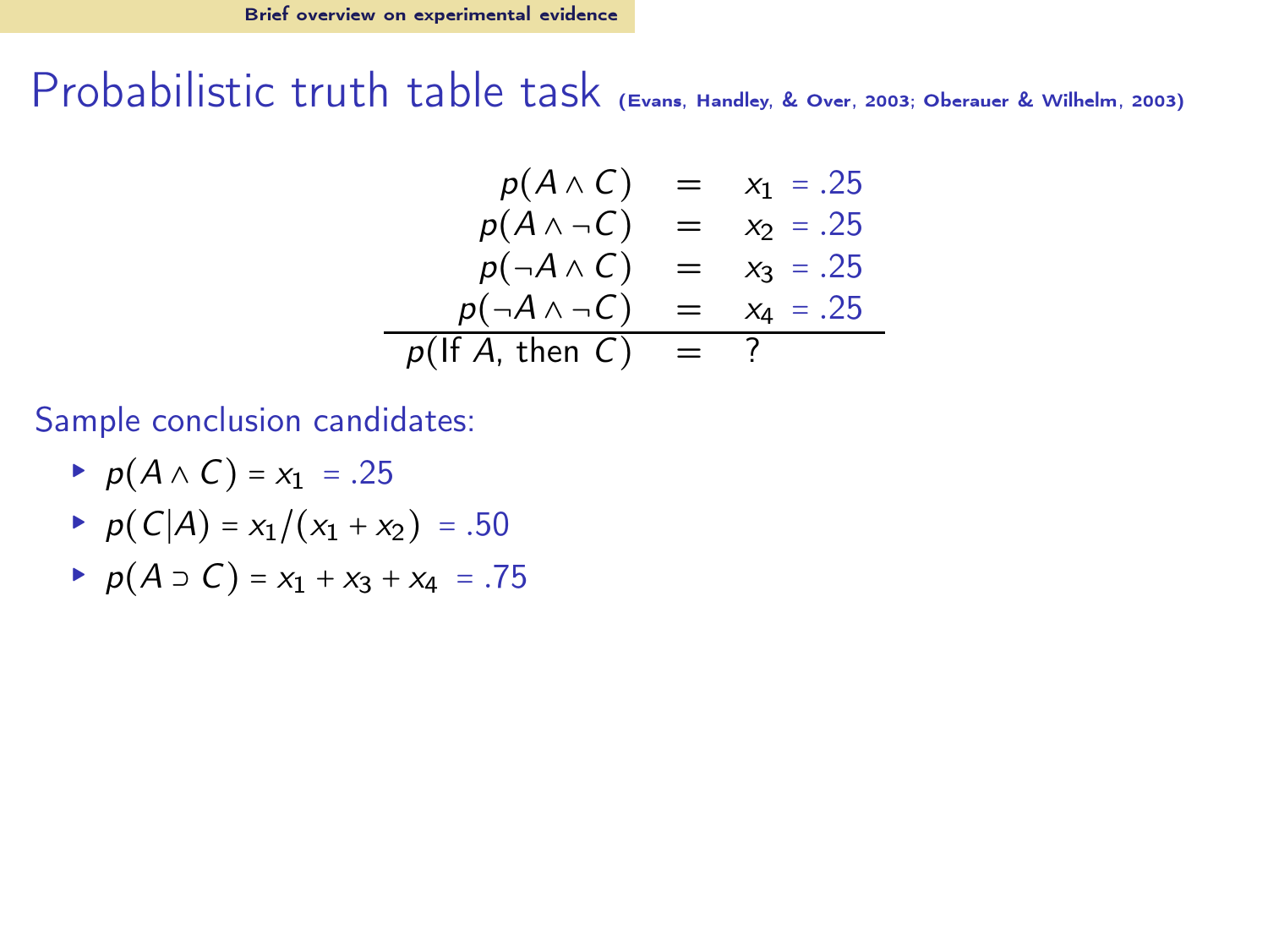$$
p(A \land C) = x_1 = .25\np(A \land \neg C) = x_2 = .25\np(\neg A \land C) = x_3 = .25\np(\neg A \land \neg C) = x_4 = .25\np(H A, then C) = ?
$$

Sample conclusion candidates:

- $p(A \wedge C) = x_1 = .25$
- ►  $p(C|A) = x_1/(x_1 + x_2) = .50$
- ►  $p(A \supset C) = x_1 + x_3 + x_4 = .75$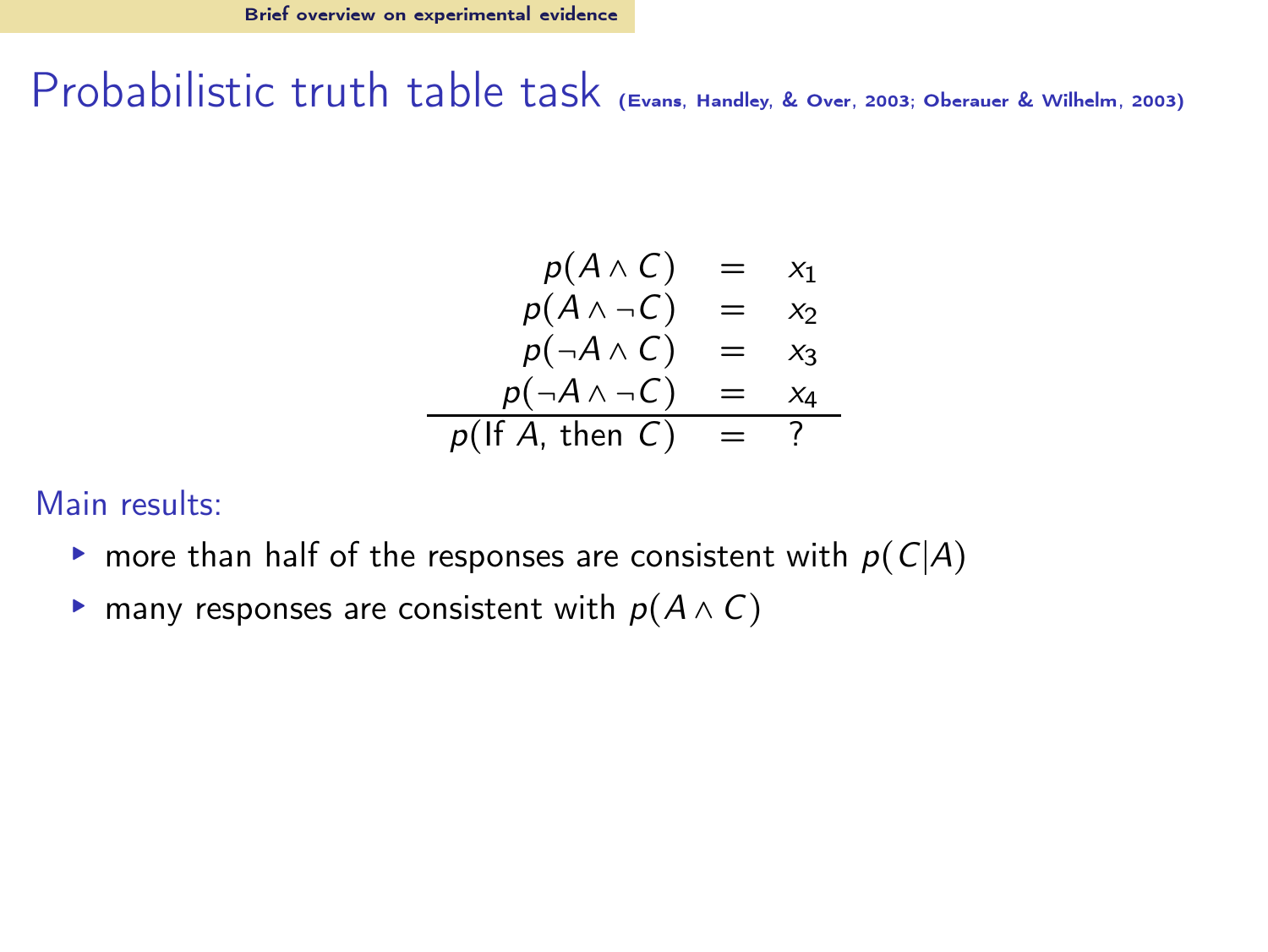$$
p(A \land C) = x_1
$$
  
\n
$$
p(A \land \neg C) = x_2
$$
  
\n
$$
p(\neg A \land C) = x_3
$$
  
\n
$$
p(\neg A \land \neg C) = x_4
$$
  
\n
$$
p(\text{If } A, \text{ then } C) = ?
$$

#### Main results:

- $\triangleright$  more than half of the responses are consistent with  $p(C|A)$
- $\triangleright$  many responses are consistent with  $p(A \wedge C)$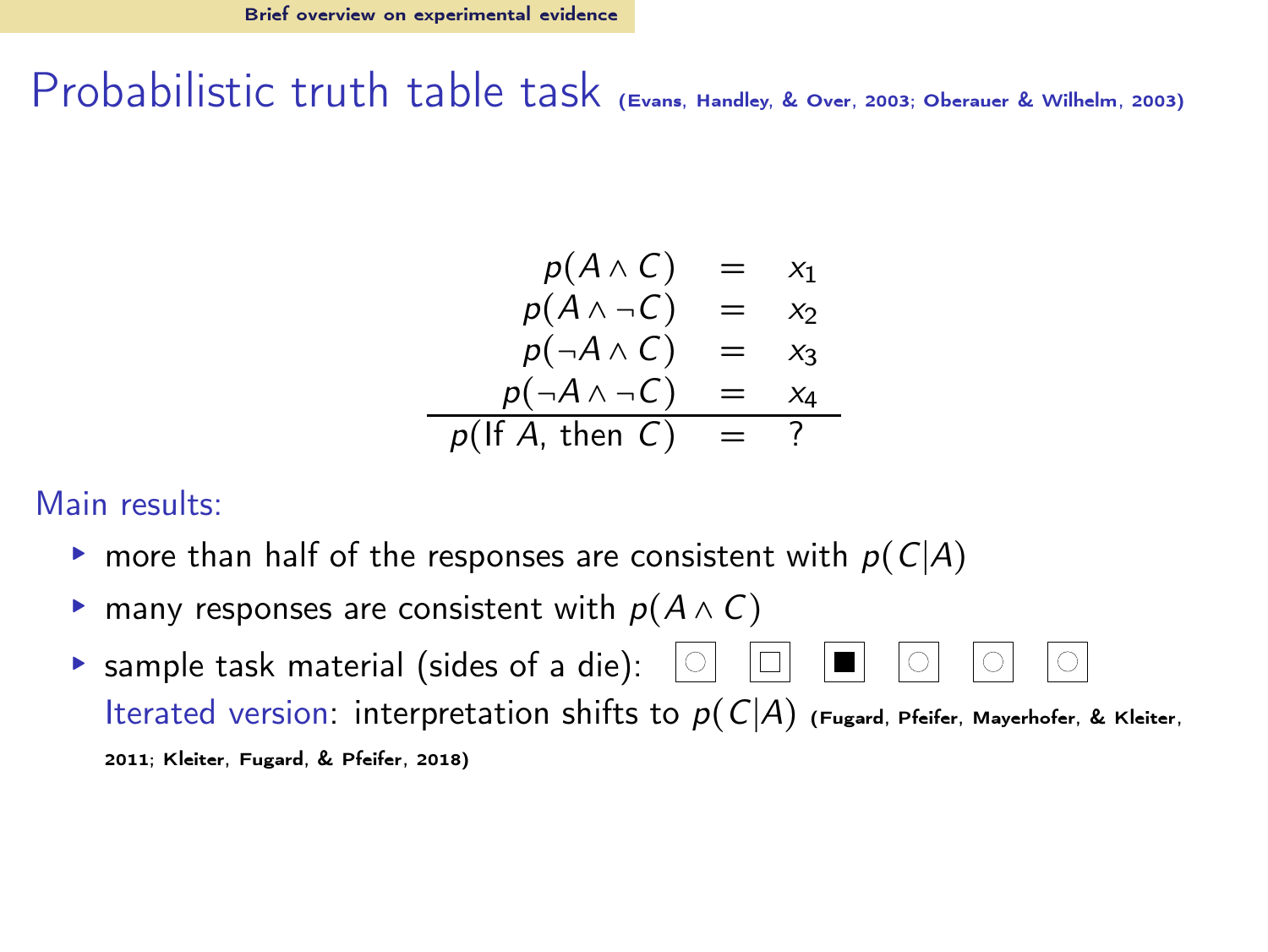$$
p(A \land C) = x_1
$$
  
\n
$$
p(A \land \neg C) = x_2
$$
  
\n
$$
p(\neg A \land C) = x_3
$$
  
\n
$$
p(\neg A \land \neg C) = x_4
$$
  
\n
$$
p(\text{If } A, \text{ then } C) = ?
$$

#### Main results:

- $\triangleright$  more than half of the responses are consistent with  $p(C|A)$
- $\triangleright$  many responses are consistent with  $p(A \wedge C)$
- **Sample task material (sides of a die):**  $\boxed{\circ}$   $\boxed{\Box}$   $\boxed{\circ}$  $|O|$  $|O|$ Iterated version: interpretation shifts to  $p(C|A)$  [\(Fugard, Pfeifer, Mayerhofer, & Kleiter](#page-63-5), [2011;](#page-63-5) [Kleiter, Fugard, & Pfeifer](#page-63-6), [2018\)](#page-63-6)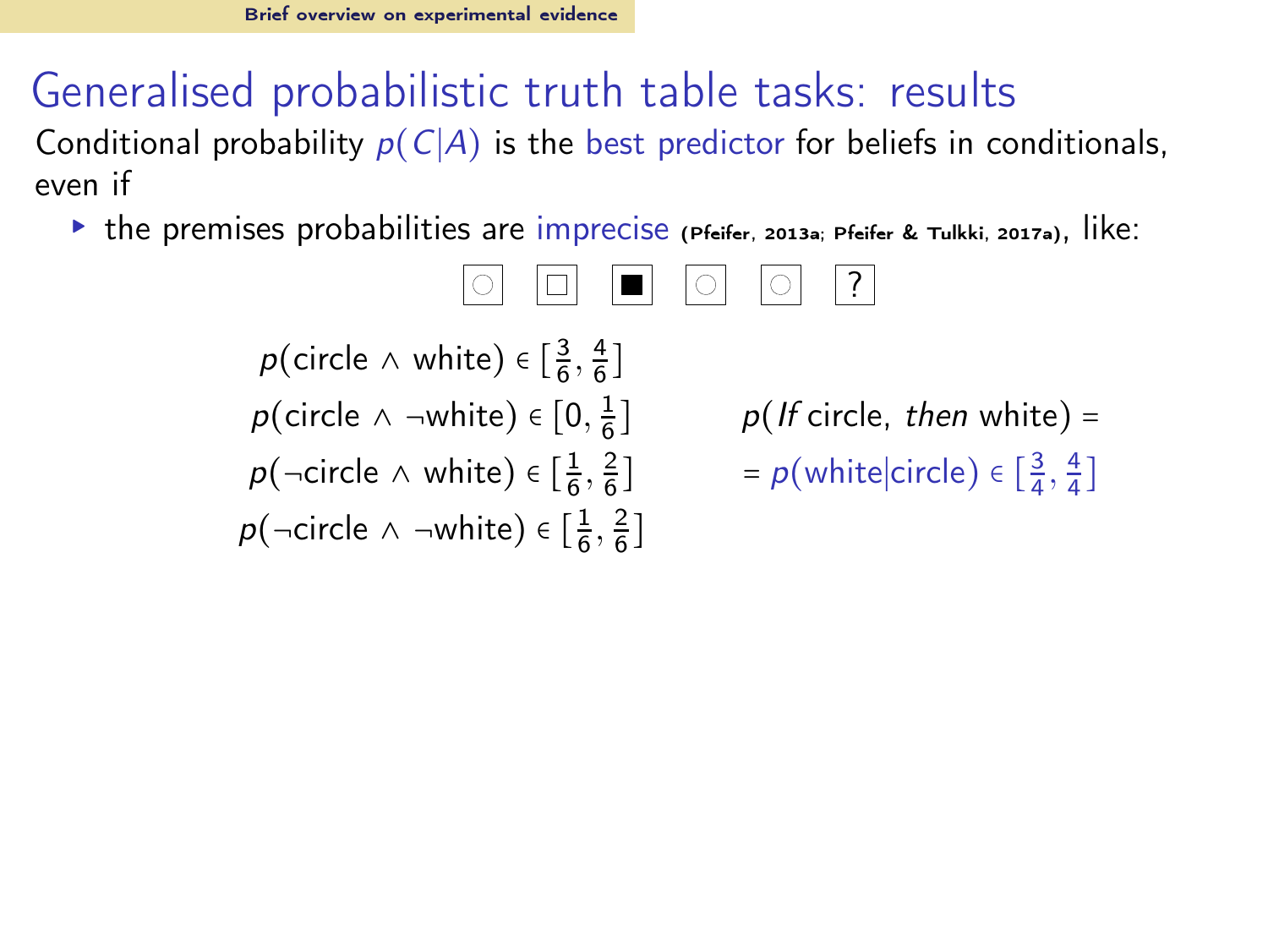Conditional probability  $p(C|A)$  is the best predictor for beliefs in conditionals, even if

▸ the premises probabilities are imprecise [\(Pfeifer, 2013a;](#page-64-1) [Pfeifer & Tulkki, 2017a](#page-65-3)), like:

$$
\circlearrowleft \Box \Box \Box \Box \circlearrowright \Box \Box
$$

$$
p(\text{circle } \land \text{ white}) \in \left[\frac{3}{6}, \frac{4}{6}\right]
$$
\n
$$
p(\text{circle } \land \neg \text{white}) \in \left[0, \frac{1}{6}\right]
$$
\n
$$
p(\neg \text{circle } \land \text{white}) \in \left[\frac{1}{6}, \frac{2}{6}\right]
$$
\n
$$
p(\neg \text{circle } \land \neg \text{white}) \in \left[\frac{1}{6}, \frac{2}{6}\right]
$$

 $p($  If circle, then white) =  $\int$  = p(white|circle)  $\in \left[\frac{3}{4}, \frac{4}{4}\right]$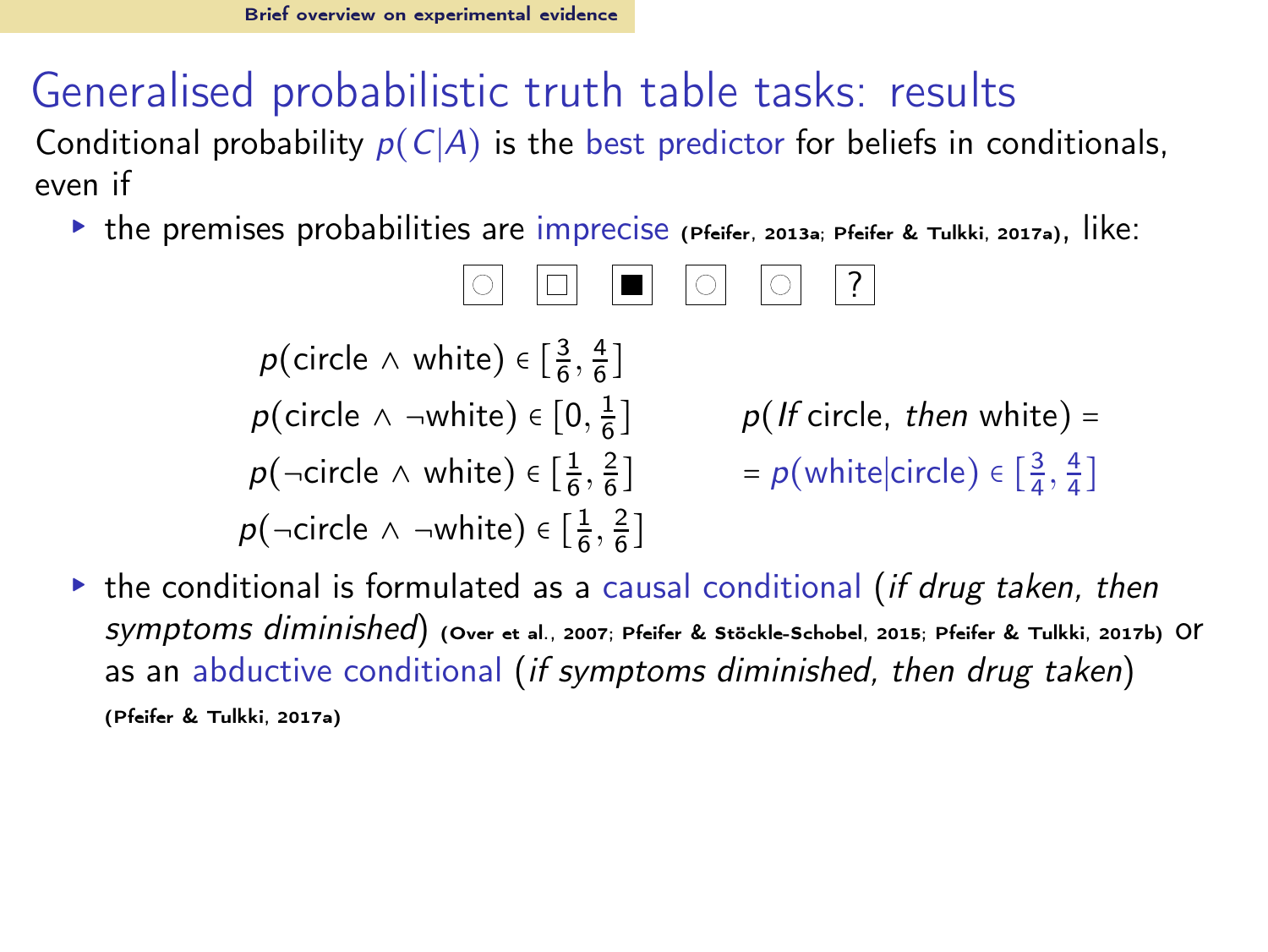Conditional probability  $p(C|A)$  is the best predictor for beliefs in conditionals, even if

▸ the premises probabilities are imprecise [\(Pfeifer, 2013a;](#page-64-1) [Pfeifer & Tulkki, 2017a](#page-65-3)), like:

$$
\boxed{\circ} \boxed{\Box} \boxed{\Box} \boxed{\circ} \boxed{\circ} \boxed{?}
$$

 $p(\text{circle } \land \text{ white}) \in \left[\frac{3}{6}, \frac{4}{6}\right]$  $p(\text{circle } \wedge \neg \text{white}) \in [0, \frac{1}{6}$  $p($  If circle, then white) =  $p(\neg \text{circle } \land \text{white}) \in [\frac{1}{6}, \frac{2}{6}]$  $\int$  = p(white|circle)  $\in \left[\frac{3}{4}, \frac{4}{4}\right]$  $p(\neg$ circle ∧ ¬white)  $\in \left[\frac{1}{6}, \frac{2}{6}\right]$ 

 $\triangleright$  the conditional is formulated as a causal conditional *(if drug taken, then*) symptoms diminished) [\(Over et al.](#page-64-12), [2007;](#page-64-12) [Pfeifer & Stöckle-Schobel, 2015;](#page-65-4) [Pfeifer & Tulkki](#page-65-1), [2017b\)](#page-65-1) or as an abductive conditional (if symptoms diminished, then drug taken) [\(Pfeifer & Tulkki](#page-65-3), [2017a](#page-65-3))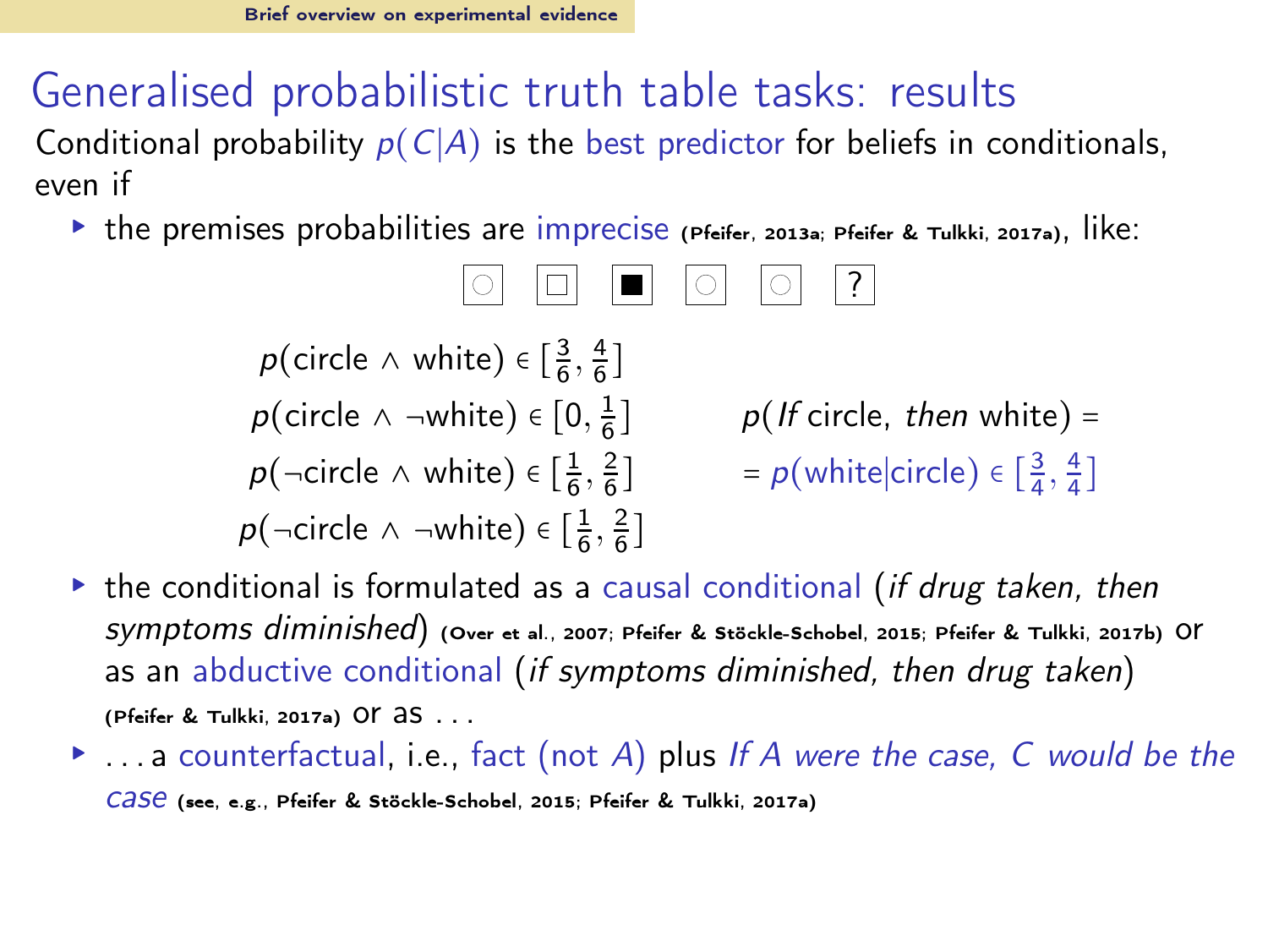Conditional probability  $p(C|A)$  is the best predictor for beliefs in conditionals, even if

▸ the premises probabilities are imprecise [\(Pfeifer, 2013a;](#page-64-1) [Pfeifer & Tulkki, 2017a](#page-65-3)), like:

$$
\boxed{\circ} \boxed{\Box} \boxed{\Box} \boxed{\circ} \boxed{\circ} \boxed{?}
$$

 $p(\text{circle } \land \text{ white}) \in \left[\frac{3}{6}, \frac{4}{6}\right]$  $p(\text{circle } \wedge \neg \text{white}) \in [0, \frac{1}{6}$  $p($  If circle, then white) =  $p(\neg \text{circle } \land \text{white}) \in [\frac{1}{6}, \frac{2}{6}]$  $\int$  = p(white|circle)  $\in \left[\frac{3}{4}, \frac{4}{4}\right]$  $p(\neg$ circle ∧ ¬white)  $\in \left[\frac{1}{6}, \frac{2}{6}\right]$ 

- $\triangleright$  the conditional is formulated as a causal conditional *(if drug taken, then*) symptoms diminished) [\(Over et al.](#page-64-12), [2007;](#page-64-12) [Pfeifer & Stöckle-Schobel, 2015;](#page-65-4) [Pfeifer & Tulkki](#page-65-1), [2017b\)](#page-65-1) or as an abductive conditional (if symptoms diminished, then drug taken) [\(Pfeifer & Tulkki](#page-65-3), [2017a](#page-65-3)) OF  $35...$
- $\blacktriangleright$  ... a counterfactual, i.e., fact (not A) plus If A were the case, C would be the case (see, e.g., [Pfeifer & Stöckle-Schobel, 2015;](#page-65-4) [Pfeifer & Tulkki, 2017a](#page-65-3))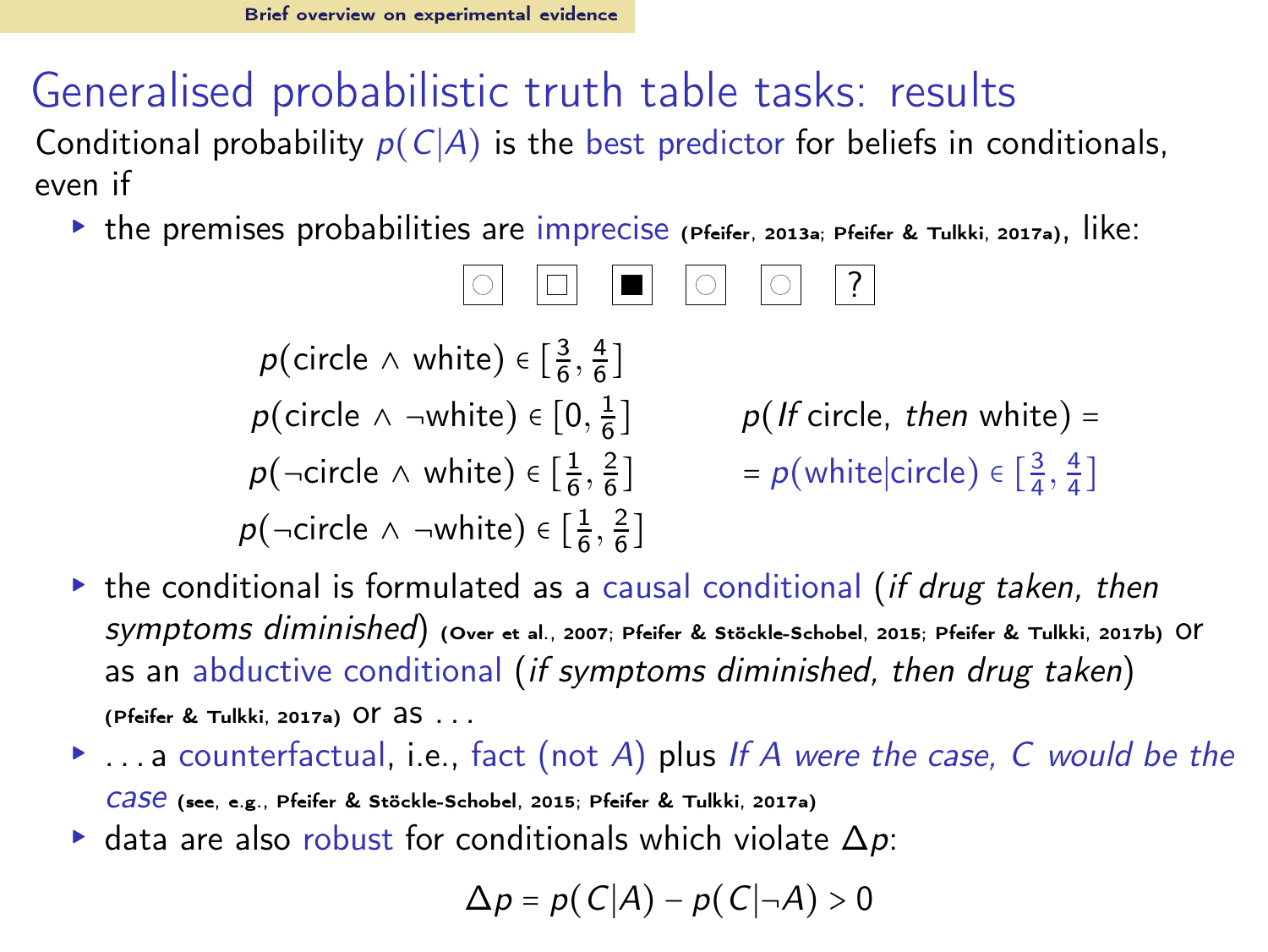Conditional probability  $p(C|A)$  is the best predictor for beliefs in conditionals, even if

▸ the premises probabilities are imprecise [\(Pfeifer, 2013a;](#page-64-1) [Pfeifer & Tulkki, 2017a](#page-65-3)), like:

$$
\boxed{\circ} \boxed{\Box} \boxed{\Box} \boxed{\circ} \boxed{\circ} \boxed{?}
$$

 $p(\text{circle } \land \text{ white}) \in \left[\frac{3}{6}, \frac{4}{6}\right]$  $p(\text{circle } \wedge \neg \text{white}) \in [0, \frac{1}{6}$  $p($  If circle, then white) =  $p(\neg \text{circle } \land \text{white}) \in [\frac{1}{6}, \frac{2}{6}]$  $\int$  = p(white|circle)  $\in \left[\frac{3}{4}, \frac{4}{4}\right]$  $p(\neg$ circle ∧ ¬white)  $\in \left[\frac{1}{6}, \frac{2}{6}\right]$ 

- $\triangleright$  the conditional is formulated as a causal conditional *(if drug taken, then*) symptoms diminished) [\(Over et al.](#page-64-12), [2007;](#page-64-12) [Pfeifer & Stöckle-Schobel, 2015;](#page-65-4) [Pfeifer & Tulkki](#page-65-1), [2017b\)](#page-65-1) or as an abductive conditional (if symptoms diminished, then drug taken) [\(Pfeifer & Tulkki](#page-65-3), [2017a](#page-65-3)) OF  $35...$
- $\blacktriangleright$  ... a counterfactual, i.e., fact (not A) plus If A were the case, C would be the case (see, e.g., [Pfeifer & Stöckle-Schobel, 2015;](#page-65-4) [Pfeifer & Tulkki, 2017a](#page-65-3))
- $\triangleright$  data are also robust for conditionals which violate  $\Delta p$ :

$$
\Delta p = p(C|A) - p(C|\neg A) > 0
$$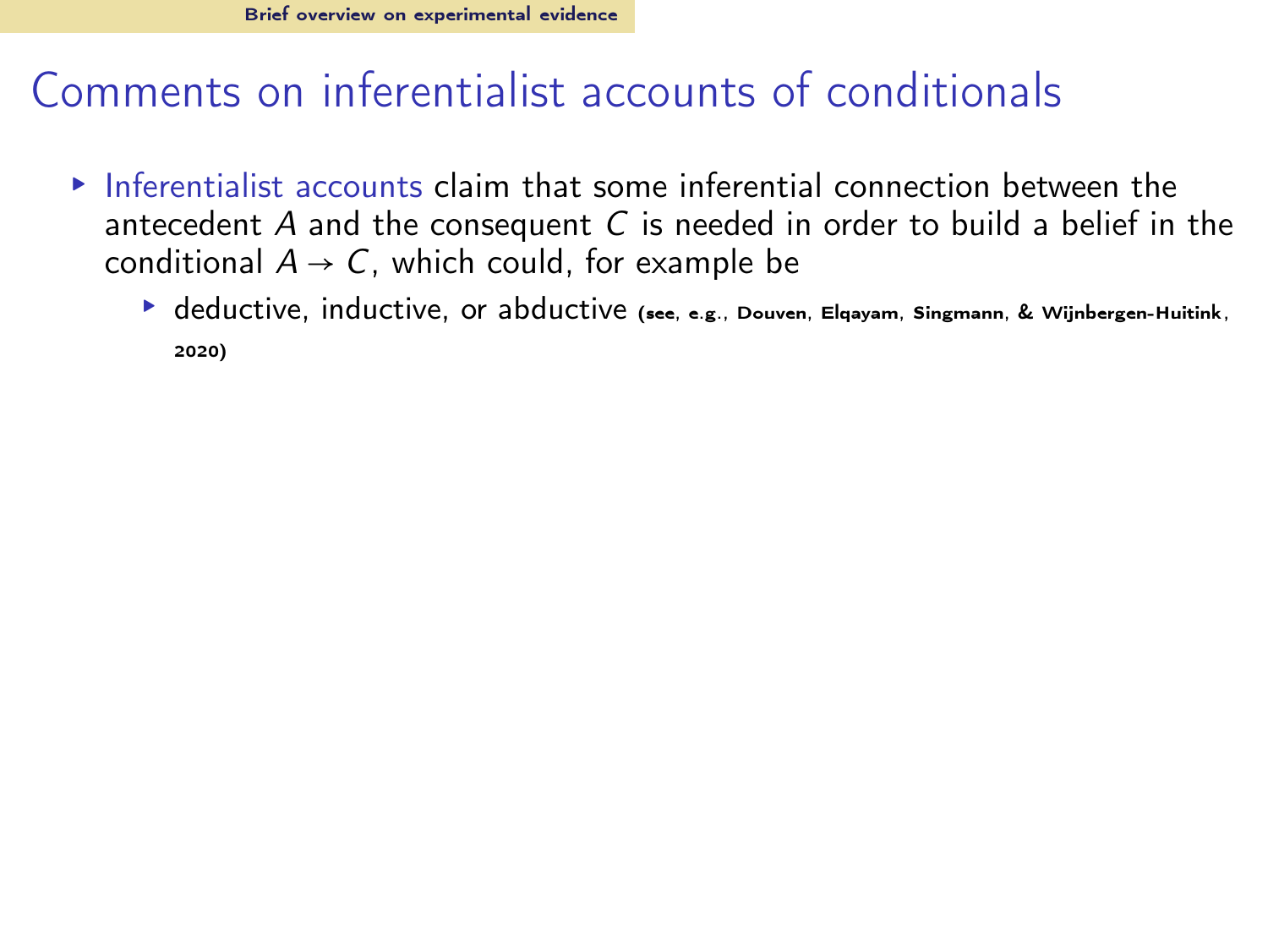- $\triangleright$  Inferentialist accounts claim that some inferential connection between the antecedent  $A$  and the consequent  $C$  is needed in order to build a belief in the conditional  $A \rightarrow C$ , which could, for example be
	- $\blacktriangleright$  deductive, inductive, or abductive (see, e.g., [Douven, Elqayam, Singmann, & Wijnbergen-Huitink](#page-63-7), [2020\)](#page-63-7)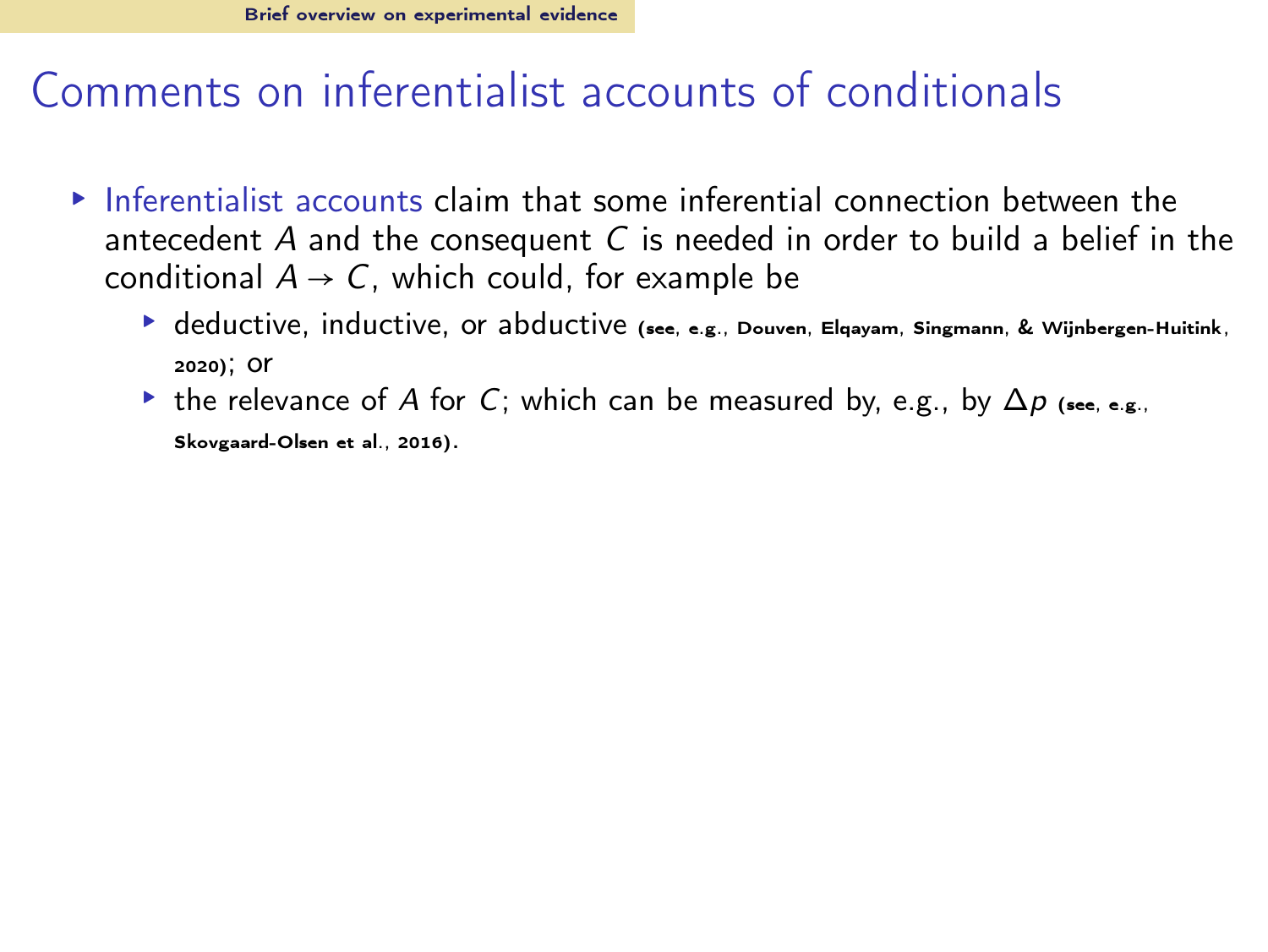- $\triangleright$  Inferentialist accounts claim that some inferential connection between the antecedent  $A$  and the consequent  $C$  is needed in order to build a belief in the conditional  $A \rightarrow C$ , which could, for example be
	- $\blacktriangleright$  deductive, inductive, or abductive (see, e.g., Douven, Elgayam, Singmann, & Wijnbergen-Huitink, [2020\)](#page-63-7); or
	- $\triangleright$  the relevance of A for C; which can be measured by, e.g., by  $\Delta p$  (see, e.g., [Skovgaard-Olsen et al., 2016\)](#page-65-5).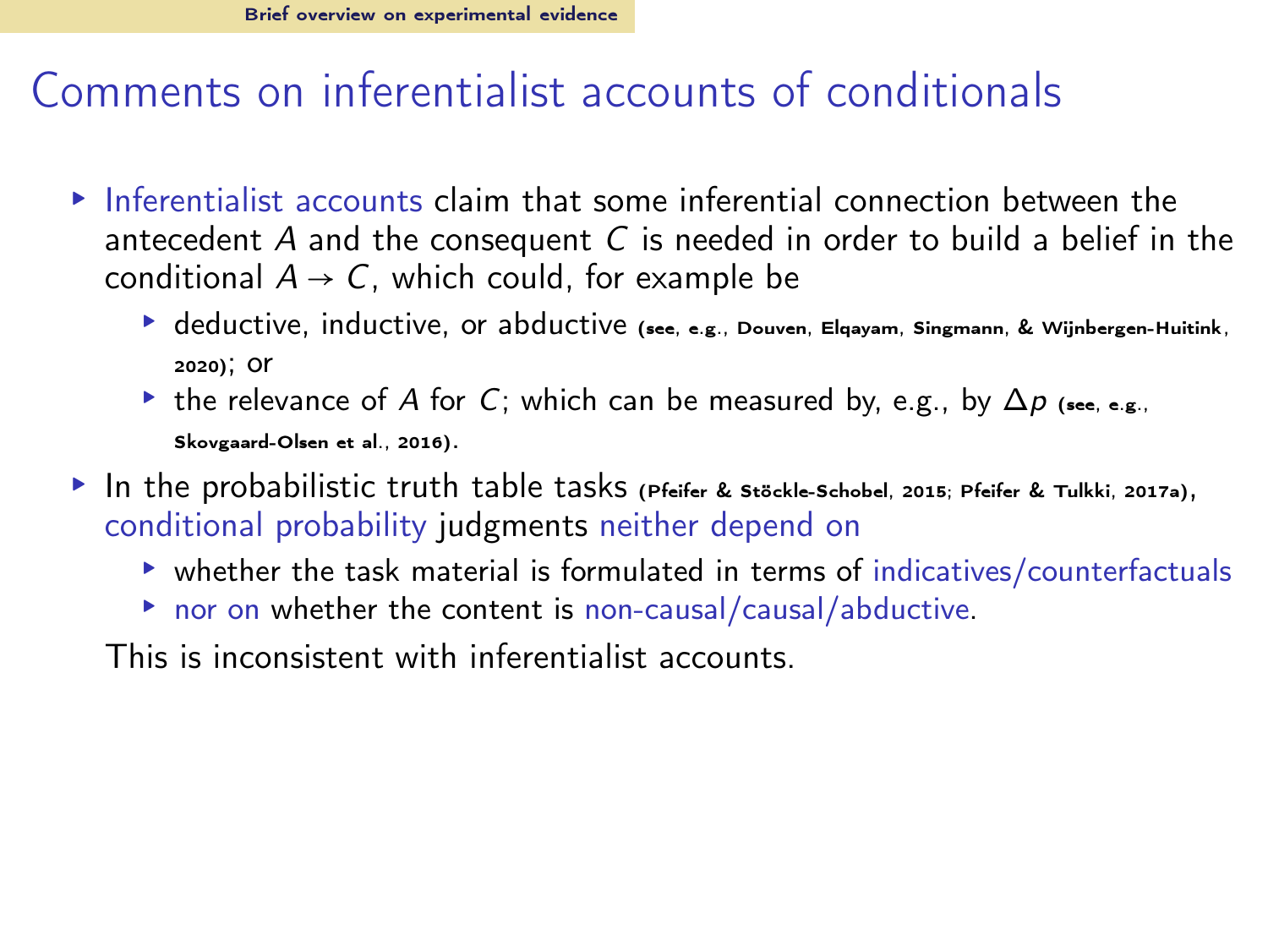- $\triangleright$  Inferentialist accounts claim that some inferential connection between the antecedent  $A$  and the consequent  $C$  is needed in order to build a belief in the conditional  $A \rightarrow C$ , which could, for example be
	- $\blacktriangleright$  deductive, inductive, or abductive (see, e.g., Douven, Elgayam, Singmann, & Wijnbergen-Huitink, [2020\)](#page-63-7); or
	- $\triangleright$  the relevance of A for C; which can be measured by, e.g., by  $\Delta p$  (see, e.g., [Skovgaard-Olsen et al., 2016\)](#page-65-5).
- ▸ In the probabilistic truth table tasks [\(Pfeifer & Stöckle-Schobel](#page-65-4), [2015;](#page-65-4) [Pfeifer & Tulkki, 2017a\)](#page-65-3), conditional probability judgments neither depend on
	- ▸ whether the task material is formulated in terms of indicatives/counterfactuals
	- ▸ nor on whether the content is non-causal/causal/abductive.

This is inconsistent with inferentialist accounts.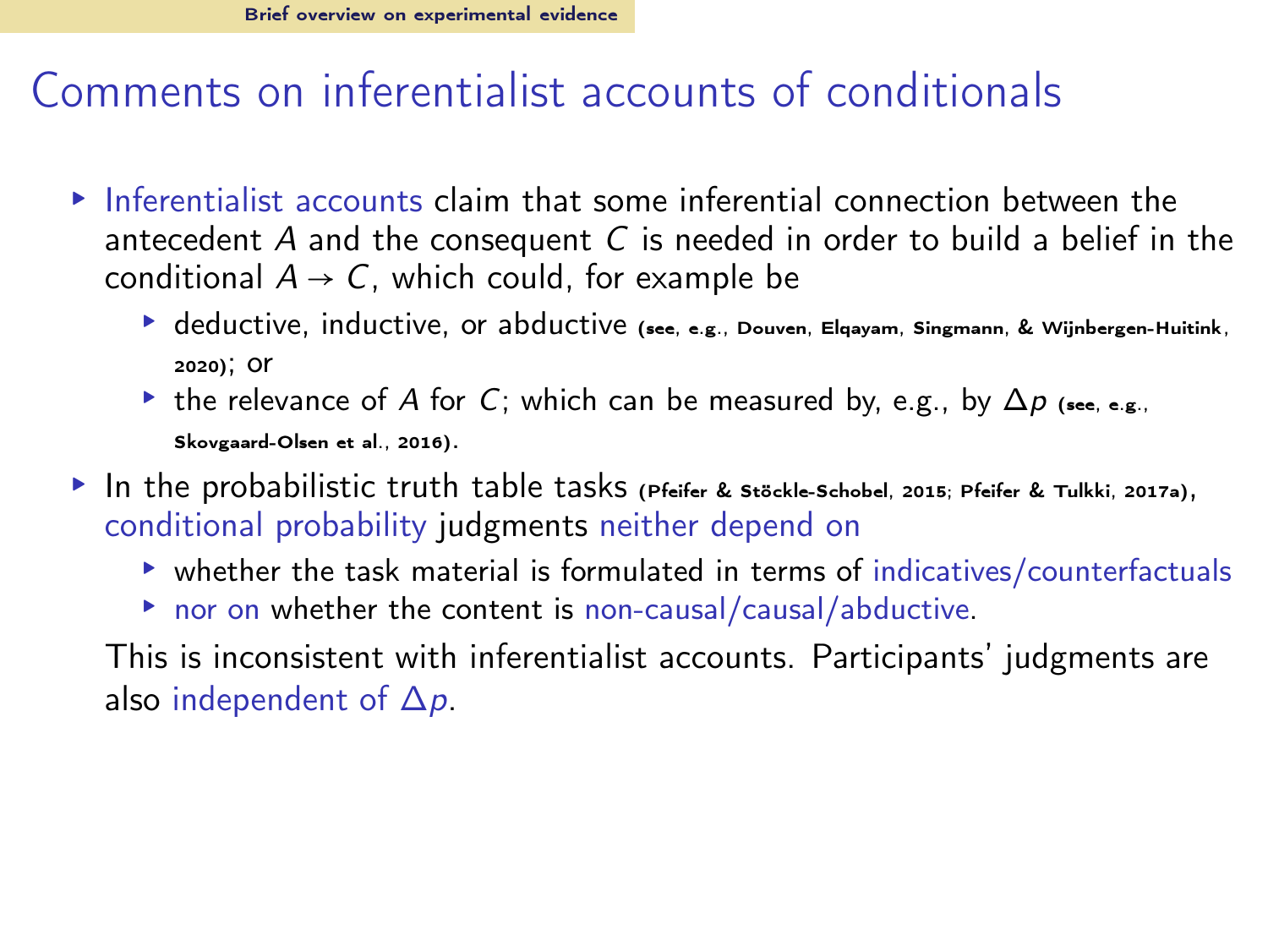- $\triangleright$  Inferentialist accounts claim that some inferential connection between the antecedent  $A$  and the consequent  $C$  is needed in order to build a belief in the conditional  $A \rightarrow C$ , which could, for example be
	- $\blacktriangleright$  deductive, inductive, or abductive (see, e.g., Douven, Elgayam, Singmann, & Wijnbergen-Huitink, [2020\)](#page-63-7); or
	- $\triangleright$  the relevance of A for C; which can be measured by, e.g., by  $\Delta p$  (see, e.g., [Skovgaard-Olsen et al., 2016\)](#page-65-5).
- ▸ In the probabilistic truth table tasks [\(Pfeifer & Stöckle-Schobel](#page-65-4), [2015;](#page-65-4) [Pfeifer & Tulkki, 2017a\)](#page-65-3), conditional probability judgments neither depend on
	- ▸ whether the task material is formulated in terms of indicatives/counterfactuals
	- ▸ nor on whether the content is non-causal/causal/abductive.

This is inconsistent with inferentialist accounts. Participants' judgments are also independent of  $\Delta p$ .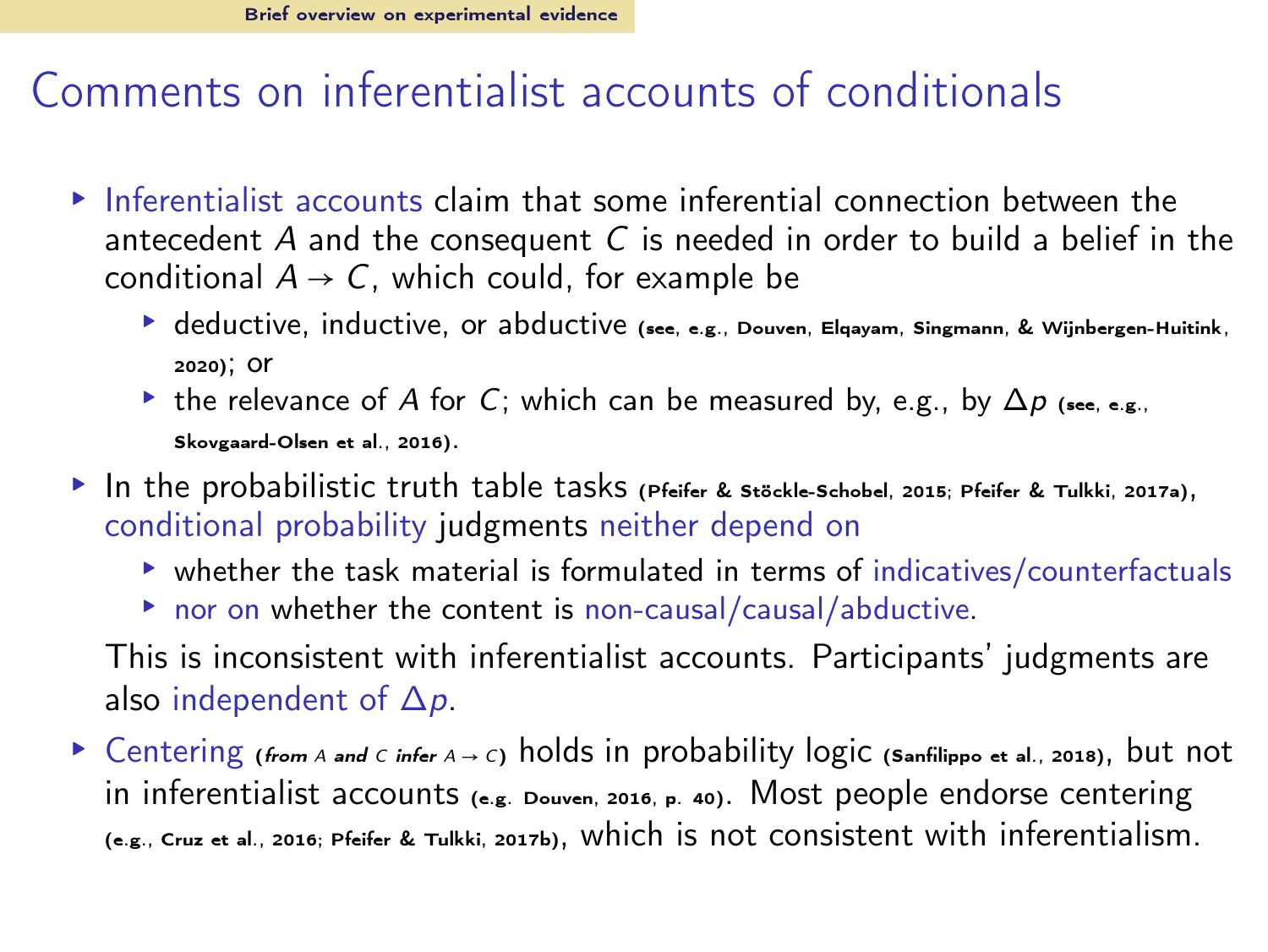- $\triangleright$  Inferentialist accounts claim that some inferential connection between the antecedent  $A$  and the consequent  $C$  is needed in order to build a belief in the conditional  $A \rightarrow C$ , which could, for example be
	- $\blacktriangleright$  deductive, inductive, or abductive (see, e.g., Douven, Elgayam, Singmann, & Wijnbergen-Huitink, [2020\)](#page-63-7); or
	- $\triangleright$  the relevance of A for C; which can be measured by, e.g., by  $\Delta p$  (see, e.g., [Skovgaard-Olsen et al., 2016\)](#page-65-5).
- ▸ In the probabilistic truth table tasks [\(Pfeifer & Stöckle-Schobel](#page-65-4), [2015;](#page-65-4) [Pfeifer & Tulkki, 2017a\)](#page-65-3), conditional probability judgments neither depend on
	- ▸ whether the task material is formulated in terms of indicatives/counterfactuals
	- ▸ nor on whether the content is non-causal/causal/abductive.

This is inconsistent with inferentialist accounts. Participants' judgments are also independent of  $\Delta p$ .

▸ Centering (*from* <sup>A</sup> *and* <sup>C</sup> *infer* <sup>A</sup> <sup>→</sup> <sup>C</sup>) holds in probability logic [\(Sanfilippo et al.](#page-65-6), [2018\)](#page-65-6), but not in inferentialist accounts (e.g. [Douven, 2016,](#page-63-8) p. 40). Most people endorse centering (e.g., [Cruz et al.](#page-63-9), [2016;](#page-63-9) [Pfeifer & Tulkki, 2017b\)](#page-65-1), which is not consistent with inferentialism.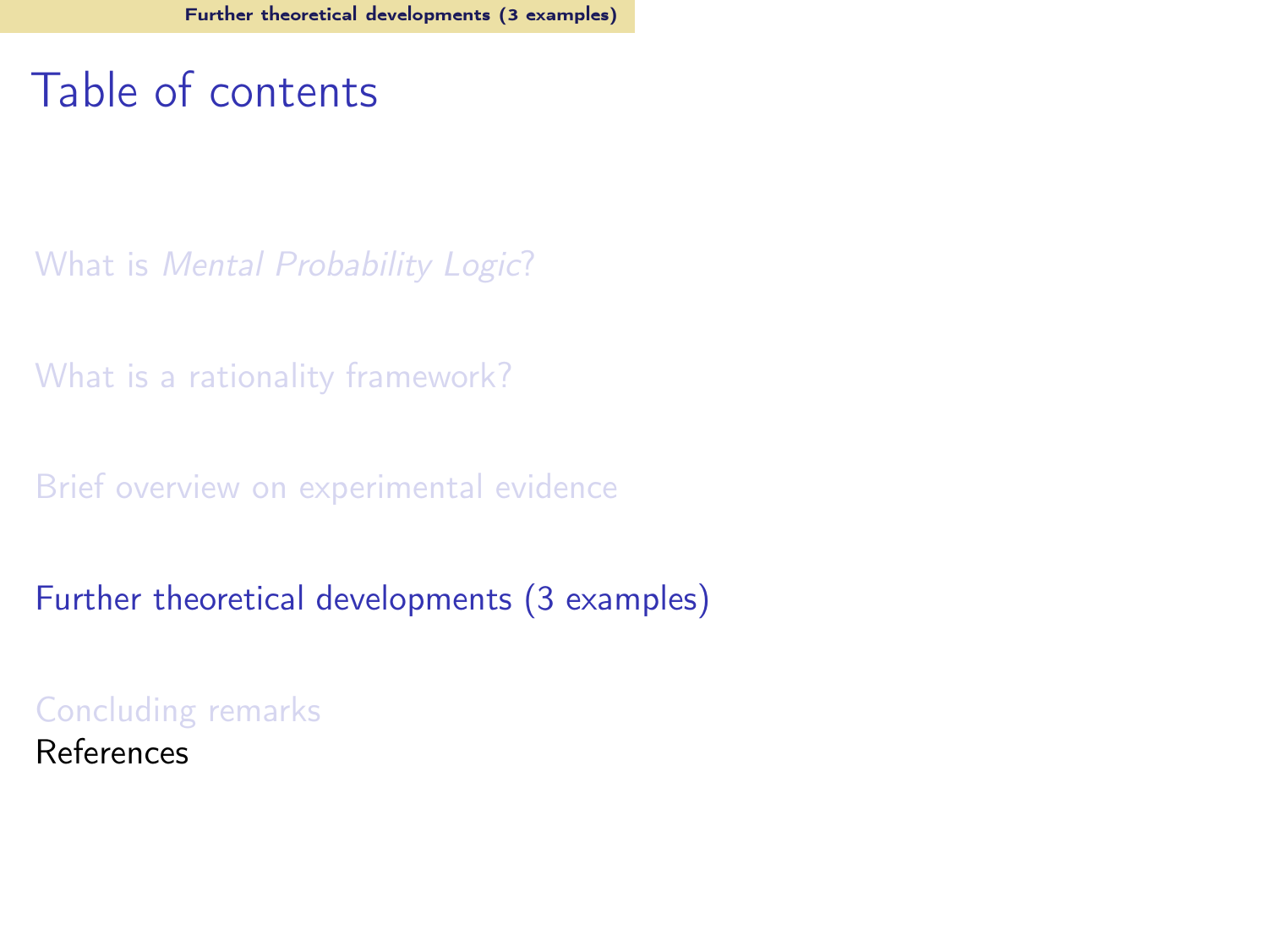## <span id="page-41-0"></span>Table of contents

What is [Mental Probability Logic](#page-2-0)?

[What is a rationality framework?](#page-7-0)

[Brief overview on experimental evidence](#page-22-0)

[Further theoretical developments \(3 examples\)](#page-41-0)

[Concluding remarks](#page-61-0) References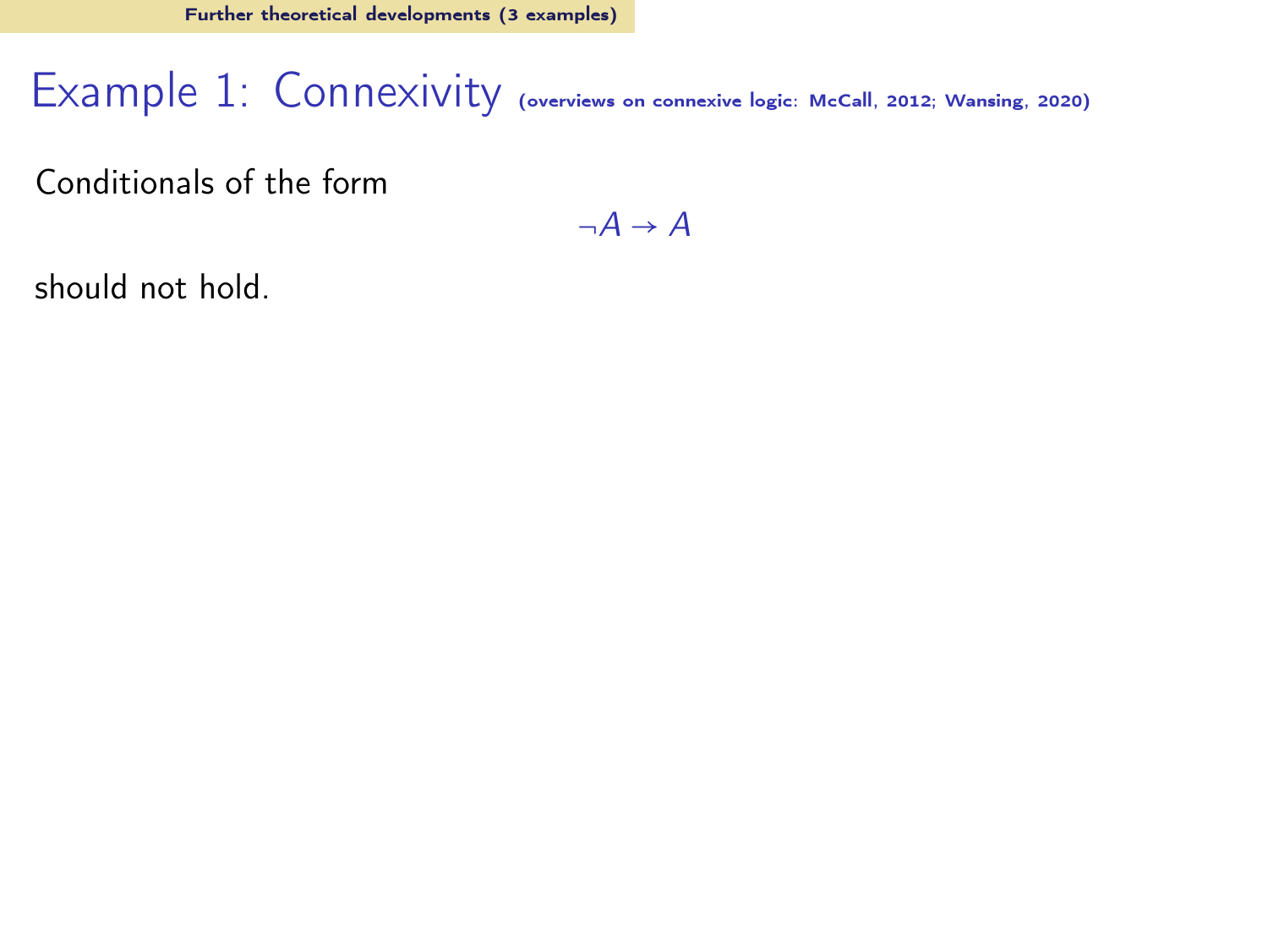## Example 1: Connexivity (overviews on connexive logic: [McCall, 2012;](#page-63-10) [Wansing, 2020\)](#page-65-7)

Conditionals of the form

 $\neg A \rightarrow A$ 

should not hold.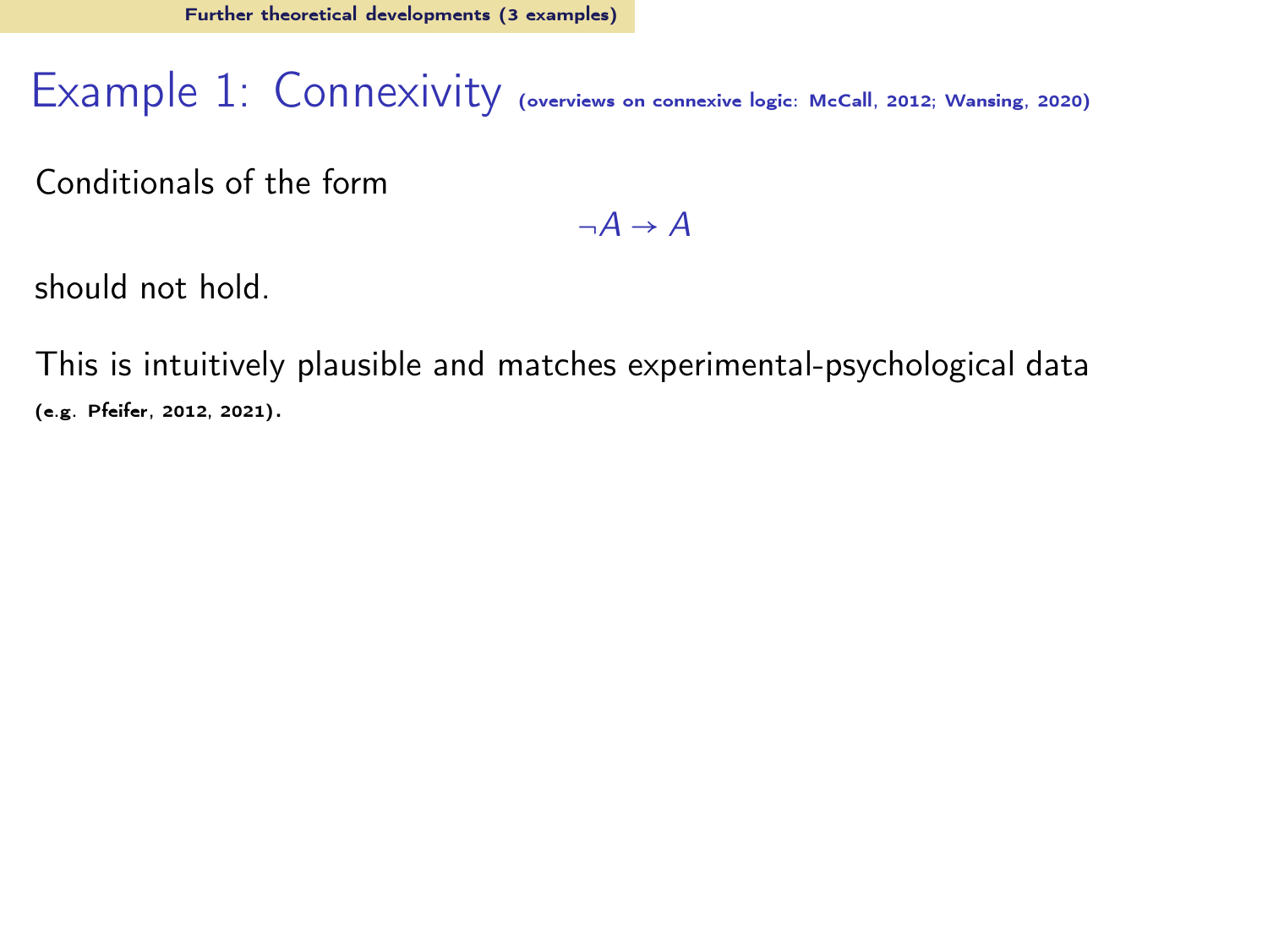#### Example 1: Connexivity (overviews on connexive logic: [McCall, 2012;](#page-63-10) [Wansing, 2020\)](#page-65-7)

Conditionals of the form

 $\neg A \rightarrow A$ 

should not hold.

This is intuitively plausible and matches experimental-psychological data (e.g. [Pfeifer](#page-64-13), [2012](#page-64-13), [2021\)](#page-64-3).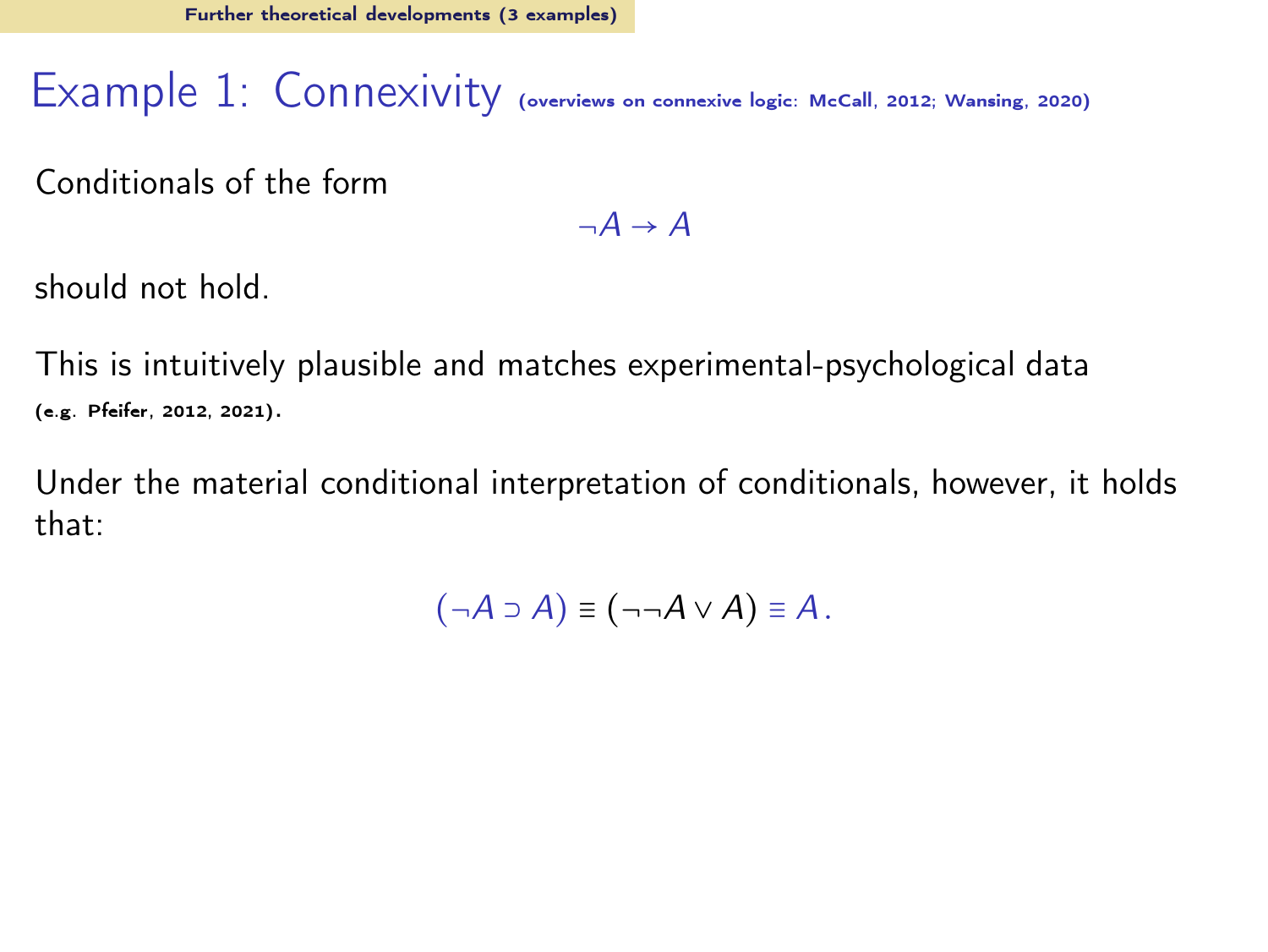## Example 1: Connexivity (overviews on connexive logic: [McCall, 2012;](#page-63-10) [Wansing, 2020\)](#page-65-7)

Conditionals of the form

 $\neg A \rightarrow A$ 

should not hold.

This is intuitively plausible and matches experimental-psychological data (e.g. [Pfeifer](#page-64-13), [2012](#page-64-13), [2021\)](#page-64-3).

Under the material conditional interpretation of conditionals, however, it holds that:

$$
(\neg A \supset A) \equiv (\neg \neg A \vee A) \equiv A.
$$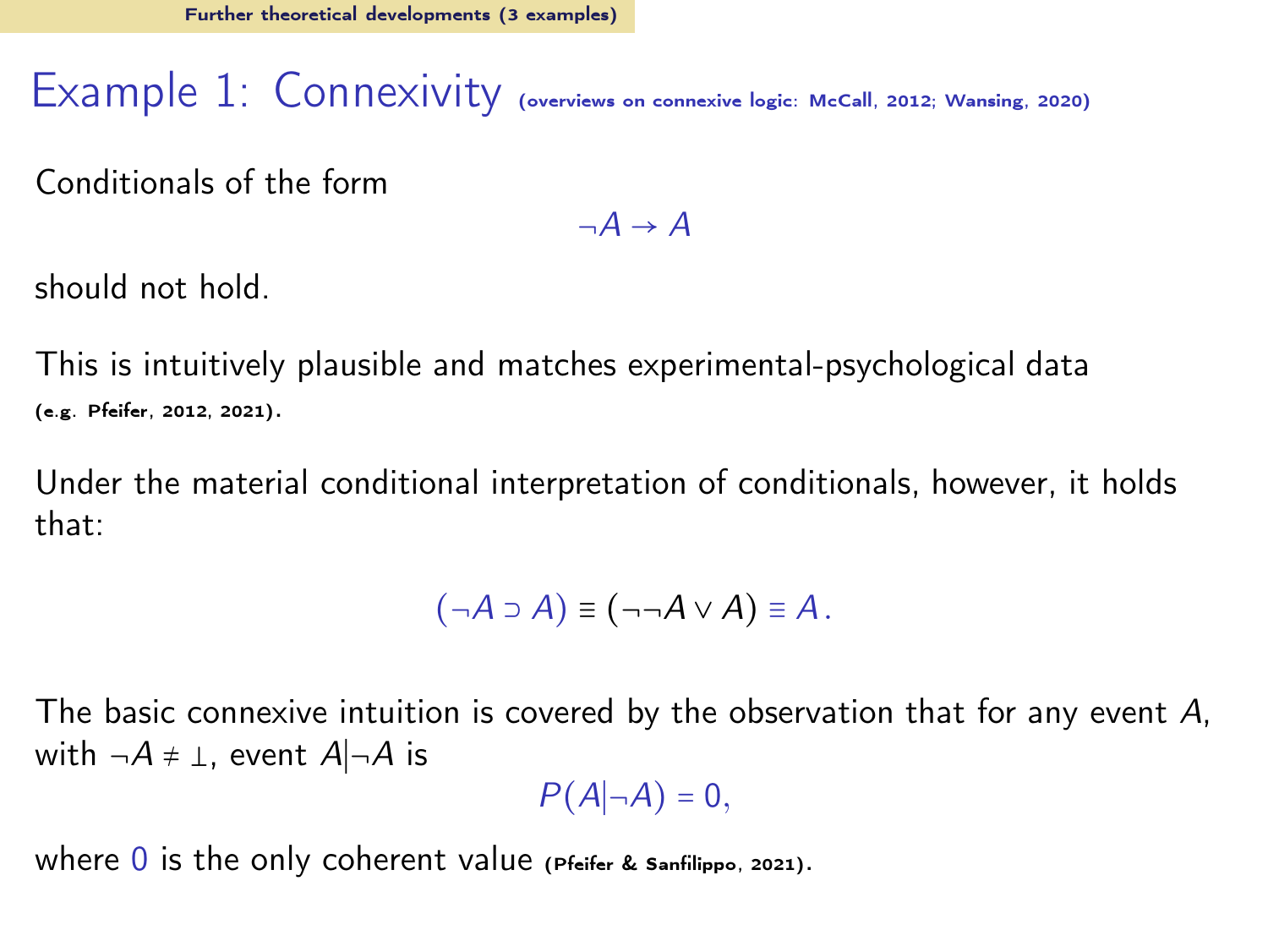### Example 1: Connexivity (overviews on connexive logic: [McCall, 2012;](#page-63-10) [Wansing, 2020\)](#page-65-7)

Conditionals of the form

 $\neg A \rightarrow A$ 

should not hold.

This is intuitively plausible and matches experimental-psychological data (e.g. [Pfeifer](#page-64-13), [2012](#page-64-13), [2021\)](#page-64-3).

Under the material conditional interpretation of conditionals, however, it holds that:

$$
(\neg A \supset A) \equiv (\neg \neg A \vee A) \equiv A.
$$

The basic connexive intuition is covered by the observation that for any event A, with  $\neg A \neq \bot$ , event  $A|\neg A$  is

 $P(A|\neg A) = 0$ ,

where  $\overline{0}$  is the only coherent value [\(Pfeifer & Sanfilippo, 2021\)](#page-65-8).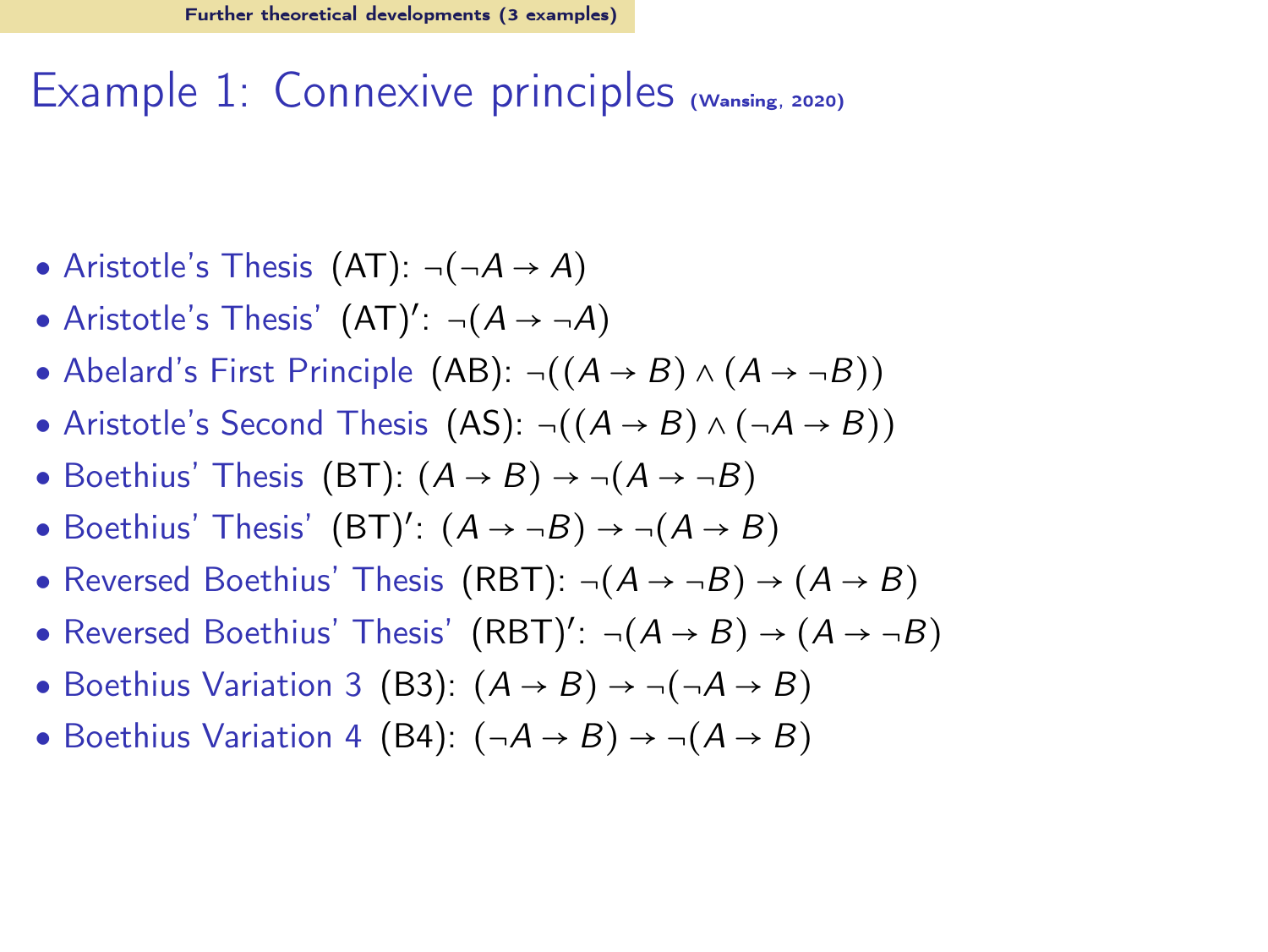## Example 1: Connexive principles [\(Wansing](#page-65-7), [2020](#page-65-7))

- Aristotle's Thesis  $(AT): \neg(\neg A \rightarrow A)$
- Aristotle's Thesis'  $(AT)'$ :  $\neg(A \rightarrow \neg A)$
- Abelard's First Principle (AB):  $\neg((A \rightarrow B) \land (A \rightarrow \neg B))$
- Aristotle's Second Thesis (AS): ¬ $((A \rightarrow B) \land (\neg A \rightarrow B))$
- Boethius' Thesis (BT):  $(A \rightarrow B) \rightarrow \neg(A \rightarrow \neg B)$
- Boethius' Thesis'  $(BT)'$ :  $(A \rightarrow \neg B) \rightarrow \neg(A \rightarrow B)$
- Reversed Boethius' Thesis (RBT):  $\neg(A \rightarrow \neg B) \rightarrow (A \rightarrow B)$
- Reversed Boethius' Thesis'  $(RBT)'$ :  $\neg(A \rightarrow B) \rightarrow (A \rightarrow \neg B)$
- Boethius Variation 3 (B3):  $(A \rightarrow B) \rightarrow \neg(\neg A \rightarrow B)$
- Boethius Variation 4 (B4):  $(\neg A \rightarrow B) \rightarrow \neg (A \rightarrow B)$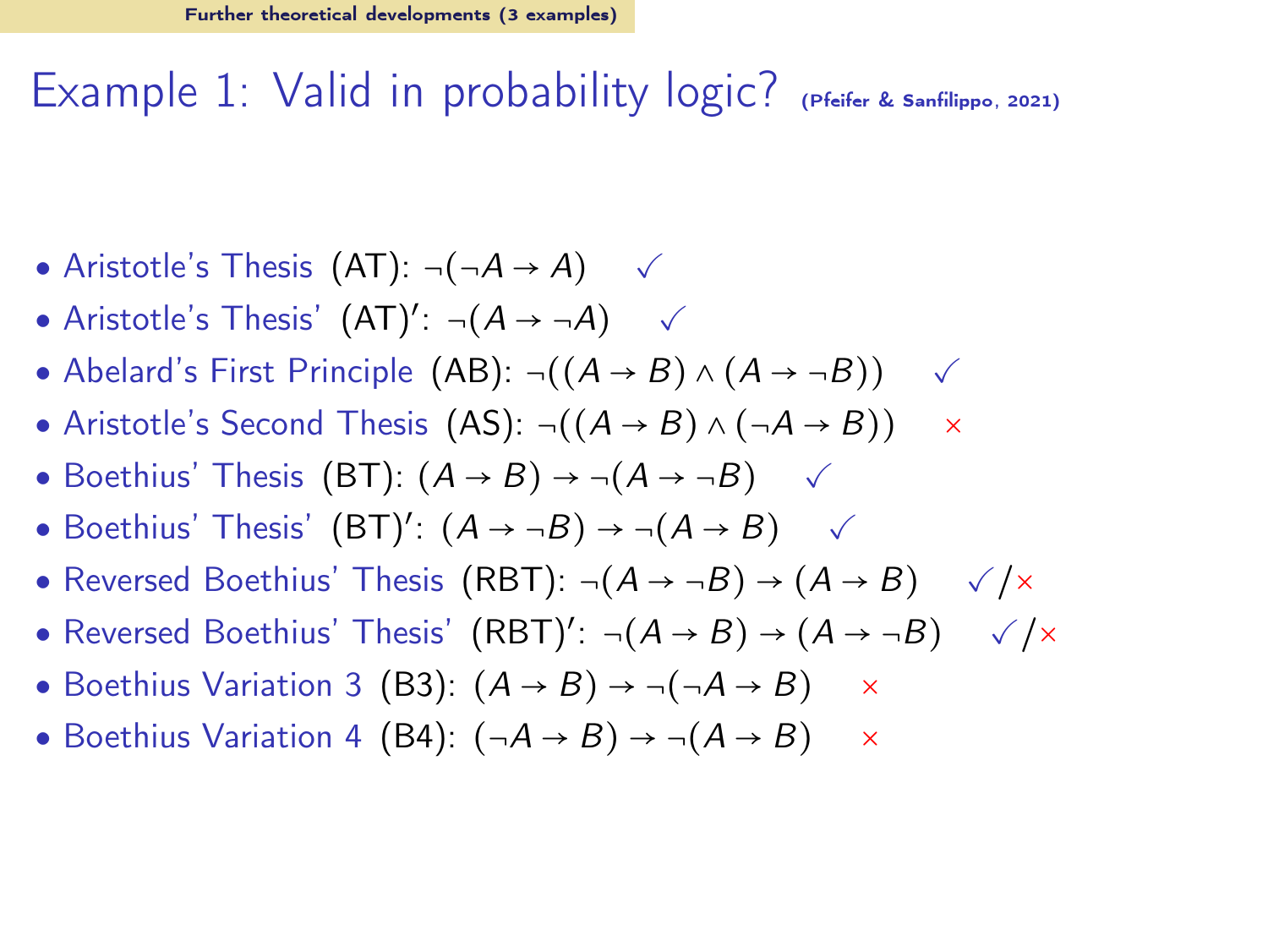#### Example 1: Valid in probability logic? [\(Pfeifer & Sanfilippo](#page-65-8), [2021\)](#page-65-8)

- Aristotle's Thesis  $(AT): \neg(\neg A \rightarrow A) \quad \checkmark$
- Aristotle's Thesis'  $(AT)'$ :  $\neg(A \rightarrow \neg A)$   $\checkmark$
- Abelard's First Principle (AB):  $\neg((A \rightarrow B) \land (A \rightarrow \neg B))$   $\checkmark$
- Aristotle's Second Thesis (AS):  $\neg((A \rightarrow B) \land (\neg A \rightarrow B)) \quad \times$
- Boethius' Thesis (BT):  $(A \rightarrow B) \rightarrow \neg(A \rightarrow \neg B)$   $\checkmark$
- Boethius' Thesis'  $(BT)'$ :  $(A \rightarrow \neg B) \rightarrow \neg (A \rightarrow B)$   $\checkmark$
- Reversed Boethius' Thesis (RBT):  $\neg(A \rightarrow \neg B) \rightarrow (A \rightarrow B)$   $\sqrt{x}$
- Reversed Boethius' Thesis'  $(RBT)'$ :  $\neg(A \rightarrow B) \rightarrow (A \rightarrow \neg B)$   $\sqrt{x}$
- Boethius Variation 3 (B3):  $(A \rightarrow B) \rightarrow \neg(\neg A \rightarrow B) \times$
- Boethius Variation 4 (B4):  $(\neg A \rightarrow B) \rightarrow \neg (A \rightarrow B) \times$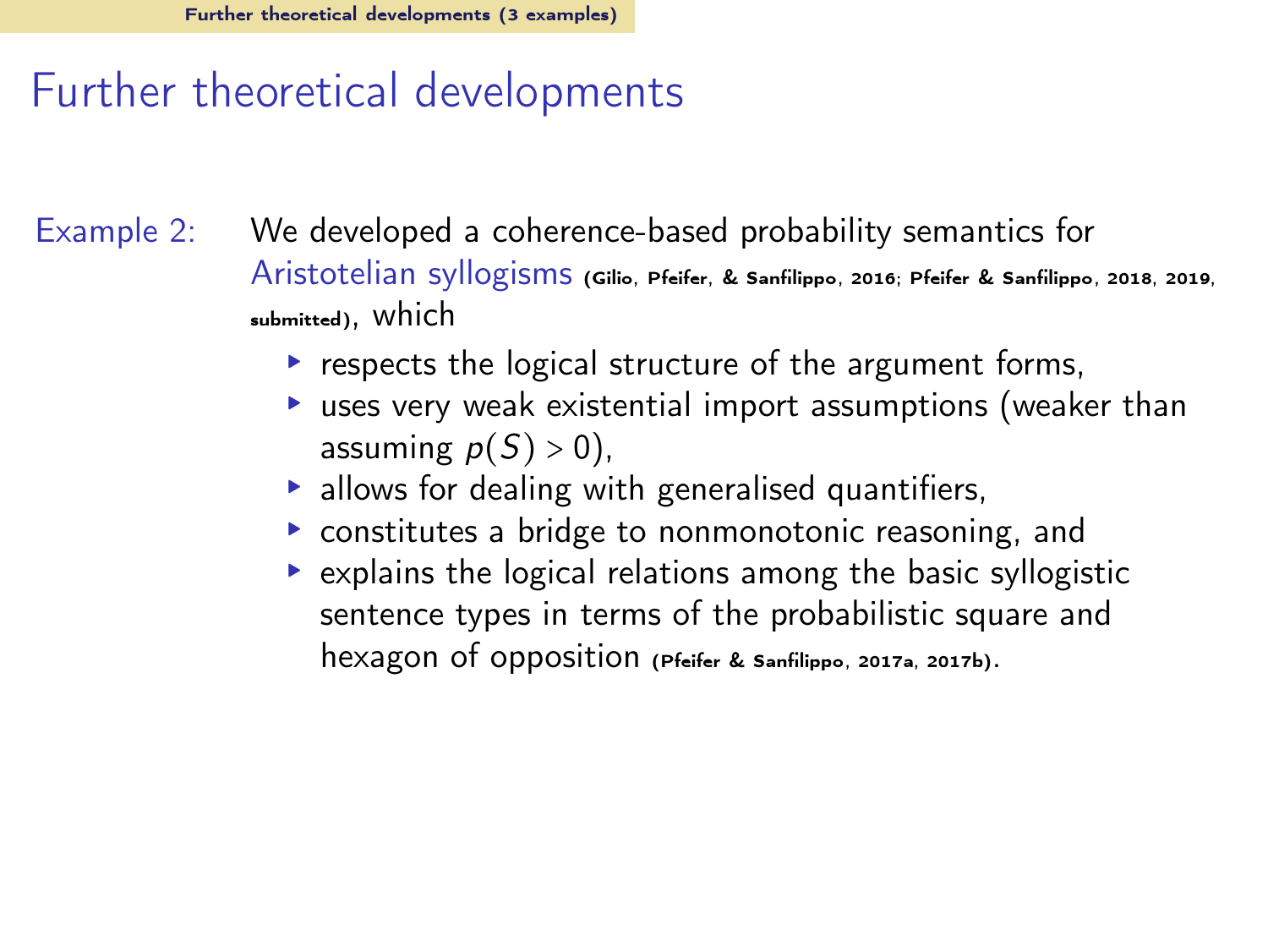#### Further theoretical developments

Example 2: We developed a coherence-based probability semantics for Aristotelian syllogisms [\(Gilio, Pfeifer, & Sanfilippo](#page-63-11), [2016](#page-63-11); [Pfeifer & Sanfilippo, 2018,](#page-64-14) [2019](#page-65-9), [submitted\)](#page-65-10), which

- ▸ respects the logical structure of the argument forms,
- ▸ uses very weak existential import assumptions (weaker than assuming  $p(S) > 0$ ),
- ▸ allows for dealing with generalised quantifiers,
- ▸ constitutes a bridge to nonmonotonic reasoning, and
- ▸ explains the logical relations among the basic syllogistic sentence types in terms of the probabilistic square and hexagon of opposition [\(Pfeifer & Sanfilippo](#page-64-15), [2017a](#page-64-15), [2017b](#page-64-16)).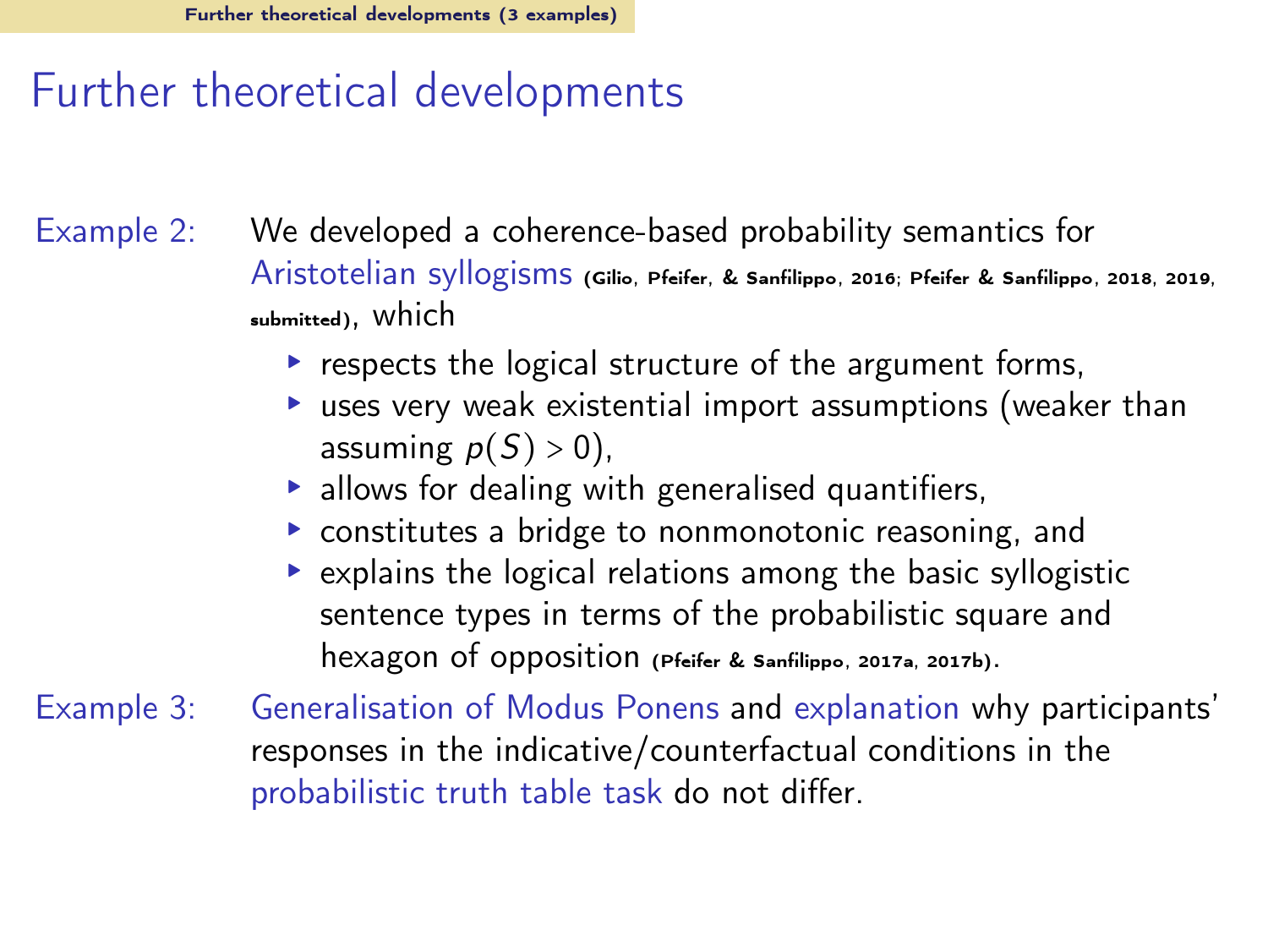#### Further theoretical developments

Example 2: We developed a coherence-based probability semantics for Aristotelian syllogisms [\(Gilio, Pfeifer, & Sanfilippo](#page-63-11), [2016](#page-63-11); [Pfeifer & Sanfilippo, 2018,](#page-64-14) [2019](#page-65-9), [submitted\)](#page-65-10), which

- ▸ respects the logical structure of the argument forms,
- ▸ uses very weak existential import assumptions (weaker than assuming  $p(S) > 0$ ),
- ▸ allows for dealing with generalised quantifiers,
- ▸ constitutes a bridge to nonmonotonic reasoning, and
- ▸ explains the logical relations among the basic syllogistic sentence types in terms of the probabilistic square and hexagon of opposition [\(Pfeifer & Sanfilippo](#page-64-15), [2017a](#page-64-15), [2017b](#page-64-16)).
- Example 3: Generalisation of Modus Ponens and explanation why participants' responses in the indicative/counterfactual conditions in the probabilistic truth table task do not differ.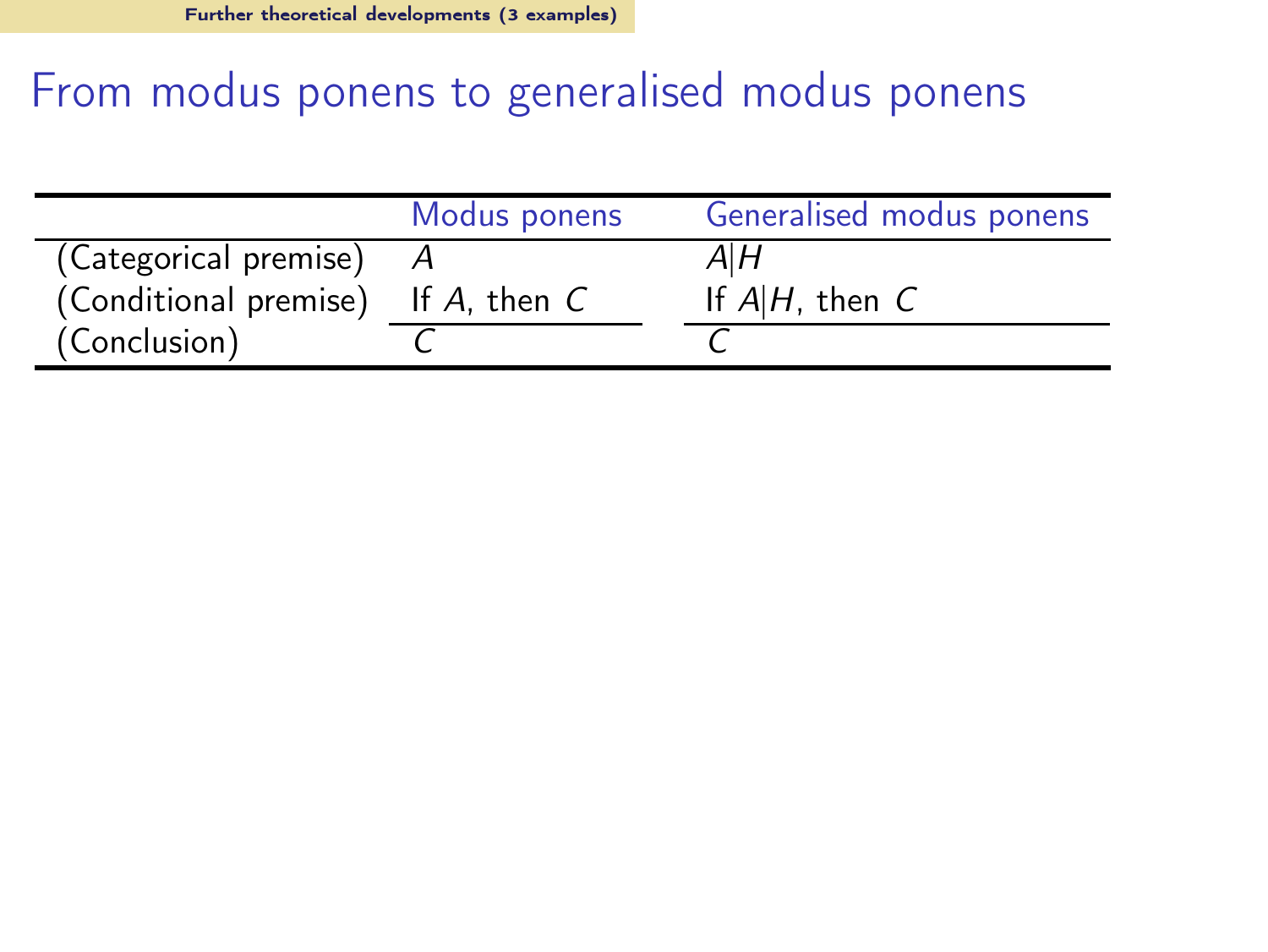## From modus ponens to generalised modus ponens

|                                         | Modus ponens | Generalised modus ponens |
|-----------------------------------------|--------------|--------------------------|
| (Categorical premise)                   |              | AIH                      |
| (Conditional premise) If $A$ , then $C$ |              | If $A H$ , then $C$      |
| (Conclusion)                            |              |                          |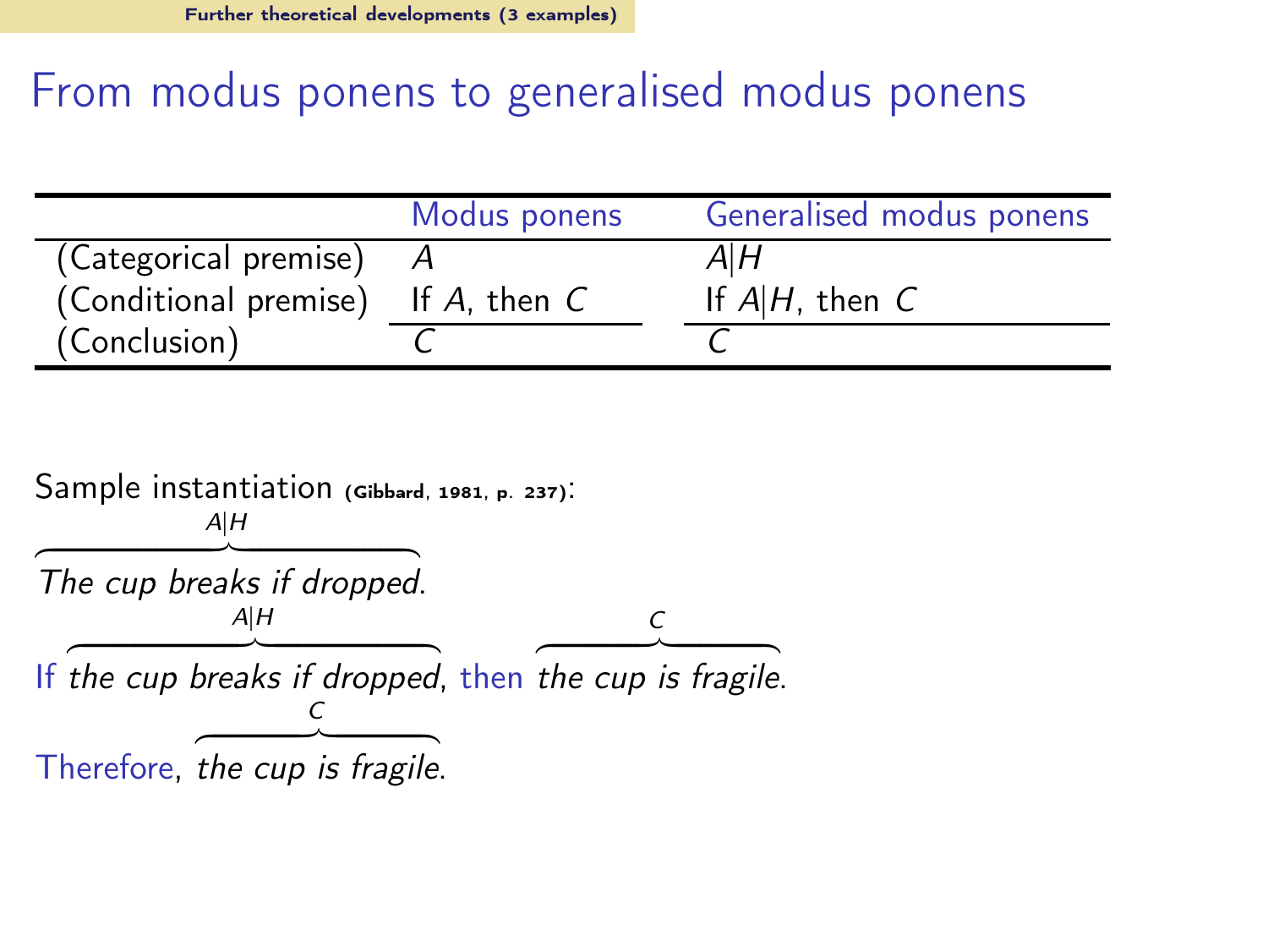### From modus ponens to generalised modus ponens

|                       | Modus ponens      | Generalised modus ponens |
|-----------------------|-------------------|--------------------------|
| (Categorical premise) |                   | AIН                      |
| (Conditional premise) | If $A$ , then $C$ | If $A H$ , then $C$      |
| (Conclusion)          |                   |                          |

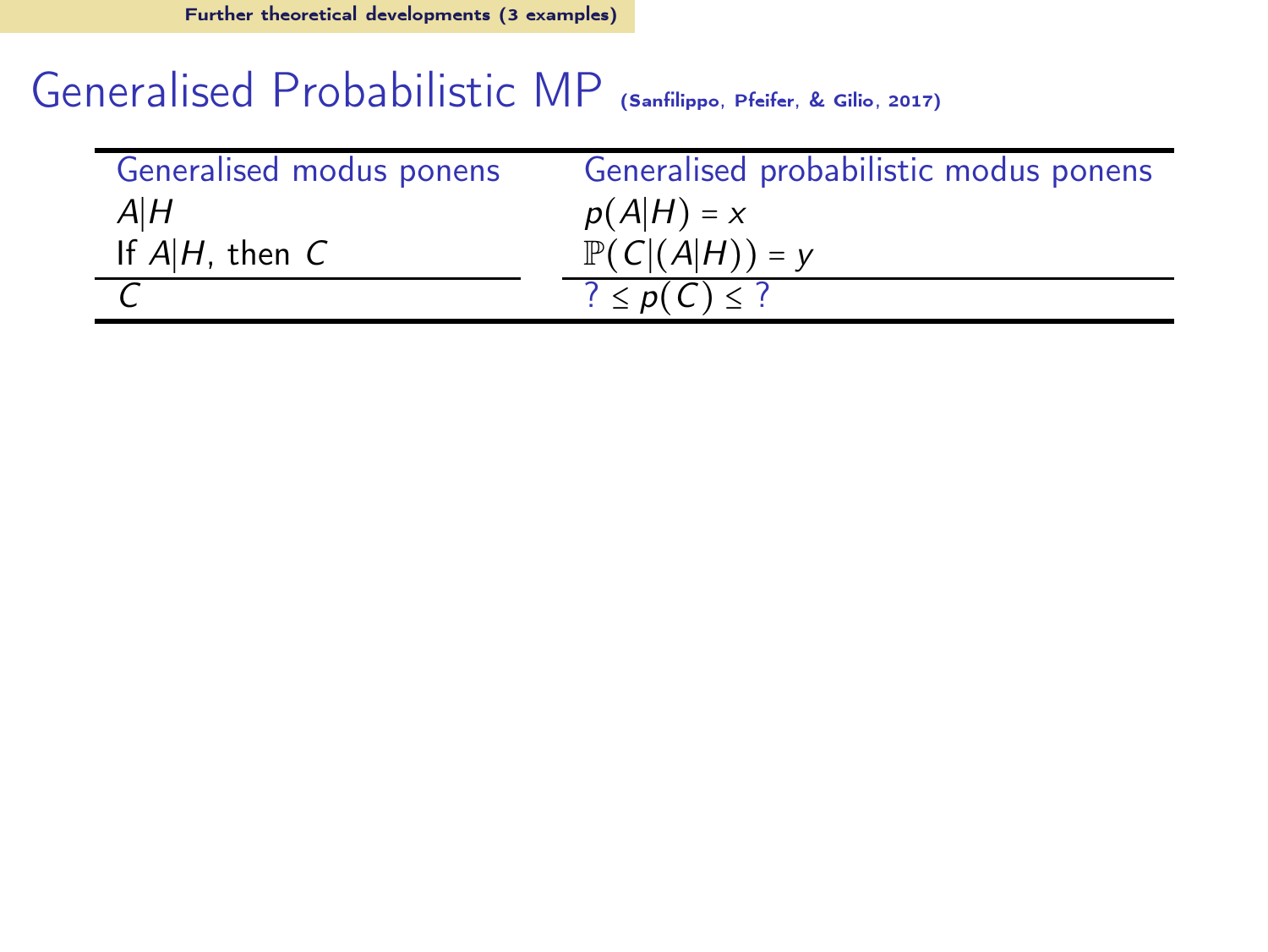## Generalised Probabilistic MP [\(Sanfilippo, Pfeifer, & Gilio](#page-65-11), [2017\)](#page-65-11)

| Generalised modus ponens | Generalised probabilistic modus ponens |
|--------------------------|----------------------------------------|
| $A$ $H$                  | $p(A H) = x$                           |
| If $A H$ , then $C$      | $\mathbb{P}(C (A H)) = y$              |
|                          | $? \leq p(C) \leq ?$                   |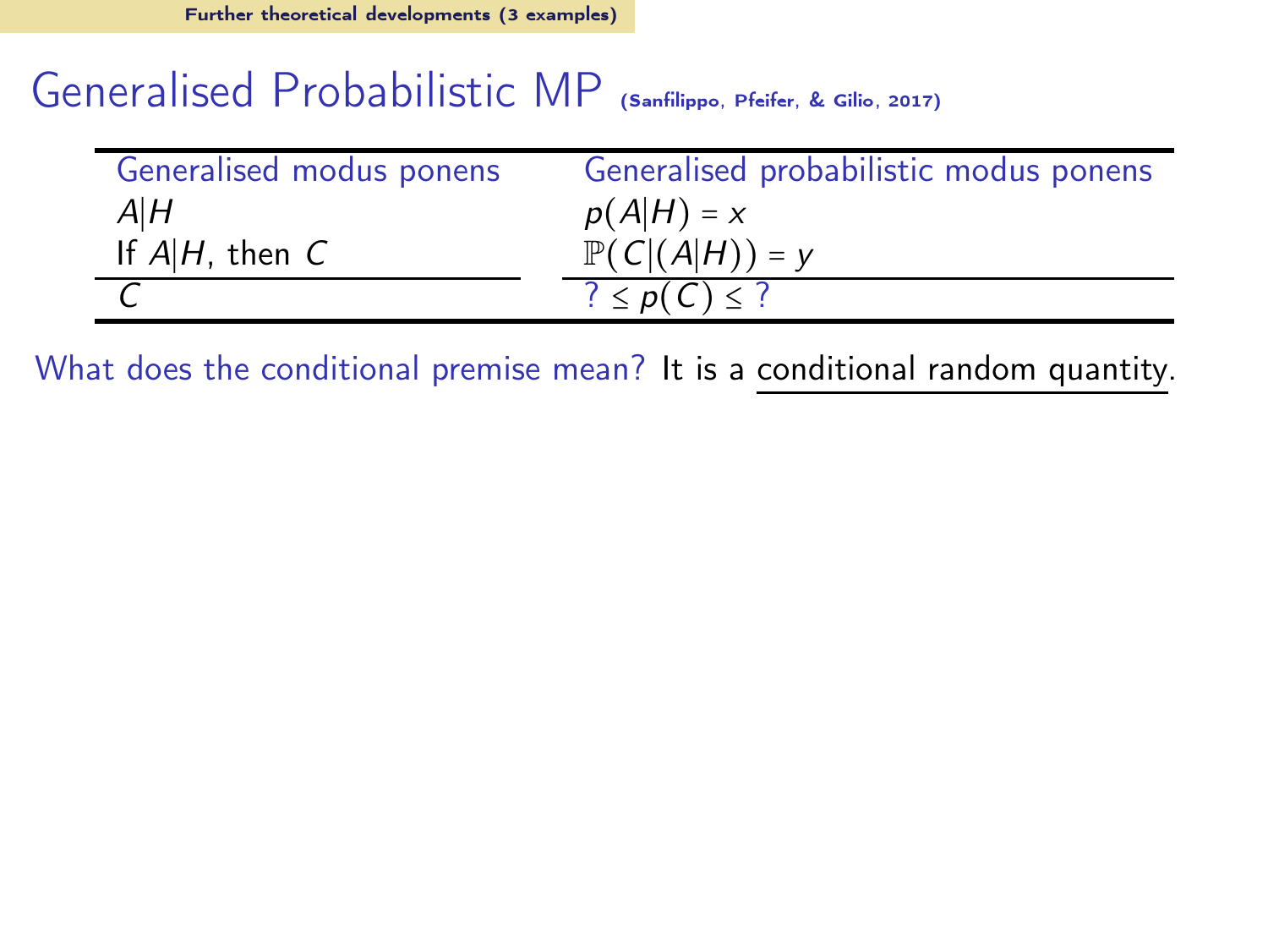#### Generalised Probabilistic MP [\(Sanfilippo, Pfeifer, & Gilio](#page-65-11), [2017\)](#page-65-11)

| Generalised modus ponens | Generalised probabilistic modus ponens |
|--------------------------|----------------------------------------|
| $A$ $H$                  | $p(A H) = x$                           |
| If $A H$ , then $C$      | $\mathbb{P}(C (A H)) = y$              |
|                          | $? \leq p(C) \leq ?$                   |

What does the conditional premise mean? It is a conditional random quantity.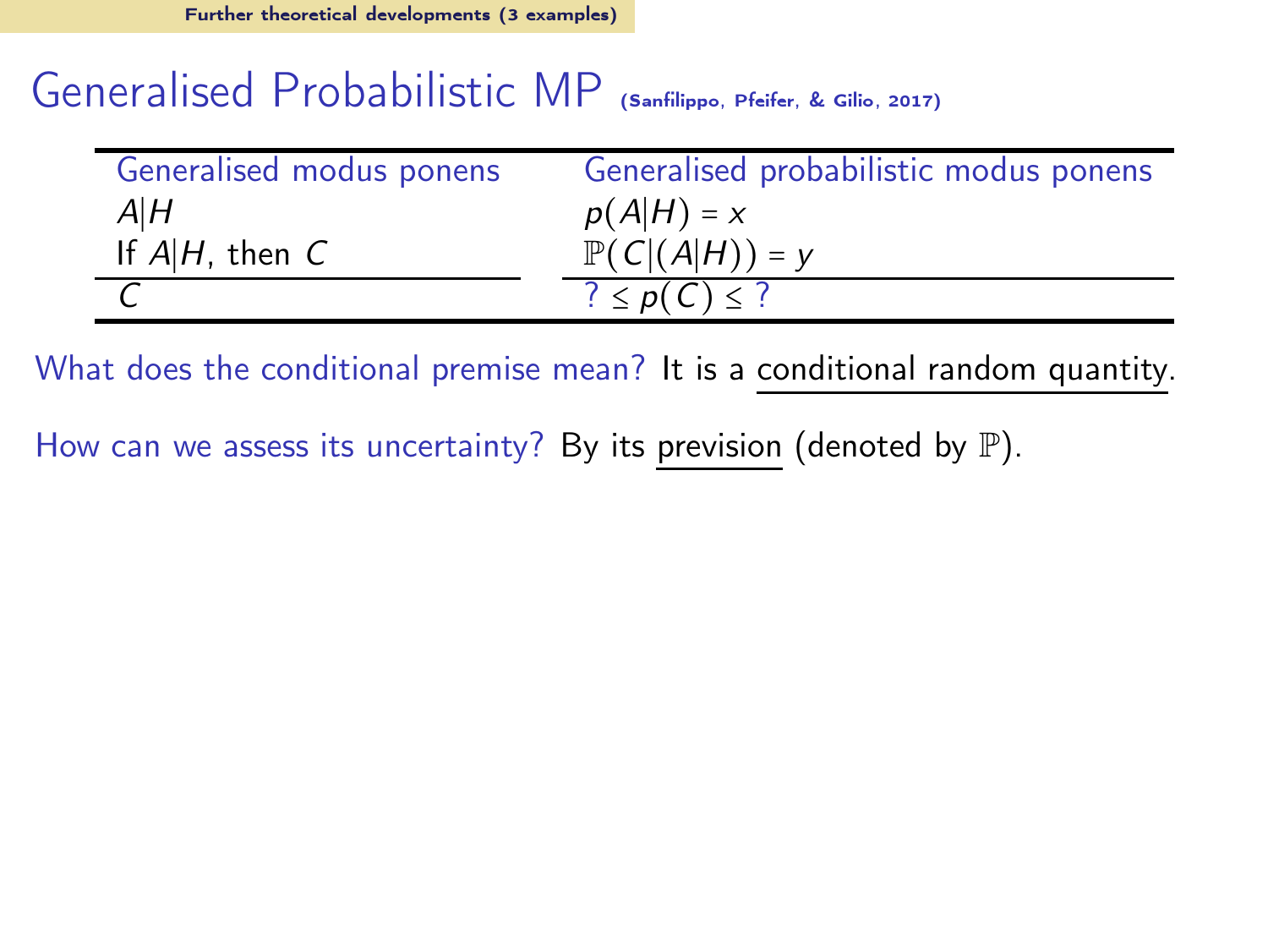#### Generalised Probabilistic MP [\(Sanfilippo, Pfeifer, & Gilio](#page-65-11), [2017\)](#page-65-11)

| Generalised modus ponens | Generalised probabilistic modus ponens |
|--------------------------|----------------------------------------|
| A H                      | $p(A H) = x$                           |
| If $A H$ , then $C$      | $\mathbb{P}(C (A H)) = y$              |
|                          | $? \leq p(C) \leq ?$                   |

What does the conditional premise mean? It is a conditional random quantity.

How can we assess its uncertainty? By its prevision (denoted by  $\mathbb{P}$ ).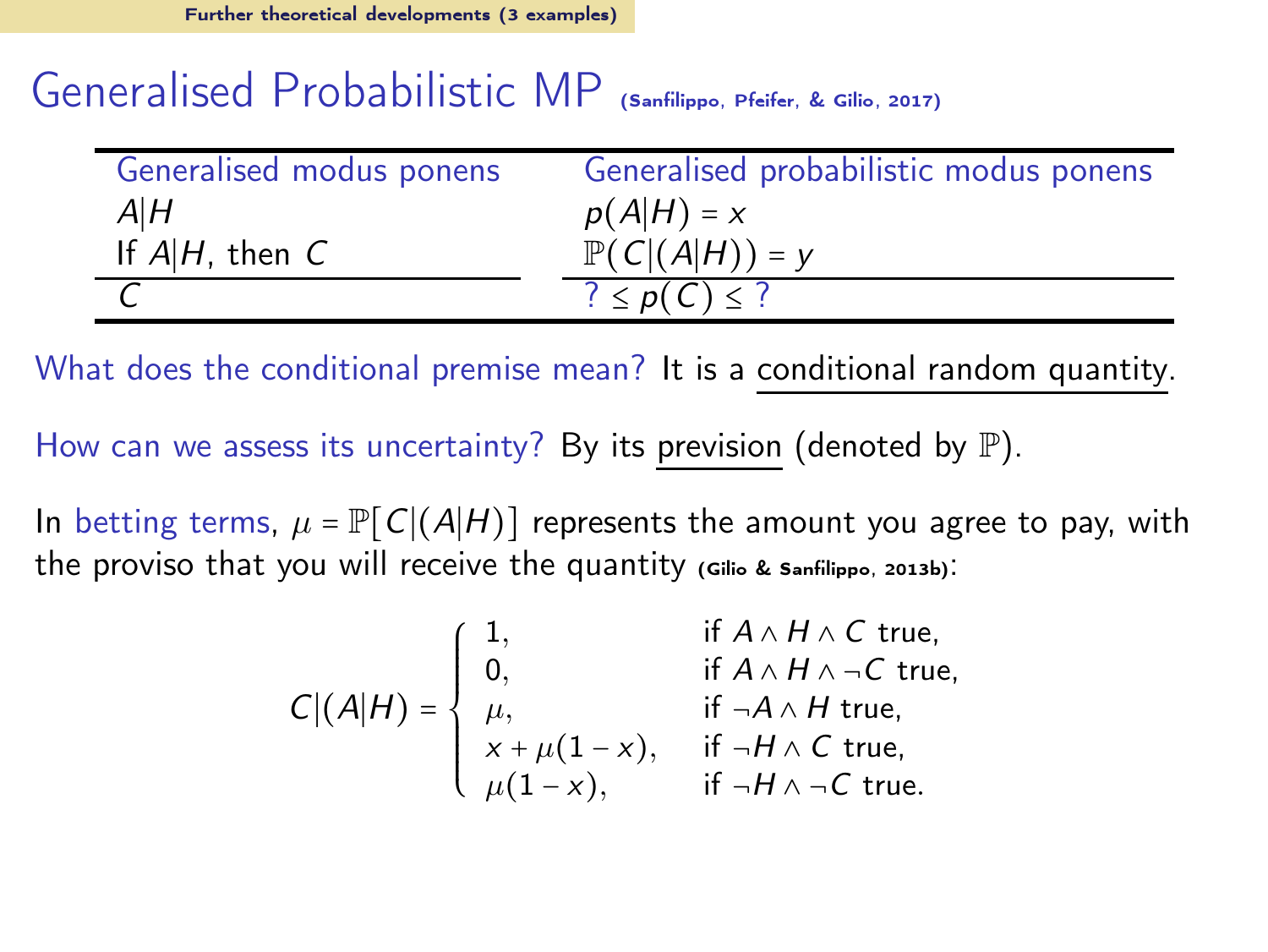#### Generalised Probabilistic MP [\(Sanfilippo, Pfeifer, & Gilio](#page-65-11), [2017\)](#page-65-11)

| Generalised modus ponens | Generalised probabilistic modus ponens |
|--------------------------|----------------------------------------|
| A H                      | $p(A H) = x$                           |
| If $A H$ , then $C$      | $\mathbb{P}(C (A H)) = y$              |
|                          | $? \leq p(C) \leq ?$                   |

What does the conditional premise mean? It is a conditional random quantity.

How can we assess its uncertainty? By its prevision (denoted by  $\mathbb P$ ).

In betting terms,  $\mu = \mathbb{P}[\mathcal{C}](A|H)$  represents the amount you agree to pay, with the proviso that you will receive the quantity [\(Gilio & Sanfilippo](#page-63-13), [2013b](#page-63-13)):

$$
C|(A|H) = \begin{cases} 1, & \text{if } A \wedge H \wedge C \text{ true,} \\ 0, & \text{if } A \wedge H \wedge \neg C \text{ true,} \\ \mu, & \text{if } \neg A \wedge H \text{ true,} \\ x + \mu(1-x), & \text{if } \neg H \wedge C \text{ true,} \\ \mu(1-x), & \text{if } \neg H \wedge \neg C \text{ true.} \end{cases}
$$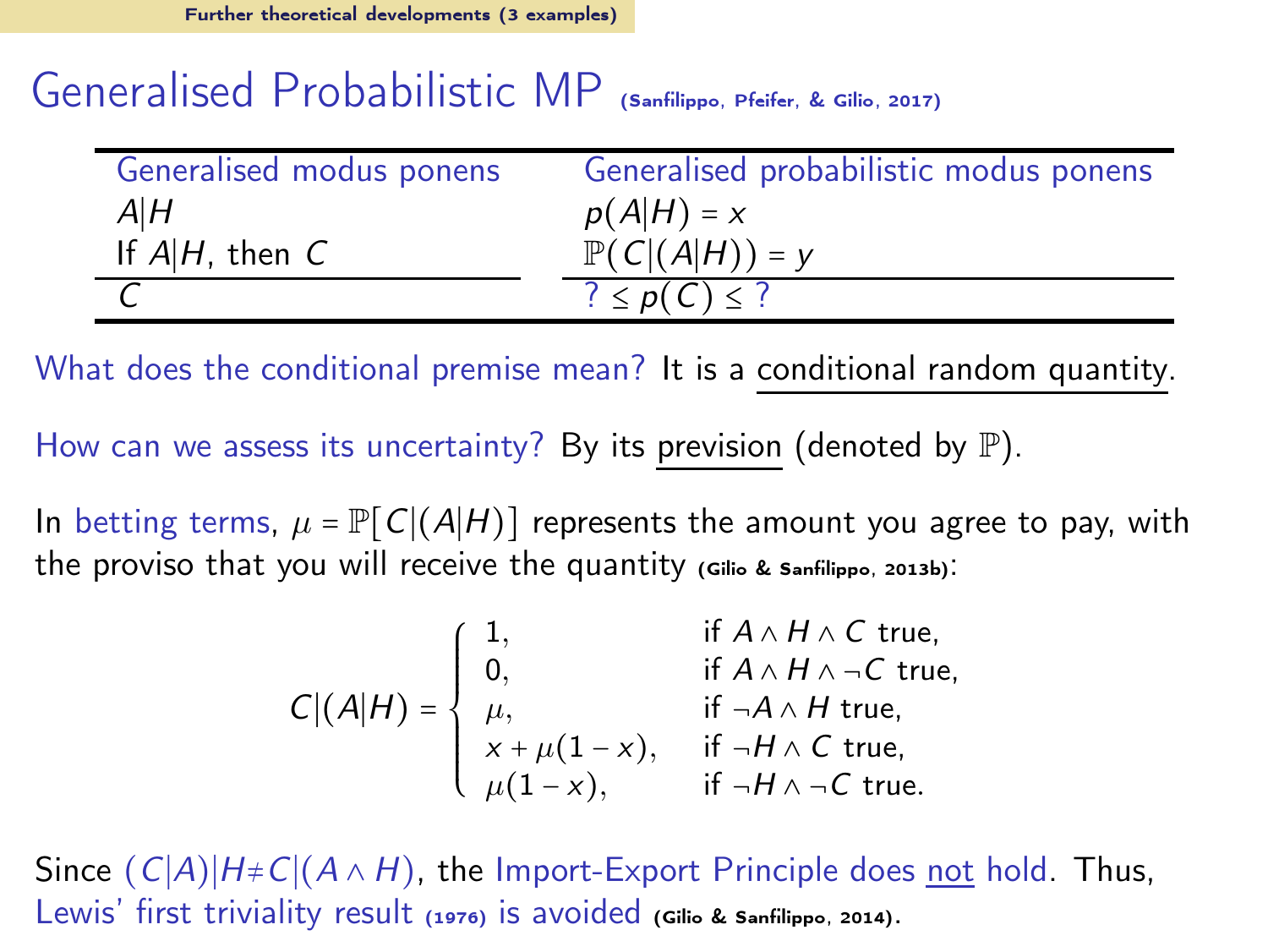#### Generalised Probabilistic MP [\(Sanfilippo, Pfeifer, & Gilio](#page-65-11), [2017\)](#page-65-11)

| Generalised modus ponens | Generalised probabilistic modus ponens |
|--------------------------|----------------------------------------|
| A H                      | $p(A H) = x$                           |
| If $A H$ , then $C$      | $\mathbb{P}(C (A H)) = y$              |
|                          | $? \leq p(C) \leq ?$                   |

What does the conditional premise mean? It is a conditional random quantity.

How can we assess its uncertainty? By its prevision (denoted by  $\mathbb{P}$ ).

In betting terms,  $\mu = \mathbb{P}[\mathcal{C}](A|H)$  represents the amount you agree to pay, with the proviso that you will receive the quantity [\(Gilio & Sanfilippo](#page-63-13), [2013b](#page-63-13)):

$$
C|(A|H) = \begin{cases} 1, & \text{if } A \wedge H \wedge C \text{ true,} \\ 0, & \text{if } A \wedge H \wedge \neg C \text{ true,} \\ \mu, & \text{if } \neg A \wedge H \text{ true,} \\ x + \mu(1-x), & \text{if } \neg H \wedge C \text{ true,} \\ \mu(1-x), & \text{if } \neg H \wedge \neg C \text{ true.} \end{cases}
$$

Since  $(C|A)|H+C|(A \wedge H)$ , the Import-Export Principle does not hold. Thus, Lewis' first triviality result [\(1976\)](#page-63-14) is avoided [\(Gilio & Sanfilippo](#page-63-15), [2014](#page-63-15)).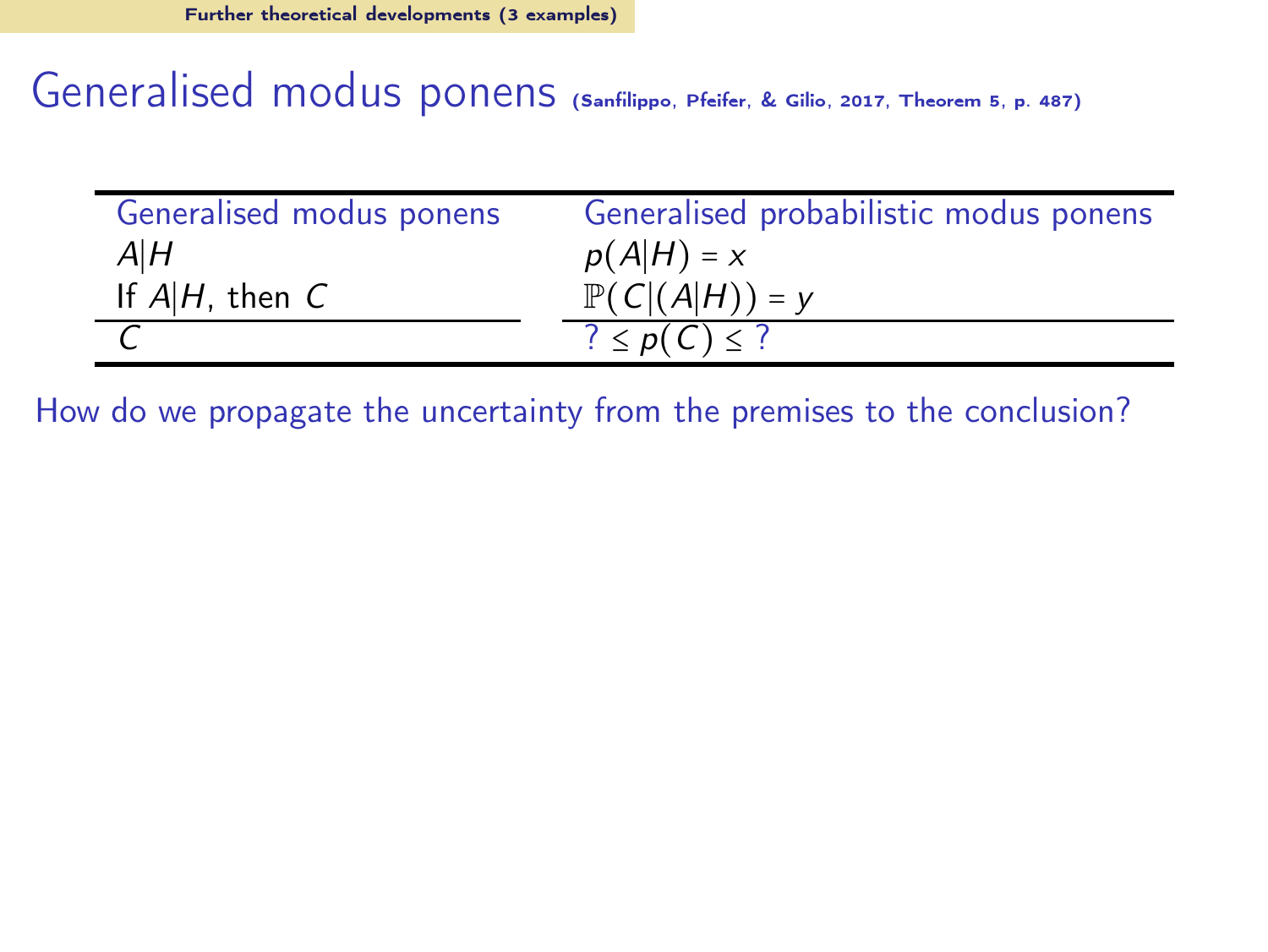Generalised modus ponens [\(Sanfilippo, Pfeifer, & Gilio](#page-65-11), [2017](#page-65-11), Theorem 5, p. 487)

| Generalised modus ponens | Generalised probabilistic modus ponens |
|--------------------------|----------------------------------------|
| A H                      | $p(A H) = x$                           |
| If $A H$ , then $C$      | $\mathbb{P}(C (A H)) = y$              |
|                          | $? \leq p(C) \leq ?$                   |

How do we propagate the uncertainty from the premises to the conclusion?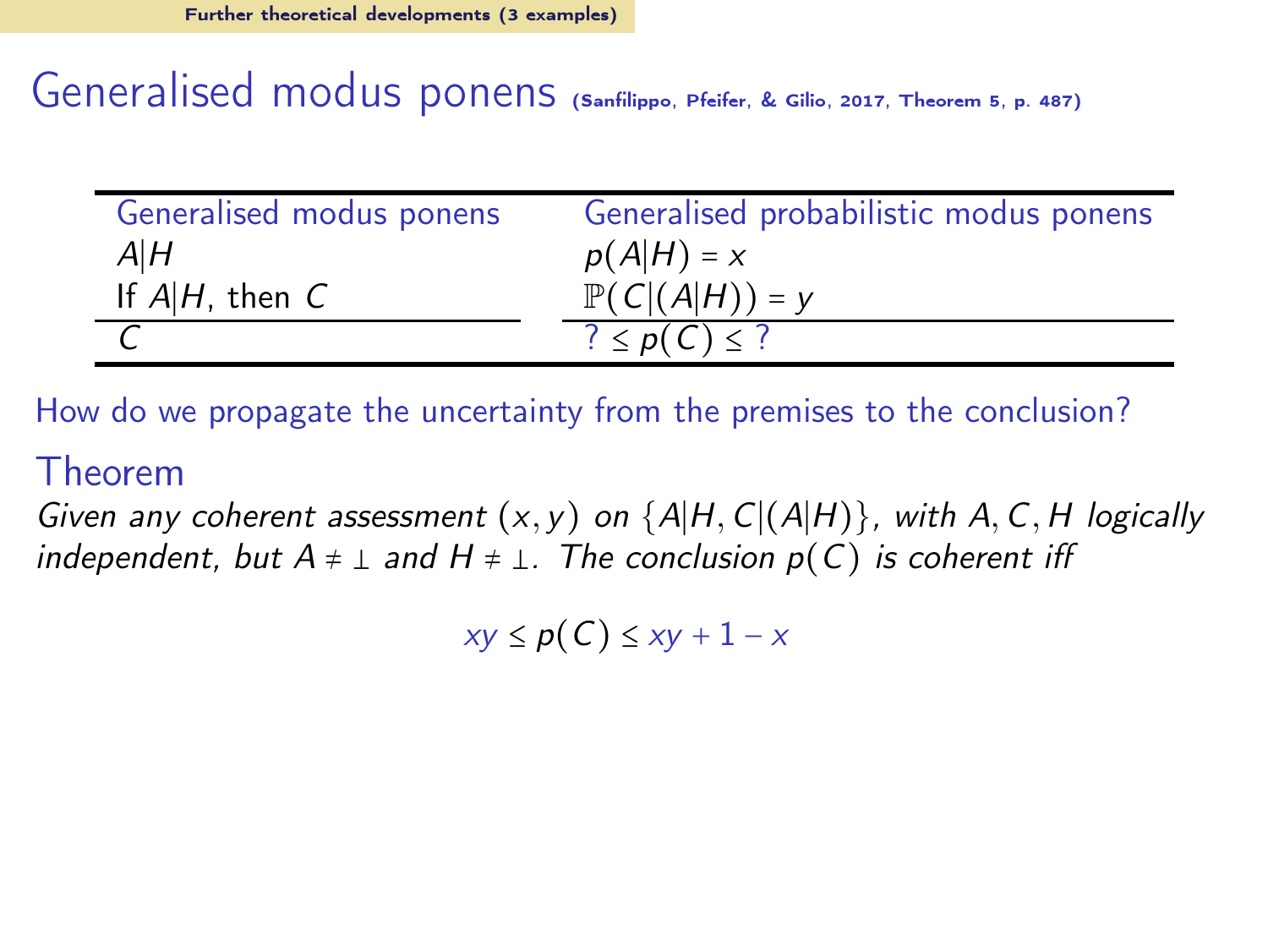Generalised modus ponens [\(Sanfilippo, Pfeifer, & Gilio](#page-65-11), [2017](#page-65-11), Theorem 5, p. 487)

| Generalised modus ponens | Generalised probabilistic modus ponens |
|--------------------------|----------------------------------------|
| A H                      | $p(A H) = x$                           |
| If $A H$ , then $C$      | $\mathbb{P}(C (A H)) = y$              |
|                          | $? \leq p(C) \leq ?$                   |

How do we propagate the uncertainty from the premises to the conclusion?

#### Theorem

Given any coherent assessment  $(x, y)$  on  $\{A|H, C|(A|H)\}$ , with A, C, H logically independent, but  $A \neq \perp$  and  $H \neq \perp$ . The conclusion  $p(C)$  is coherent iff

 $xy \leq p(C) \leq xy + 1 - x$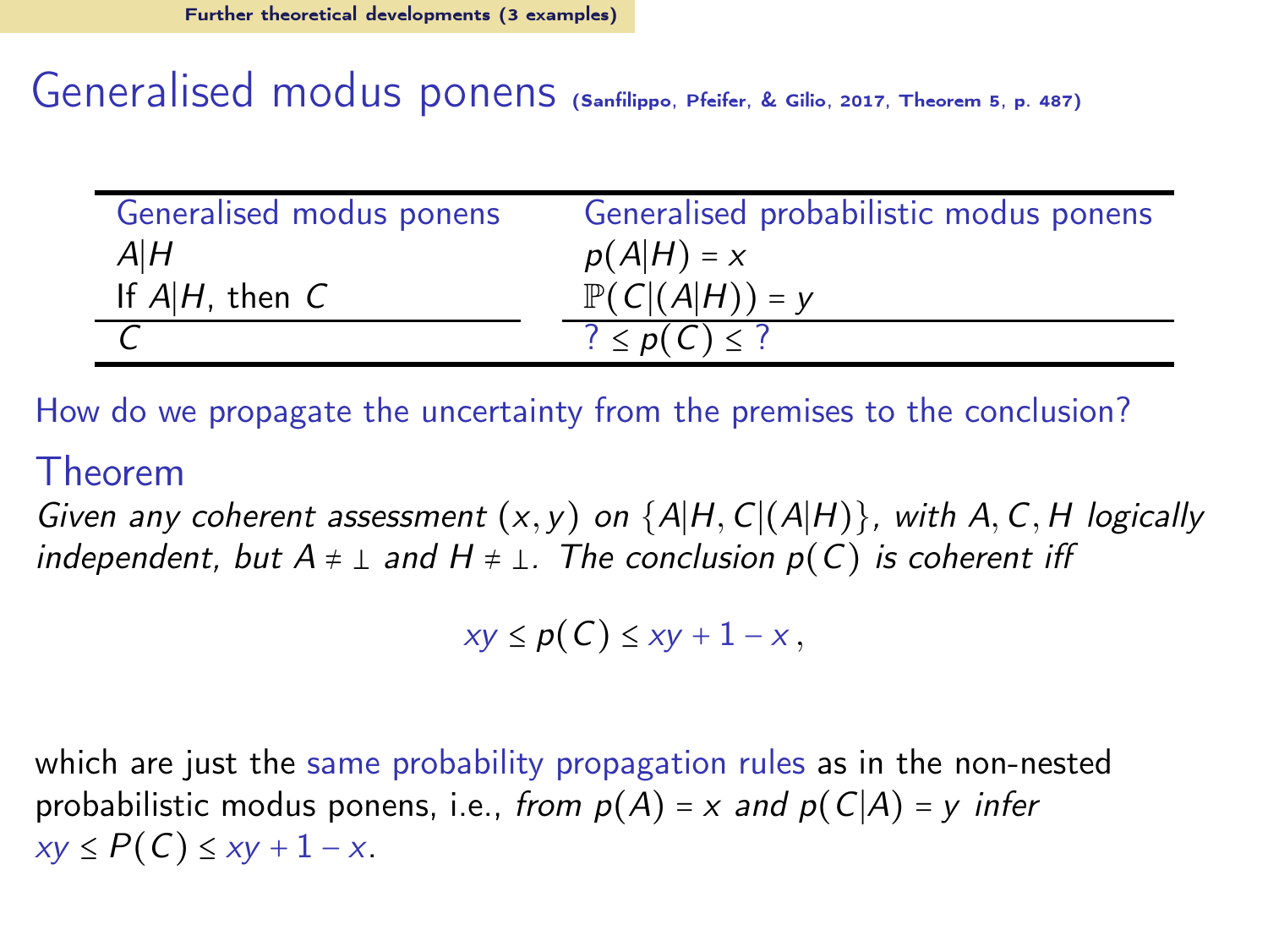Generalised modus ponens [\(Sanfilippo, Pfeifer, & Gilio](#page-65-11), [2017](#page-65-11), Theorem 5, p. 487)

| Generalised modus ponens | Generalised probabilistic modus ponens |
|--------------------------|----------------------------------------|
| A H                      | $p(A H) = x$                           |
| If $A H$ , then $C$      | $\mathbb{P}(C (A H)) = y$              |
|                          | $? \leq p(C) \leq ?$                   |

How do we propagate the uncertainty from the premises to the conclusion?

#### Theorem

Given any coherent assessment  $(x, y)$  on  $\{A|H, C|(A|H)\}$ , with A, C, H logically independent, but  $A \neq \perp$  and  $H \neq \perp$ . The conclusion  $p(C)$  is coherent iff

 $xy \leq p(C) \leq xy + 1 - x$ ,

which are just the same probability propagation rules as in the non-nested probabilistic modus ponens, i.e., from  $p(A) = x$  and  $p(C|A) = y$  infer  $xy < P(C) < xy + 1 - x$ .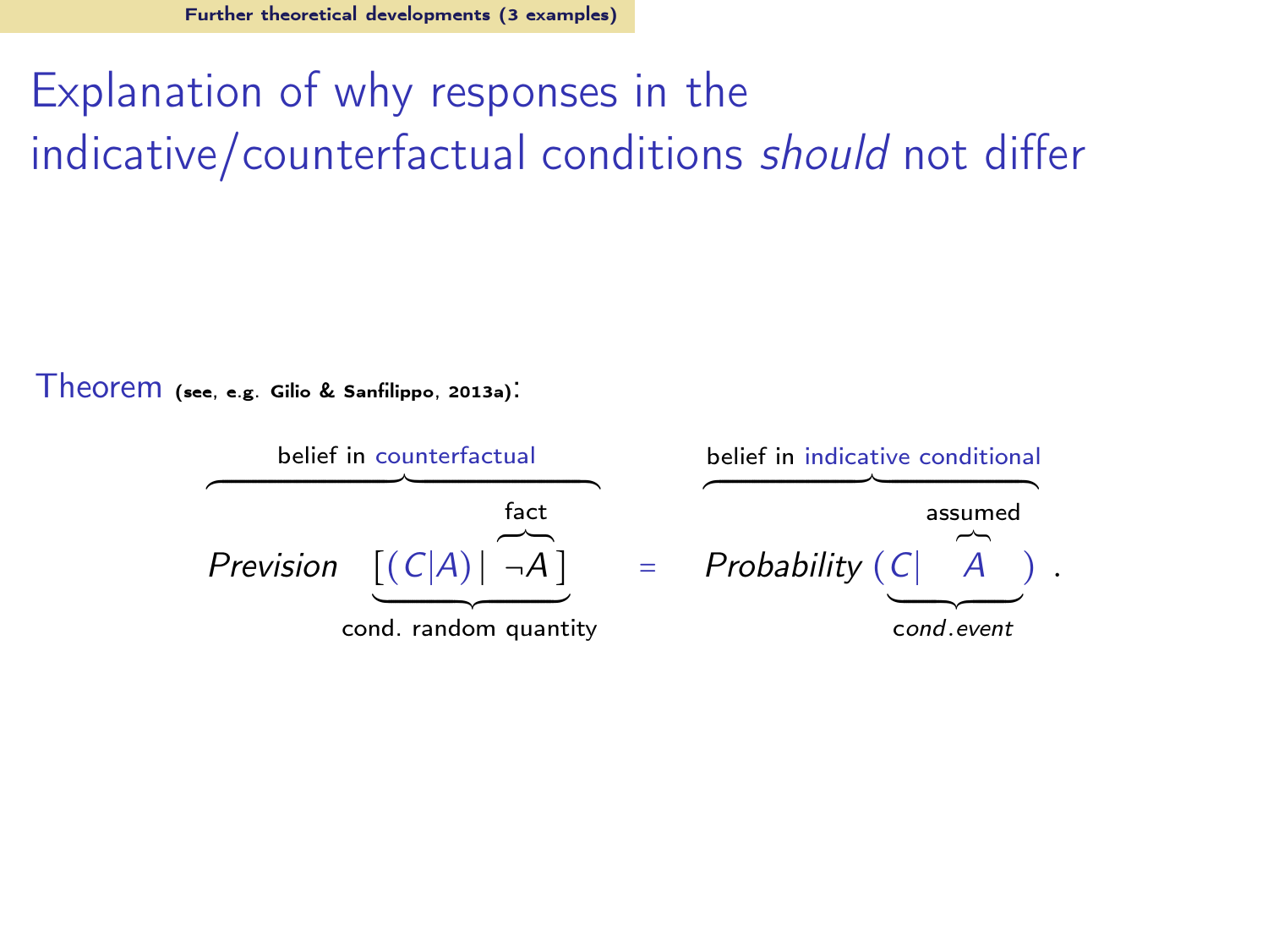# Explanation of why responses in the indicative/counterfactual conditions should not differ

Theorem (see, e.g. [Gilio & Sanfilippo](#page-63-16), [2013a\)](#page-63-16):

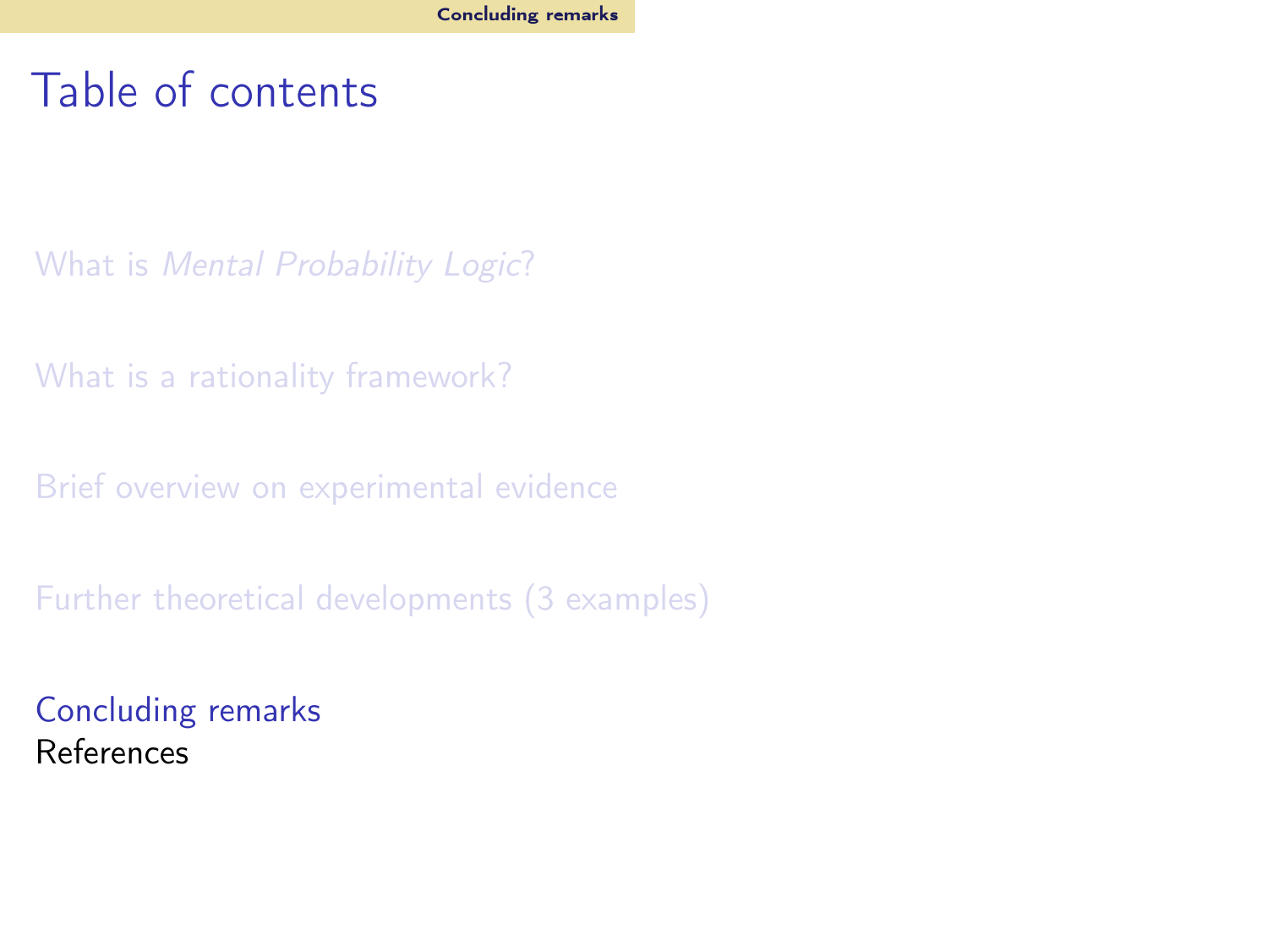## <span id="page-61-0"></span>Table of contents

What is [Mental Probability Logic](#page-2-0)?

[What is a rationality framework?](#page-7-0)

[Brief overview on experimental evidence](#page-22-0)

[Further theoretical developments \(3 examples\)](#page-41-0)

[Concluding remarks](#page-61-0) References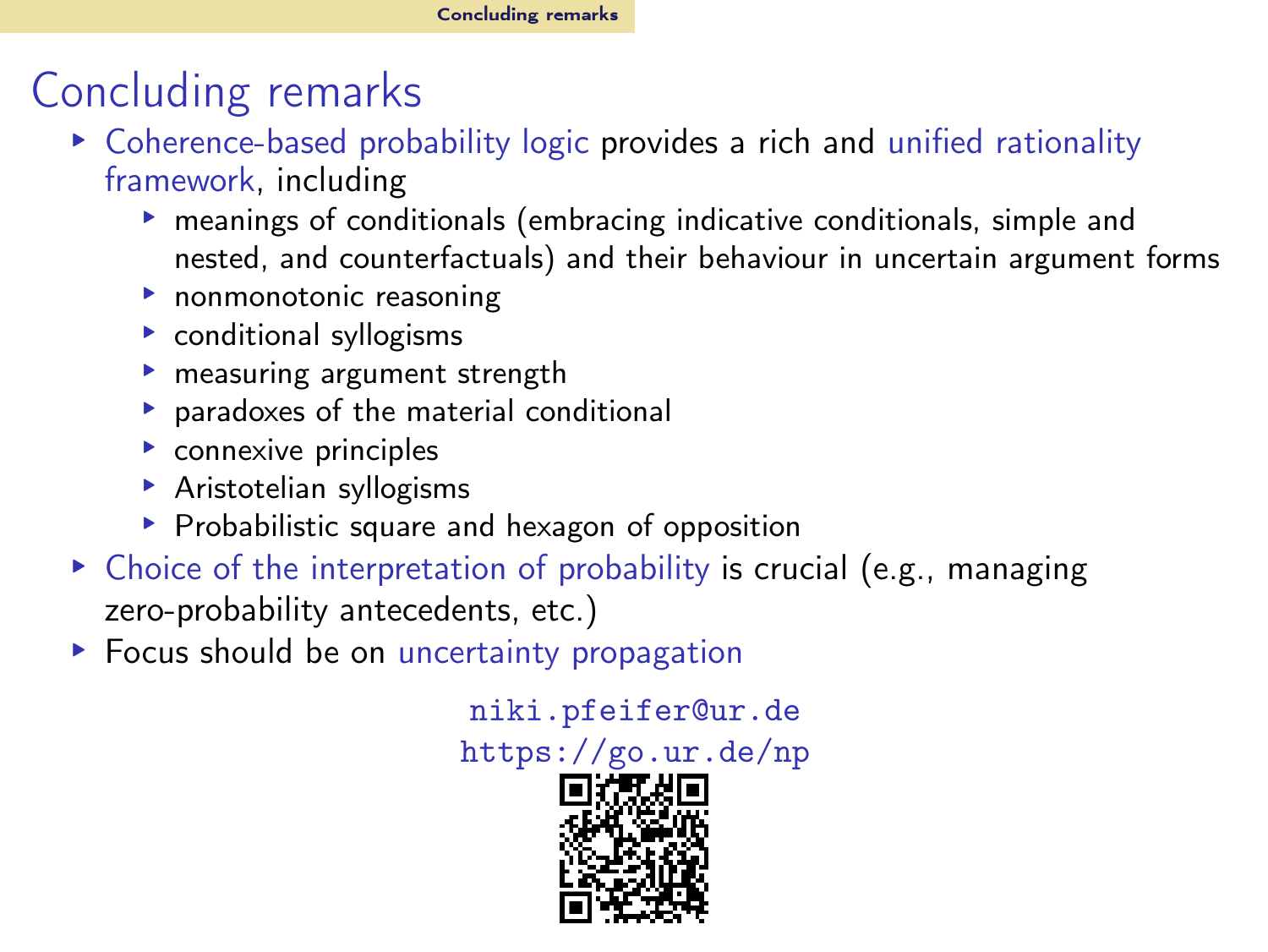# Concluding remarks

- ▸ Coherence-based probability logic provides a rich and unified rationality framework, including
	- ▸ meanings of conditionals (embracing indicative conditionals, simple and nested, and counterfactuals) and their behaviour in uncertain argument forms
	- ▸ nonmonotonic reasoning
	- ▸ conditional syllogisms
	- ▸ measuring argument strength
	- ▸ paradoxes of the material conditional
	- ▸ connexive principles
	- ▸ Aristotelian syllogisms
	- ▸ Probabilistic square and hexagon of opposition
- ▸ Choice of the interpretation of probability is crucial (e.g., managing zero-probability antecedents, etc.)
- ▸ Focus should be on uncertainty propagation

[niki.pfeifer@ur.de](mailto:niki.pfeifer@ur.de)

<https://go.ur.de/np>

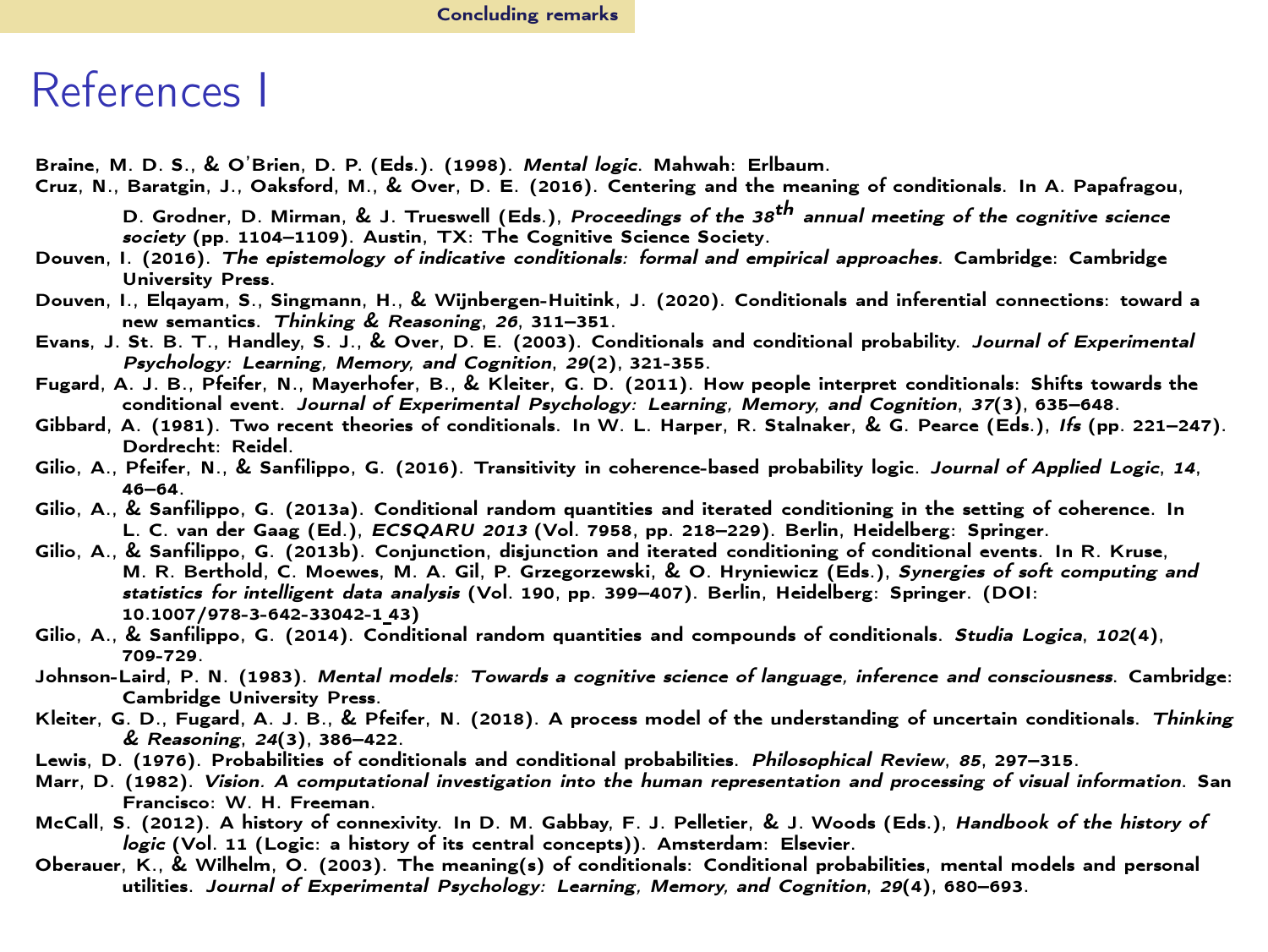#### References I

<span id="page-63-2"></span>Braine, M. D. S., & O'Brien, D. P. (Eds.). (1998). *Mental logic*. Mahwah: Erlbaum.

<span id="page-63-9"></span>Cruz, N., Baratgin, J., Oaksford, M., & Over, D. E. (2016). Centering and the meaning of conditionals. In A. Papafragou,

D. Grodner, D. Mirman, & J. Trueswell (Eds.), *Proceedings of the 38th annual meeting of the cognitive science society* (pp. 1104–1109). Austin, TX: The Cognitive Science Society.

- <span id="page-63-8"></span>Douven, I. (2016). *The epistemology of indicative conditionals: formal and empirical approaches*. Cambridge: Cambridge University Press.
- <span id="page-63-7"></span>Douven, I., Elqayam, S., Singmann, H., & Wijnbergen-Huitink, J. (2020). Conditionals and inferential connections: toward a new semantics. *Thinking & Reasoning*, *26*, 311–351.
- <span id="page-63-3"></span>Evans, J. St. B. T., Handley, S. J., & Over, D. E. (2003). Conditionals and conditional probability. *Journal of Experimental Psychology: Learning, Memory, and Cognition*, *29*(2), 321-355.
- <span id="page-63-5"></span>Fugard, A. J. B., Pfeifer, N., Mayerhofer, B., & Kleiter, G. D. (2011). How people interpret conditionals: Shifts towards the conditional event. *Journal of Experimental Psychology: Learning, Memory, and Cognition*, *37*(3), 635–648.
- <span id="page-63-12"></span>Gibbard, A. (1981). Two recent theories of conditionals. In W. L. Harper, R. Stalnaker, & G. Pearce (Eds.), *Ifs* (pp. 221–247). Dordrecht: Reidel.
- <span id="page-63-11"></span>Gilio, A., Pfeifer, N., & Sanfilippo, G. (2016). Transitivity in coherence-based probability logic. *Journal of Applied Logic*, *14*, 46–64.
- <span id="page-63-16"></span>Gilio, A., & Sanfilippo, G. (2013a). Conditional random quantities and iterated conditioning in the setting of coherence. In L. C. van der Gaag (Ed.), *ECSQARU 2013* (Vol. 7958, pp. 218–229). Berlin, Heidelberg: Springer.
- <span id="page-63-13"></span>Gilio, A., & Sanfilippo, G. (2013b). Conjunction, disjunction and iterated conditioning of conditional events. In R. Kruse, M. R. Berthold, C. Moewes, M. A. Gil, P. Grzegorzewski, & O. Hryniewicz (Eds.), *Synergies of soft computing and statistics for intelligent data analysis* (Vol. 190, pp. 399–407). Berlin, Heidelberg: Springer. (DOI: 10.1007/978-3-642-33042-1 43)
- <span id="page-63-15"></span>Gilio, A., & Sanfilippo, G. (2014). Conditional random quantities and compounds of conditionals. *Studia Logica*, *102*(4), 709-729.
- <span id="page-63-1"></span>Johnson-Laird, P. N. (1983). *Mental models: Towards a cognitive science of language, inference and consciousness*. Cambridge: Cambridge University Press.
- <span id="page-63-6"></span>Kleiter, G. D., Fugard, A. J. B., & Pfeifer, N. (2018). A process model of the understanding of uncertain conditionals. *Thinking & Reasoning*, *24*(3), 386–422.
- <span id="page-63-14"></span>Lewis, D. (1976). Probabilities of conditionals and conditional probabilities. *Philosophical Review*, *85*, 297–315.
- <span id="page-63-0"></span>Marr, D. (1982). *Vision. A computational investigation into the human representation and processing of visual information*. San Francisco: W. H. Freeman.
- <span id="page-63-10"></span>McCall, S. (2012). A history of connexivity. In D. M. Gabbay, F. J. Pelletier, & J. Woods (Eds.), *Handbook of the history of logic* (Vol. 11 (Logic: a history of its central concepts)). Amsterdam: Elsevier.
- <span id="page-63-4"></span>Oberauer, K., & Wilhelm, O. (2003). The meaning(s) of conditionals: Conditional probabilities, mental models and personal utilities. *Journal of Experimental Psychology: Learning, Memory, and Cognition*, *29*(4), 680–693.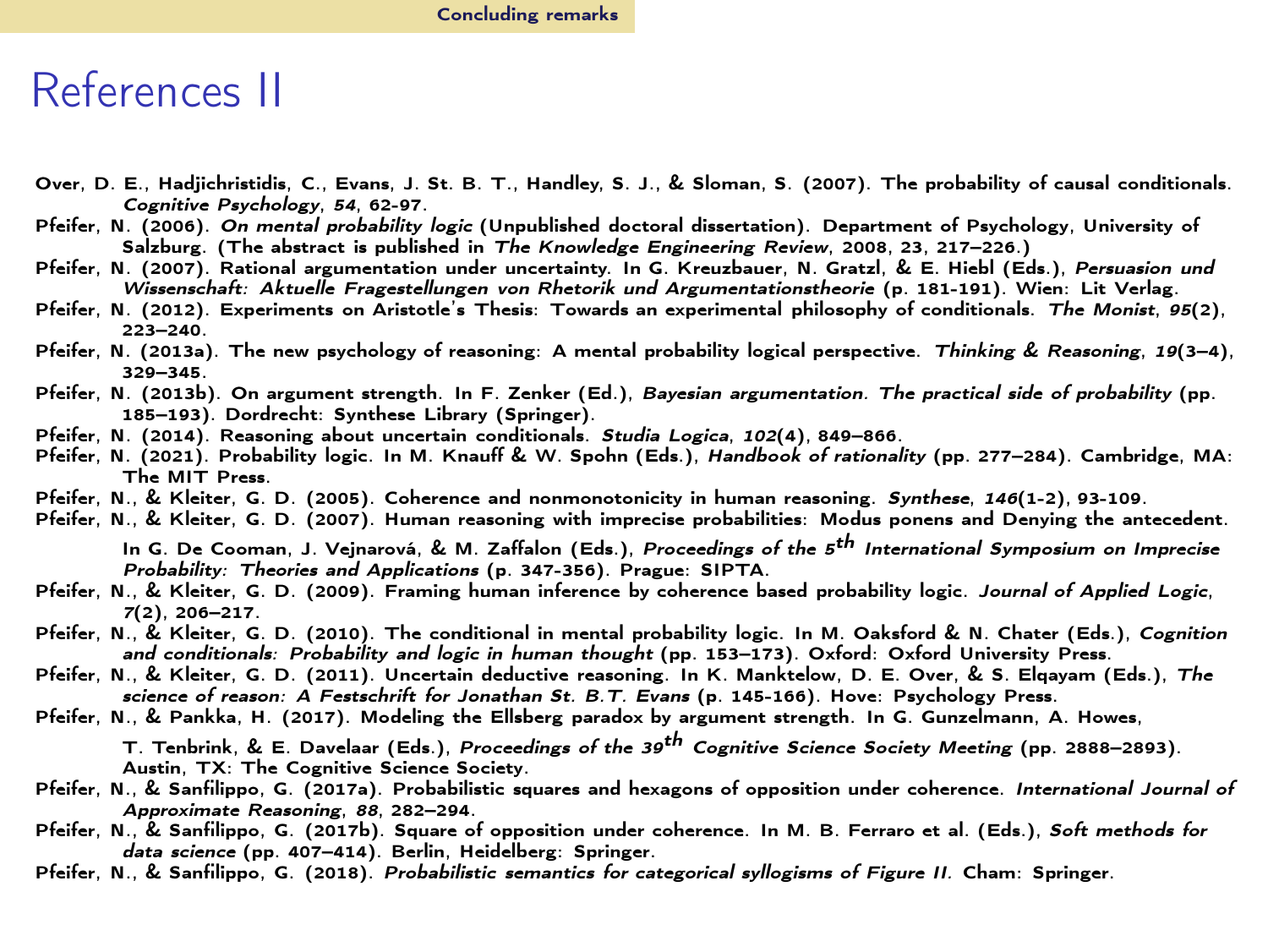#### References II

- <span id="page-64-12"></span>Over, D. E., Hadjichristidis, C., Evans, J. St. B. T., Handley, S. J., & Sloman, S. (2007). The probability of causal conditionals. *Cognitive Psychology*, *54*, 62-97.
- <span id="page-64-0"></span>Pfeifer, N. (2006). *On mental probability logic* (Unpublished doctoral dissertation). Department of Psychology, University of Salzburg. (The abstract is published in *The Knowledge Engineering Review*, 2008, 23, 217–226.)
- <span id="page-64-8"></span>Pfeifer, N. (2007). Rational argumentation under uncertainty. In G. Kreuzbauer, N. Gratzl, & E. Hiebl (Eds.), *Persuasion und Wissenschaft: Aktuelle Fragestellungen von Rhetorik und Argumentationstheorie* (p. 181-191). Wien: Lit Verlag.
- <span id="page-64-13"></span>Pfeifer, N. (2012). Experiments on Aristotle's Thesis: Towards an experimental philosophy of conditionals. *The Monist*, *95*(2), 223–240.
- <span id="page-64-1"></span>Pfeifer, N. (2013a). The new psychology of reasoning: A mental probability logical perspective. *Thinking & Reasoning*, *19*(3–4), 320–345<sup>.</sup>
- <span id="page-64-9"></span>Pfeifer, N. (2013b). On argument strength. In F. Zenker (Ed.), *Bayesian argumentation. The practical side of probability* (pp. 185–193). Dordrecht: Synthese Library (Springer).
- <span id="page-64-2"></span>Pfeifer, N. (2014). Reasoning about uncertain conditionals. *Studia Logica*, *102*(4), 849–866.
- <span id="page-64-3"></span>Pfeifer, N. (2021). Probability logic. In M. Knauff & W. Spohn (Eds.), *Handbook of rationality* (pp. 277–284). Cambridge, MA: The MIT Press.
- <span id="page-64-4"></span>Pfeifer, N., & Kleiter, G. D. (2005). Coherence and nonmonotonicity in human reasoning. *Synthese*, *146*(1-2), 93-109.
- <span id="page-64-7"></span>Pfeifer, N., & Kleiter, G. D. (2007). Human reasoning with imprecise probabilities: Modus ponens and Denying the antecedent.

In G. De Cooman, J. Vejnarová, & M. Zaffalon (Eds.), *Proceedings of the 5th International Symposium on Imprecise Probability: Theories and Applications* (p. 347-356). Prague: SIPTA.

- <span id="page-64-5"></span>Pfeifer, N., & Kleiter, G. D. (2009). Framing human inference by coherence based probability logic. *Journal of Applied Logic*, *7*(2), 206–217.
- <span id="page-64-6"></span>Pfeifer, N., & Kleiter, G. D. (2010). The conditional in mental probability logic. In M. Oaksford & N. Chater (Eds.), *Cognition and conditionals: Probability and logic in human thought* (pp. 153–173). Oxford: Oxford University Press.
- <span id="page-64-11"></span>Pfeifer, N., & Kleiter, G. D. (2011). Uncertain deductive reasoning. In K. Manktelow, D. E. Over, & S. Elqayam (Eds.), *The science of reason: A Festschrift for Jonathan St. B.T. Evans* (p. 145-166). Hove: Psychology Press.
- <span id="page-64-10"></span>Pfeifer, N., & Pankka, H. (2017). Modeling the Ellsberg paradox by argument strength. In G. Gunzelmann, A. Howes,

T. Tenbrink, & E. Davelaar (Eds.), *Proceedings of the 39th Cognitive Science Society Meeting* (pp. 2888–2893). Austin, TX: The Cognitive Science Society.

- <span id="page-64-15"></span>Pfeifer, N., & Sanfilippo, G. (2017a). Probabilistic squares and hexagons of opposition under coherence. *International Journal of Approximate Reasoning*, *88*, 282–294.
- <span id="page-64-16"></span>Pfeifer, N., & Sanfilippo, G. (2017b). Square of opposition under coherence. In M. B. Ferraro et al. (Eds.), *Soft methods for data science* (pp. 407–414). Berlin, Heidelberg: Springer.
- <span id="page-64-14"></span>Pfeifer, N., & Sanfilippo, G. (2018). *Probabilistic semantics for categorical syllogisms of Figure II.* Cham: Springer.